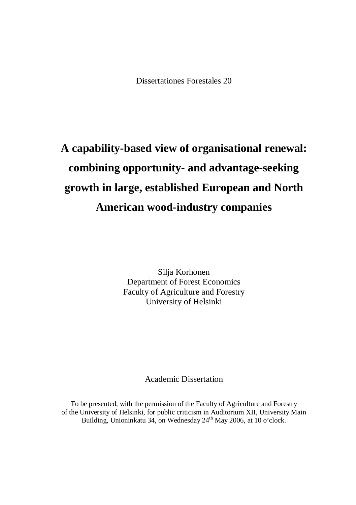Dissertationes Forestales 20

# **A capability-based view of organisational renewal: combining opportunity- and advantage-seeking growth in large, established European and North American wood-industry companies**

Silja Korhonen Department of Forest Economics Faculty of Agriculture and Forestry University of Helsinki

Academic Dissertation

To be presented, with the permission of the Faculty of Agriculture and Forestry of the University of Helsinki, for public criticism in Auditorium XII, University Main Building, Unioninkatu 34, on Wednesday 24<sup>th</sup> May 2006, at 10 o'clock.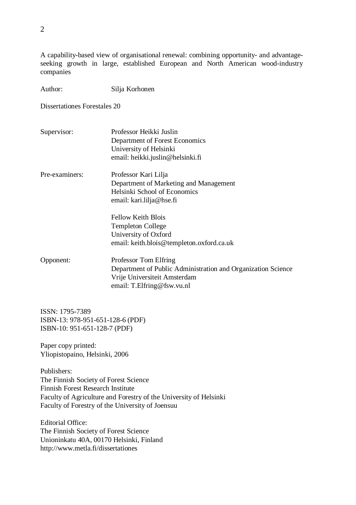A capability-based view of organisational renewal: combining opportunity- and advantageseeking growth in large, established European and North American wood-industry companies

Author: Silja Korhonen

Dissertationes Forestales 20

- Supervisor: Professor Heikki Juslin Department of Forest Economics University of Helsinki email: [heikki.juslin@helsinki.fi](mailto:heikki.juslin@helsinki.fi)
- Pre-examiners: Professor Kari Lilja Department of Marketing and Management Helsinki School of Economics email: [kari.lilja@hse.fi](mailto:kari.lilja@hse.fi)

Fellow Keith Blois Templeton College University of Oxford email: [keith.blois@templeton.oxford.ca.uk](mailto:keith.blois@templeton.oxford.ca.uk)

Opponent: Professor Tom Elfring Department of Public Administration and Organization Science Vrije Universiteit Amsterdam email: [T.Elfring@fsw.vu.nl](mailto:T.Elfring@fsw.vu.nl)

ISSN: 1795-7389 ISBN-13: 978-951-651-128-6 (PDF) ISBN-10: 951-651-128-7 (PDF)

Paper copy printed: Yliopistopaino, Helsinki, 2006

Publishers: The Finnish Society of Forest Science Finnish Forest Research Institute Faculty of Agriculture and Forestry of the University of Helsinki Faculty of Forestry of the University of Joensuu

Editorial Office: The Finnish Society of Forest Science Unioninkatu 40A, 00170 Helsinki, Finland <http://www.metla.fi/dissertationes>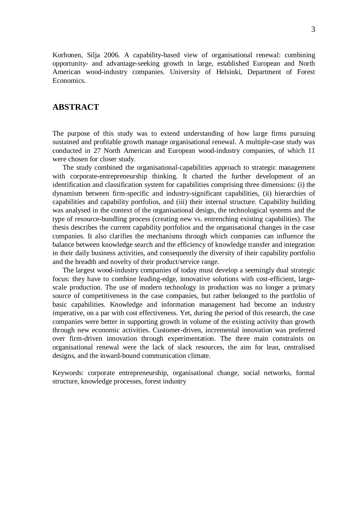Korhonen, Silja 2006. A capability-based view of organisational renewal: combining opportunity- and advantage-seeking growth in large, established European and North American wood-industry companies. University of Helsinki, Department of Forest Economics.

## **ABSTRACT**

The purpose of this study was to extend understanding of how large firms pursuing sustained and profitable growth manage organisational renewal. A multiple-case study was conducted in 27 North American and European wood-industry companies, of which 11 were chosen for closer study.

The study combined the organisational-capabilities approach to strategic management with corporate-entrepreneurship thinking. It charted the further development of an identification and classification system for capabilities comprising three dimensions: (i) the dynamism between firm-specific and industry-significant capabilities, (ii) hierarchies of capabilities and capability portfolios, and (iii) their internal structure. Capability building was analysed in the context of the organisational design, the technological systems and the type of resource-bundling process (creating new vs. entrenching existing capabilities). The thesis describes the current capability portfolios and the organisational changes in the case companies. It also clarifies the mechanisms through which companies can influence the balance between knowledge search and the efficiency of knowledge transfer and integration in their daily business activities, and consequently the diversity of their capability portfolio and the breadth and novelty of their product/service range.

The largest wood-industry companies of today must develop a seemingly dual strategic focus: they have to combine leading-edge, innovative solutions with cost-efficient, largescale production. The use of modern technology in production was no longer a primary source of competitiveness in the case companies, but rather belonged to the portfolio of basic capabilities. Knowledge and information management had become an industry imperative, on a par with cost effectiveness. Yet, during the period of this research, the case companies were better in supporting growth in volume of the existing activity than growth through new economic activities. Customer-driven, incremental innovation was preferred over firm-driven innovation through experimentation. The three main constraints on organisational renewal were the lack of slack resources, the aim for lean, centralised designs, and the inward-bound communication climate.

Keywords: corporate entrepreneurship, organisational change, social networks, formal structure, knowledge processes, forest industry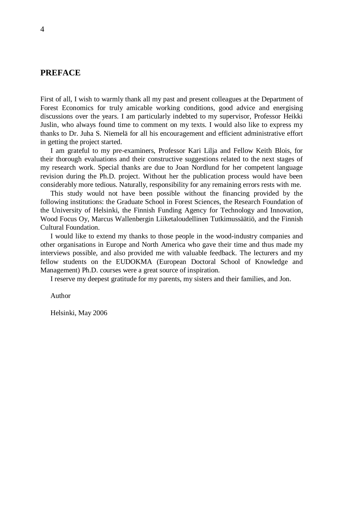# **PREFACE**

First of all, I wish to warmly thank all my past and present colleagues at the Department of Forest Economics for truly amicable working conditions, good advice and energising discussions over the years. I am particularly indebted to my supervisor, Professor Heikki Juslin, who always found time to comment on my texts. I would also like to express my thanks to Dr. Juha S. Niemelä for all his encouragement and efficient administrative effort in getting the project started.

I am grateful to my pre-examiners, Professor Kari Lilja and Fellow Keith Blois, for their thorough evaluations and their constructive suggestions related to the next stages of my research work. Special thanks are due to Joan Nordlund for her competent language revision during the Ph.D. project. Without her the publication process would have been considerably more tedious. Naturally, responsibility for any remaining errors rests with me.

This study would not have been possible without the financing provided by the following institutions: the Graduate School in Forest Sciences, the Research Foundation of the University of Helsinki, the Finnish Funding Agency for Technology and Innovation, Wood Focus Oy, Marcus Wallenbergin Liiketaloudellinen Tutkimussäätiö, and the Finnish Cultural Foundation.

I would like to extend my thanks to those people in the wood-industry companies and other organisations in Europe and North America who gave their time and thus made my interviews possible, and also provided me with valuable feedback. The lecturers and my fellow students on the EUDOKMA (European Doctoral School of Knowledge and Management) Ph.D. courses were a great source of inspiration.

I reserve my deepest gratitude for my parents, my sisters and their families, and Jon.

Author

Helsinki, May 2006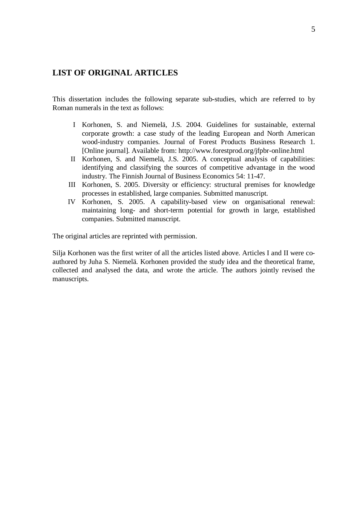# **LIST OF ORIGINAL ARTICLES**

This dissertation includes the following separate sub-studies, which are referred to by Roman numerals in the text as follows:

- I Korhonen, S. and Niemelä, J.S. 2004. Guidelines for sustainable, external corporate growth: a case study of the leading European and North American wood-industry companies. Journal of Forest Products Business Research 1. [Online journal]. Available from: <http://www.forestprod.org/jfpbr-online.html>
- II Korhonen, S. and Niemelä, J.S. 2005. A conceptual analysis of capabilities: identifying and classifying the sources of competitive advantage in the wood industry. The Finnish Journal of Business Economics 54: 11-47.
- III Korhonen, S. 2005. Diversity or efficiency: structural premises for knowledge processes in established, large companies. Submitted manuscript.
- IV Korhonen, S. 2005. A capability-based view on organisational renewal: maintaining long- and short-term potential for growth in large, established companies. Submitted manuscript.

The original articles are reprinted with permission.

Silja Korhonen was the first writer of all the articles listed above. Articles I and II were coauthored by Juha S. Niemelä. Korhonen provided the study idea and the theoretical frame, collected and analysed the data, and wrote the article. The authors jointly revised the manuscripts.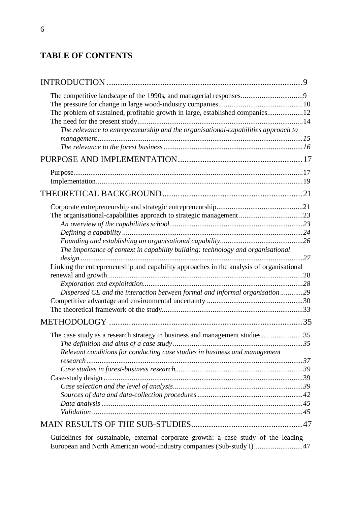# **TABLE OF CONTENTS**

| The problem of sustained, profitable growth in large, established companies12            |  |
|------------------------------------------------------------------------------------------|--|
|                                                                                          |  |
| The relevance to entrepreneurship and the organisational-capabilities approach to        |  |
|                                                                                          |  |
|                                                                                          |  |
|                                                                                          |  |
|                                                                                          |  |
|                                                                                          |  |
|                                                                                          |  |
|                                                                                          |  |
|                                                                                          |  |
|                                                                                          |  |
|                                                                                          |  |
|                                                                                          |  |
| The importance of context in capability building: technology and organisational          |  |
|                                                                                          |  |
| Linking the entrepreneurship and capability approaches in the analysis of organisational |  |
|                                                                                          |  |
|                                                                                          |  |
| Dispersed CE and the interaction between formal and informal organisation29              |  |
|                                                                                          |  |
|                                                                                          |  |
|                                                                                          |  |
| The case study as a research strategy in business and management studies35               |  |
|                                                                                          |  |
| Relevant conditions for conducting case studies in business and management               |  |
|                                                                                          |  |
|                                                                                          |  |
|                                                                                          |  |
|                                                                                          |  |
|                                                                                          |  |
|                                                                                          |  |
|                                                                                          |  |
|                                                                                          |  |

Guidelines for sustainable, external corporate growth: a case study of the leading European and North American wood-industry companies (Sub-study I)..........................47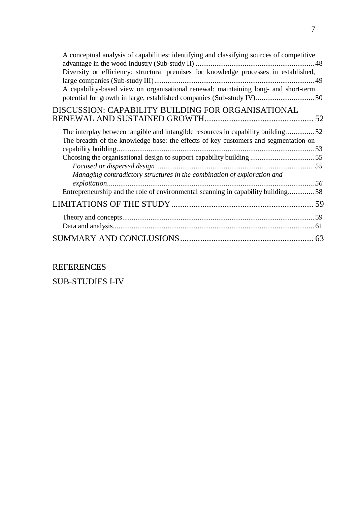| A conceptual analysis of capabilities: identifying and classifying sources of competitive                                                                               |  |
|-------------------------------------------------------------------------------------------------------------------------------------------------------------------------|--|
|                                                                                                                                                                         |  |
| Diversity or efficiency: structural premises for knowledge processes in established,                                                                                    |  |
|                                                                                                                                                                         |  |
| A capability-based view on organisational renewal: maintaining long- and short-term                                                                                     |  |
| potential for growth in large, established companies (Sub-study IV) 50                                                                                                  |  |
| DISCUSSION: CAPABILITY BUILDING FOR ORGANISATIONAL                                                                                                                      |  |
|                                                                                                                                                                         |  |
|                                                                                                                                                                         |  |
| The interplay between tangible and intangible resources in capability building52<br>The breadth of the knowledge base: the effects of key customers and segmentation on |  |
|                                                                                                                                                                         |  |
|                                                                                                                                                                         |  |
|                                                                                                                                                                         |  |
| Managing contradictory structures in the combination of exploration and                                                                                                 |  |
|                                                                                                                                                                         |  |
| Entrepreneurship and the role of environmental scanning in capability building58                                                                                        |  |
|                                                                                                                                                                         |  |
|                                                                                                                                                                         |  |
|                                                                                                                                                                         |  |
|                                                                                                                                                                         |  |
|                                                                                                                                                                         |  |
|                                                                                                                                                                         |  |

REFERENCES

SUB-STUDIES I-IV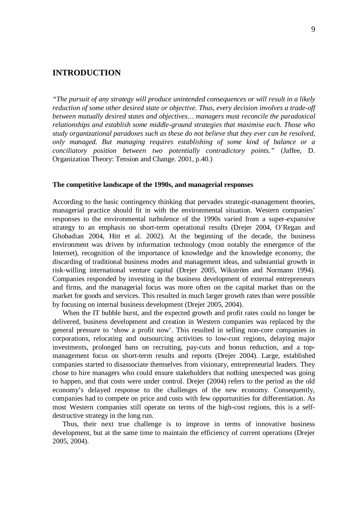# **INTRODUCTION**

*"The pursuit of any strategy will produce unintended consequences or will result in a likely reduction of some other desired state or objective. Thus, every decision involves a trade-off between mutually desired states and objectives… managers must reconcile the paradoxical relationships and establish some middle-ground strategies that maximise each. Those who study organizational paradoxes such as these do not believe that they ever can be resolved, only managed. But managing requires establishing of some kind of balance or a conciliatory position between two potentially contradictory points."* (Jaffee, D. Organization Theory: Tension and Change. 2001, p.40.)

### **The competitive landscape of the 1990s, and managerial responses**

According to the basic contingency thinking that pervades strategic-management theories, managerial practice should fit in with the environmental situation. Western companies' responses to the environmental turbulence of the 1990s varied from a super-expansive strategy to an emphasis on short-term operational results (Drejer 2004, O'Regan and Ghobadian 2004, Hitt et al. 2002). At the beginning of the decade, the business environment was driven by information technology (most notably the emergence of the Internet), recognition of the importance of knowledge and the knowledge economy, the discarding of traditional business modes and management ideas, and substantial growth in risk-willing international venture capital (Drejer 2005, Wikström and Normann 1994). Companies responded by investing in the business development of external entrepreneurs and firms, and the managerial focus was more often on the capital market than on the market for goods and services. This resulted in much larger growth rates than were possible by focusing on internal business development (Drejer 2005, 2004).

When the IT bubble burst, and the expected growth and profit rates could no longer be delivered, business development and creation in Western companies was replaced by the general pressure to 'show a profit now'. This resulted in selling non-core companies in corporations, relocating and outsourcing activities to low-cost regions, delaying major investments, prolonged bans on recruiting, pay-cuts and bonus reduction, and a topmanagement focus on short-term results and reports (Drejer 2004). Large, established companies started to disassociate themselves from visionary, entrepreneurial leaders. They chose to hire managers who could ensure stakeholders that nothing unexpected was going to happen, and that costs were under control. Drejer (2004) refers to the period as the old economy's delayed response to the challenges of the new economy. Consequently, companies had to compete on price and costs with few opportunities for differentiation. As most Western companies still operate on terms of the high-cost regions, this is a selfdestructive strategy in the long run.

Thus, their next true challenge is to improve in terms of innovative business development, but at the same time to maintain the efficiency of current operations (Drejer 2005, 2004).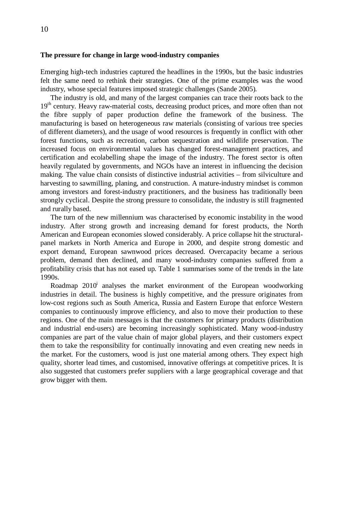### **The pressure for change in large wood-industry companies**

Emerging high-tech industries captured the headlines in the 1990s, but the basic industries felt the same need to rethink their strategies. One of the prime examples was the wood industry, whose special features imposed strategic challenges (Sande 2005).

The industry is old, and many of the largest companies can trace their roots back to the 19<sup>th</sup> century. Heavy raw-material costs, decreasing product prices, and more often than not the fibre supply of paper production define the framework of the business. The manufacturing is based on heterogeneous raw materials (consisting of various tree species of different diameters), and the usage of wood resources is frequently in conflict with other forest functions, such as recreation, carbon sequestration and wildlife preservation. The increased focus on environmental values has changed forest-management practices, and certification and ecolabelling shape the image of the industry. The forest sector is often heavily regulated by governments, and NGOs have an interest in influencing the decision making. The value chain consists of distinctive industrial activities – from silviculture and harvesting to sawmilling, planing, and construction. A mature-industry mindset is common among investors and forest-industry practitioners, and the business has traditionally been strongly cyclical. Despite the strong pressure to consolidate, the industry is still fragmented and rurally based.

The turn of the new millennium was characterised by economic instability in the wood industry. After strong growth and increasing demand for forest products, the North American and European economies slowed considerably. A price collapse hit the structuralpanel markets in North America and Europe in 2000, and despite strong domestic and export demand, European sawnwood prices decreased. Overcapacity became a serious problem, demand then declined, and many wood-industry companies suffered from a profitability crisis that has not eased up. Table 1 summarises some of the trends in the late 1990s.

Roadmap 2010<sup>i</sup> analyses the market environment of the European woodworking industries in detail. The business is highly competitive, and the pressure originates from low-cost regions such as South America, Russia and Eastern Europe that enforce Western companies to continuously improve efficiency, and also to move their production to these regions. One of the main messages is that the customers for primary products (distribution and industrial end-users) are becoming increasingly sophisticated. Many wood-industry companies are part of the value chain of major global players, and their customers expect them to take the responsibility for continually innovating and even creating new needs in the market. For the customers, wood is just one material among others. They expect high quality, shorter lead times, and customised, innovative offerings at competitive prices. It is also suggested that customers prefer suppliers with a large geographical coverage and that grow bigger with them.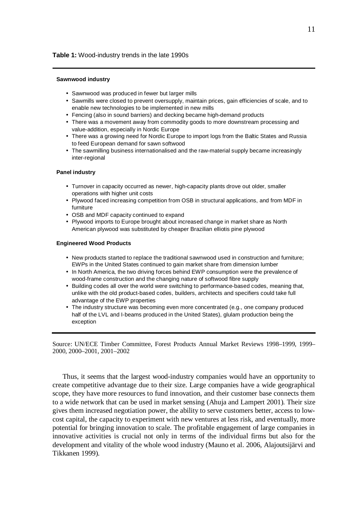### **Table 1:** Wood-industry trends in the late 1990s

#### **Sawnwood industry**

- Sawnwood was produced in fewer but larger mills
- Sawmills were closed to prevent oversupply, maintain prices, gain efficiencies of scale, and to enable new technologies to be implemented in new mills
- Fencing (also in sound barriers) and decking became high-demand products
- There was a movement away from commodity goods to more downstream processing and value-addition, especially in Nordic Europe
- There was a growing need for Nordic Europe to import logs from the Baltic States and Russia to feed European demand for sawn softwood
- The sawmilling business internationalised and the raw-material supply became increasingly inter-regional

#### **Panel industry**

- Turnover in capacity occurred as newer, high-capacity plants drove out older, smaller operations with higher unit costs
- Plywood faced increasing competition from OSB in structural applications, and from MDF in furniture
- OSB and MDF capacity continued to expand
- Plywood imports to Europe brought about increased change in market share as North American plywood was substituted by cheaper Brazilian elliotis pine plywood

#### **Engineered Wood Products**

- New products started to replace the traditional sawnwood used in construction and furniture; EWPs in the United States continued to gain market share from dimension lumber
- In North America, the two driving forces behind EWP consumption were the prevalence of wood-frame construction and the changing nature of softwood fibre supply
- Building codes all over the world were switching to performance-based codes, meaning that, unlike with the old product-based codes, builders, architects and specifiers could take full advantage of the EWP properties
- The industry structure was becoming even more concentrated (e.g., one company produced half of the LVL and I-beams produced in the United States), glulam production being the exception

Source: UN/ECE Timber Committee, Forest Products Annual Market Reviews 1998–1999, 1999– 2000, 2000–2001, 2001–2002

Thus, it seems that the largest wood-industry companies would have an opportunity to create competitive advantage due to their size. Large companies have a wide geographical scope, they have more resources to fund innovation, and their customer base connects them to a wide network that can be used in market sensing (Ahuja and Lampert 2001). Their size gives them increased negotiation power, the ability to serve customers better, access to lowcost capital, the capacity to experiment with new ventures at less risk, and eventually, more potential for bringing innovation to scale. The profitable engagement of large companies in innovative activities is crucial not only in terms of the individual firms but also for the development and vitality of the whole wood industry (Mauno et al. 2006, Alajoutsijärvi and Tikkanen 1999).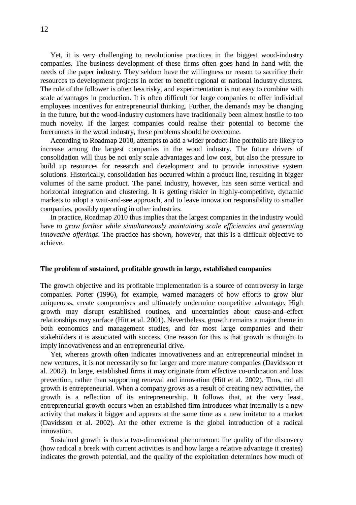Yet, it is very challenging to revolutionise practices in the biggest wood-industry companies. The business development of these firms often goes hand in hand with the needs of the paper industry. They seldom have the willingness or reason to sacrifice their resources to development projects in order to benefit regional or national industry clusters. The role of the follower is often less risky, and experimentation is not easy to combine with scale advantages in production. It is often difficult for large companies to offer individual employees incentives for entrepreneurial thinking. Further, the demands may be changing in the future, but the wood-industry customers have traditionally been almost hostile to too much novelty. If the largest companies could realise their potential to become the forerunners in the wood industry, these problems should be overcome.

According to Roadmap 2010, attempts to add a wider product-line portfolio are likely to increase among the largest companies in the wood industry. The future drivers of consolidation will thus be not only scale advantages and low cost, but also the pressure to build up resources for research and development and to provide innovative system solutions. Historically, consolidation has occurred within a product line, resulting in bigger volumes of the same product. The panel industry, however, has seen some vertical and horizontal integration and clustering. It is getting riskier in highly-competitive, dynamic markets to adopt a wait-and-see approach, and to leave innovation responsibility to smaller companies, possibly operating in other industries.

In practice, Roadmap 2010 thus implies that the largest companies in the industry would have *to grow further while simultaneously maintaining scale efficiencies and generating innovative offerings*. The practice has shown, however, that this is a difficult objective to achieve.

#### **The problem of sustained, profitable growth in large, established companies**

The growth objective and its profitable implementation is a source of controversy in large companies. Porter (1996), for example, warned managers of how efforts to grow blur uniqueness, create compromises and ultimately undermine competitive advantage. High growth may disrupt established routines, and uncertainties about cause-and–effect relationships may surface (Hitt et al. 2001). Nevertheless, growth remains a major theme in both economics and management studies, and for most large companies and their stakeholders it is associated with success. One reason for this is that growth is thought to imply innovativeness and an entrepreneurial drive.

Yet, whereas growth often indicates innovativeness and an entrepreneurial mindset in new ventures, it is not necessarily so for larger and more mature companies (Davidsson et al. 2002). In large, established firms it may originate from effective co-ordination and loss prevention, rather than supporting renewal and innovation (Hitt et al. 2002). Thus, not all growth is entrepreneurial. When a company grows as a result of creating new activities, the growth is a reflection of its entrepreneurship. It follows that, at the very least, entrepreneurial growth occurs when an established firm introduces what internally is a new activity that makes it bigger and appears at the same time as a new imitator to a market (Davidsson et al. 2002). At the other extreme is the global introduction of a radical innovation.

Sustained growth is thus a two-dimensional phenomenon: the quality of the discovery (how radical a break with current activities is and how large a relative advantage it creates) indicates the growth potential, and the quality of the exploitation determines how much of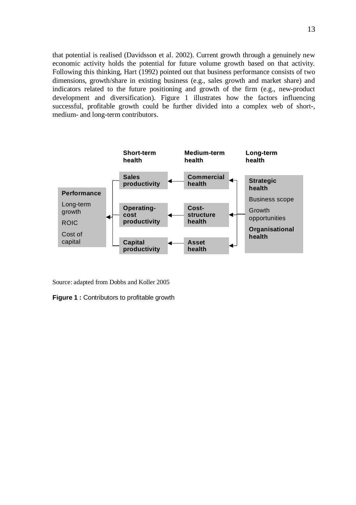that potential is realised (Davidsson et al. 2002). Current growth through a genuinely new economic activity holds the potential for future volume growth based on that activity. Following this thinking, Hart (1992) pointed out that business performance consists of two dimensions, growth/share in existing business (e.g., sales growth and market share) and indicators related to the future positioning and growth of the firm (e.g., new-product development and diversification). Figure 1 illustrates how the factors influencing successful, profitable growth could be further divided into a complex web of short-, medium- and long-term contributors.



Source: adapted from Dobbs and Koller 2005

**Figure 1 :** Contributors to profitable growth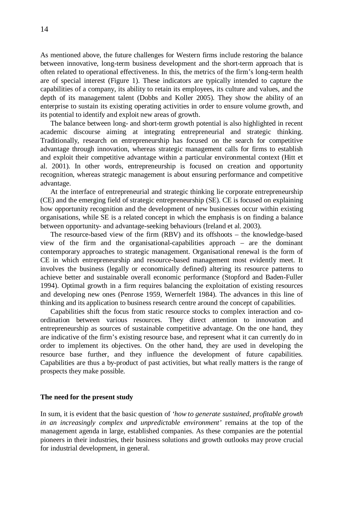As mentioned above, the future challenges for Western firms include restoring the balance between innovative, long-term business development and the short-term approach that is often related to operational effectiveness. In this, the metrics of the firm's long-term health are of special interest (Figure 1). These indicators are typically intended to capture the capabilities of a company, its ability to retain its employees, its culture and values, and the depth of its management talent (Dobbs and Koller 2005). They show the ability of an enterprise to sustain its existing operating activities in order to ensure volume growth, and its potential to identify and exploit new areas of growth.

The balance between long- and short-term growth potential is also highlighted in recent academic discourse aiming at integrating entrepreneurial and strategic thinking. Traditionally, research on entrepreneurship has focused on the search for competitive advantage through innovation, whereas strategic management calls for firms to establish and exploit their competitive advantage within a particular environmental context (Hitt et al. 2001). In other words, entrepreneurship is focused on creation and opportunity recognition, whereas strategic management is about ensuring performance and competitive advantage.

At the interface of entrepreneurial and strategic thinking lie corporate entrepreneurship (CE) and the emerging field of strategic entrepreneurship (SE). CE is focused on explaining how opportunity recognition and the development of new businesses occur within existing organisations, while SE is a related concept in which the emphasis is on finding a balance between opportunity- and advantage-seeking behaviours (Ireland et al. 2003).

The resource-based view of the firm (RBV) and its offshoots – the knowledge-based view of the firm and the organisational-capabilities approach – are the dominant contemporary approaches to strategic management. Organisational renewal is the form of CE in which entrepreneurship and resource-based management most evidently meet. It involves the business (legally or economically defined) altering its resource patterns to achieve better and sustainable overall economic performance (Stopford and Baden-Fuller 1994). Optimal growth in a firm requires balancing the exploitation of existing resources and developing new ones (Penrose 1959, Wernerfelt 1984). The advances in this line of thinking and its application to business research centre around the concept of capabilities.

Capabilities shift the focus from static resource stocks to complex interaction and coordination between various resources. They direct attention to innovation and entrepreneurship as sources of sustainable competitive advantage. On the one hand, they are indicative of the firm's existing resource base, and represent what it can currently do in order to implement its objectives. On the other hand, they are used in developing the resource base further, and they influence the development of future capabilities. Capabilities are thus a by-product of past activities, but what really matters is the range of prospects they make possible.

#### **The need for the present study**

In sum, it is evident that the basic question of *'how to generate sustained, profitable growth in an increasingly complex and unpredictable environment'* remains at the top of the management agenda in large, established companies. As these companies are the potential pioneers in their industries, their business solutions and growth outlooks may prove crucial for industrial development, in general.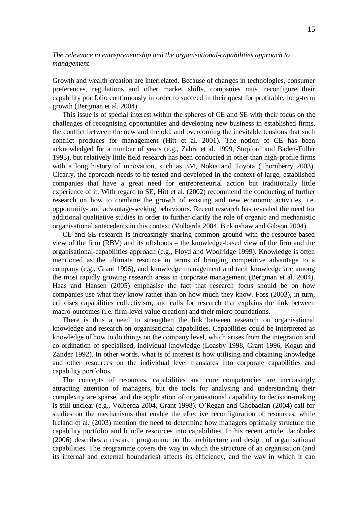## *The relevance to entrepreneurship and the organisational-capabilities approach to management*

Growth and wealth creation are interrelated. Because of changes in technologies, consumer preferences, regulations and other market shifts, companies must reconfigure their capability portfolio continuously in order to succeed in their quest for profitable, long-term growth (Bergman et al. 2004).

This issue is of special interest within the spheres of CE and SE with their focus on the challenges of recognising opportunities and developing new business in established firms, the conflict between the new and the old, and overcoming the inevitable tensions that such conflict produces for management (Hitt et al. 2001). The notion of CE has been acknowledged for a number of years (e.g., Zahra et al. 1999, Stopford and Baden-Fuller 1993), but relatively little field research has been conducted in other than high-profile firms with a long history of innovation, such as 3M, Nokia and Toyota (Thornberry 2003). Clearly, the approach needs to be tested and developed in the context of large, established companies that have a great need for entrepreneurial action but traditionally little experience of it. With regard to SE, Hitt et al. (2002) recommend the conducting of further research on how to combine the growth of existing and new economic activities, i.e. opportunity- and advantage-seeking behaviours. Recent research has revealed the need for additional qualitative studies in order to further clarify the role of organic and mechanistic organisational antecedents in this context (Volberda 2004, Birkinshaw and Gibson 2004).

CE and SE research is increasingly sharing common ground with the resource-based view of the firm (RBV) and its offshoots – the knowledge-based view of the firm and the organisational-capabilities approach (e.g., Floyd and Woolridge 1999). Knowledge is often mentioned as the ultimate resource in terms of bringing competitive advantage to a company (e.g., Grant 1996), and knowledge management and tacit knowledge are among the most rapidly growing research areas in corporate management (Bergman et al. 2004). Haas and Hansen (2005) emphasise the fact that research focus should be on how companies use what they know rather than on how much they know. Foss (2003), in turn, criticises capabilities collectivism, and calls for research that explains the link between macro-outcomes (i.e. firm-level value creation) and their micro-foundations.

There is thus a need to strengthen the link between research on organisational knowledge and research on organisational capabilities. Capabilities could be interpreted as knowledge of how to do things on the company level, which arises from the integration and co-ordination of specialised, individual knowledge (Loasby 1998, Grant 1996, Kogut and Zander 1992). In other words, what is of interest is how utilising and obtaining knowledge and other resources on the individual level translates into corporate capabilities and capability portfolios.

The concepts of resources, capabilities and core competencies are increasingly attracting attention of managers, but the tools for analysing and understanding their complexity are sparse, and the application of organisational capability to decision-making is still unclear (e.g., Volberda 2004, Grant 1998). O'Regan and Ghobadian (2004) call for studies on the mechanisms that enable the effective reconfiguration of resources, while Ireland et al. (2003) mention the need to determine how managers optimally structure the capability portfolio and bundle resources into capabilities. In his recent article, Jacobides (2006) describes a research programme on the architecture and design of organisational capabilities. The programme covers the way in which the structure of an organisation (and its internal and external boundaries) affects its efficiency, and the way in which it can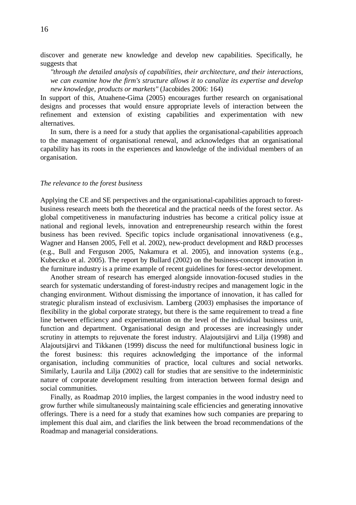discover and generate new knowledge and develop new capabilities. Specifically, he suggests that

*"through the detailed analysis of capabilities, their architecture, and their interactions, we can examine how the firm's structure allows it to canalize its expertise and develop new knowledge, products or markets"* (Jacobides 2006: 164)

In support of this, Atuahene-Gima (2005) encourages further research on organisational designs and processes that would ensure appropriate levels of interaction between the refinement and extension of existing capabilities and experimentation with new alternatives.

In sum, there is a need for a study that applies the organisational-capabilities approach to the management of organisational renewal, and acknowledges that an organisational capability has its roots in the experiences and knowledge of the individual members of an organisation.

#### *The relevance to the forest business*

Applying the CE and SE perspectives and the organisational-capabilities approach to forestbusiness research meets both the theoretical and the practical needs of the forest sector. As global competitiveness in manufacturing industries has become a critical policy issue at national and regional levels, innovation and entrepreneurship research within the forest business has been revived. Specific topics include organisational innovativeness (e.g., Wagner and Hansen 2005, Fell et al. 2002), new-product development and R&D processes (e.g., Bull and Ferguson 2005, Nakamura et al. 2005), and innovation systems (e.g., Kubeczko et al. 2005). The report by Bullard (2002) on the business-concept innovation in the furniture industry is a prime example of recent guidelines for forest-sector development.

Another stream of research has emerged alongside innovation-focused studies in the search for systematic understanding of forest-industry recipes and management logic in the changing environment. Without dismissing the importance of innovation, it has called for strategic pluralism instead of exclusivism. Lamberg (2003) emphasises the importance of flexibility in the global corporate strategy, but there is the same requirement to tread a fine line between efficiency and experimentation on the level of the individual business unit, function and department. Organisational design and processes are increasingly under scrutiny in attempts to rejuvenate the forest industry. Alajoutsijärvi and Lilja (1998) and Alajoutsijärvi and Tikkanen (1999) discuss the need for multifunctional business logic in the forest business: this requires acknowledging the importance of the informal organisation, including communities of practice, local cultures and social networks. Similarly, Laurila and Lilja (2002) call for studies that are sensitive to the indeterministic nature of corporate development resulting from interaction between formal design and social communities.

Finally, as Roadmap 2010 implies, the largest companies in the wood industry need to grow further while simultaneously maintaining scale efficiencies and generating innovative offerings. There is a need for a study that examines how such companies are preparing to implement this dual aim, and clarifies the link between the broad recommendations of the Roadmap and managerial considerations.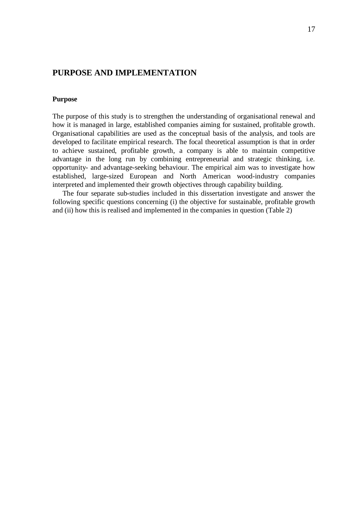# **PURPOSE AND IMPLEMENTATION**

### **Purpose**

The purpose of this study is to strengthen the understanding of organisational renewal and how it is managed in large, established companies aiming for sustained, profitable growth. Organisational capabilities are used as the conceptual basis of the analysis, and tools are developed to facilitate empirical research. The focal theoretical assumption is that in order to achieve sustained, profitable growth, a company is able to maintain competitive advantage in the long run by combining entrepreneurial and strategic thinking, i.e. opportunity- and advantage-seeking behaviour. The empirical aim was to investigate how established, large-sized European and North American wood-industry companies interpreted and implemented their growth objectives through capability building.

The four separate sub-studies included in this dissertation investigate and answer the following specific questions concerning (i) the objective for sustainable, profitable growth and (ii) how this is realised and implemented in the companies in question (Table 2)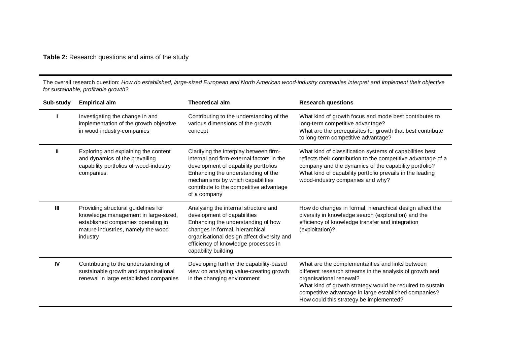# **Table 2:** Research questions and aims of the study

The overall research question: *How do established, large-sized European and North American wood-industry companies interpret and implement their objective for sustainable, profitable growth?*

| Sub-study | <b>Empirical aim</b>                                                                                                                                                | <b>Theoretical aim</b>                                                                                                                                                                                                                                           | <b>Research questions</b>                                                                                                                                                                                                                                                                                |
|-----------|---------------------------------------------------------------------------------------------------------------------------------------------------------------------|------------------------------------------------------------------------------------------------------------------------------------------------------------------------------------------------------------------------------------------------------------------|----------------------------------------------------------------------------------------------------------------------------------------------------------------------------------------------------------------------------------------------------------------------------------------------------------|
|           | Investigating the change in and<br>implementation of the growth objective<br>in wood industry-companies                                                             | Contributing to the understanding of the<br>various dimensions of the growth<br>concept                                                                                                                                                                          | What kind of growth focus and mode best contributes to<br>long-term competitive advantage?<br>What are the prerequisites for growth that best contribute<br>to long-term competitive advantage?                                                                                                          |
| Ш         | Exploring and explaining the content<br>and dynamics of the prevailing<br>capability portfolios of wood-industry<br>companies.                                      | Clarifying the interplay between firm-<br>internal and firm-external factors in the<br>development of capability portfolios<br>Enhancing the understanding of the<br>mechanisms by which capabilities<br>contribute to the competitive advantage<br>of a company | What kind of classification systems of capabilities best<br>reflects their contribution to the competitive advantage of a<br>company and the dynamics of the capability portfolio?<br>What kind of capability portfolio prevails in the leading<br>wood-industry companies and why?                      |
| Ш         | Providing structural guidelines for<br>knowledge management in large-sized,<br>established companies operating in<br>mature industries, namely the wood<br>industry | Analysing the internal structure and<br>development of capabilities<br>Enhancing the understanding of how<br>changes in formal, hierarchical<br>organisational design affect diversity and<br>efficiency of knowledge processes in<br>capability building        | How do changes in formal, hierarchical design affect the<br>diversity in knowledge search (exploration) and the<br>efficiency of knowledge transfer and integration<br>(exploitation)?                                                                                                                   |
| IV        | Contributing to the understanding of<br>sustainable growth and organisational<br>renewal in large established companies                                             | Developing further the capability-based<br>view on analysing value-creating growth<br>in the changing environment                                                                                                                                                | What are the complementarities and links between<br>different research streams in the analysis of growth and<br>organisational renewal?<br>What kind of growth strategy would be required to sustain<br>competitive advantage in large established companies?<br>How could this strategy be implemented? |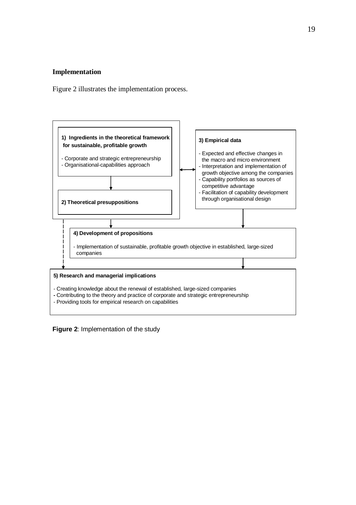### **Implementation**

Figure 2 illustrates the implementation process.



**Figure 2**: Implementation of the study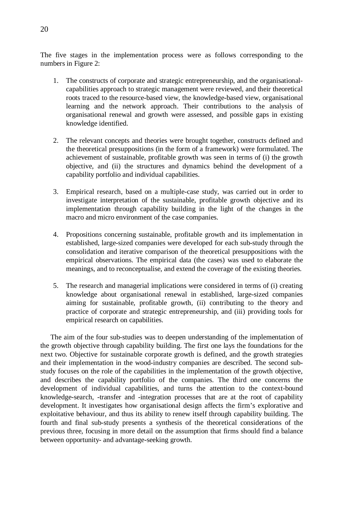The five stages in the implementation process were as follows corresponding to the numbers in Figure 2:

- 1. The constructs of corporate and strategic entrepreneurship, and the organisationalcapabilities approach to strategic management were reviewed, and their theoretical roots traced to the resource-based view, the knowledge-based view, organisational learning and the network approach. Their contributions to the analysis of organisational renewal and growth were assessed, and possible gaps in existing knowledge identified.
- 2. The relevant concepts and theories were brought together, constructs defined and the theoretical presuppositions (in the form of a framework) were formulated. The achievement of sustainable, profitable growth was seen in terms of (i) the growth objective, and (ii) the structures and dynamics behind the development of a capability portfolio and individual capabilities.
- 3. Empirical research, based on a multiple-case study, was carried out in order to investigate interpretation of the sustainable, profitable growth objective and its implementation through capability building in the light of the changes in the macro and micro environment of the case companies.
- 4. Propositions concerning sustainable, profitable growth and its implementation in established, large-sized companies were developed for each sub-study through the consolidation and iterative comparison of the theoretical presuppositions with the empirical observations. The empirical data (the cases) was used to elaborate the meanings, and to reconceptualise, and extend the coverage of the existing theories.
- 5. The research and managerial implications were considered in terms of (i) creating knowledge about organisational renewal in established, large-sized companies aiming for sustainable, profitable growth, (ii) contributing to the theory and practice of corporate and strategic entrepreneurship, and (iii) providing tools for empirical research on capabilities.

The aim of the four sub-studies was to deepen understanding of the implementation of the growth objective through capability building. The first one lays the foundations for the next two. Objective for sustainable corporate growth is defined, and the growth strategies and their implementation in the wood-industry companies are described. The second substudy focuses on the role of the capabilities in the implementation of the growth objective, and describes the capability portfolio of the companies. The third one concerns the development of individual capabilities, and turns the attention to the context-bound knowledge-search, -transfer and -integration processes that are at the root of capability development. It investigates how organisational design affects the firm's explorative and exploitative behaviour, and thus its ability to renew itself through capability building. The fourth and final sub-study presents a synthesis of the theoretical considerations of the previous three, focusing in more detail on the assumption that firms should find a balance between opportunity- and advantage-seeking growth.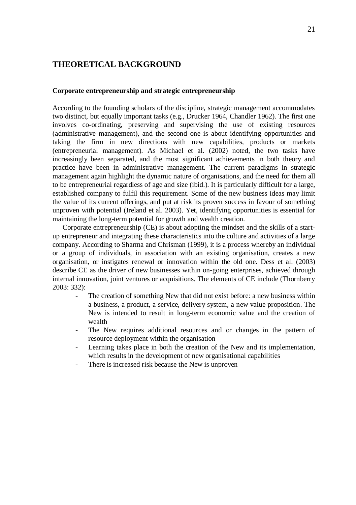# **THEORETICAL BACKGROUND**

### **Corporate entrepreneurship and strategic entrepreneurship**

According to the founding scholars of the discipline, strategic management accommodates two distinct, but equally important tasks (e.g., Drucker 1964, Chandler 1962). The first one involves co-ordinating, preserving and supervising the use of existing resources (administrative management), and the second one is about identifying opportunities and taking the firm in new directions with new capabilities, products or markets (entrepreneurial management). As Michael et al. (2002) noted, the two tasks have increasingly been separated, and the most significant achievements in both theory and practice have been in administrative management. The current paradigms in strategic management again highlight the dynamic nature of organisations, and the need for them all to be entrepreneurial regardless of age and size (ibid.). It is particularly difficult for a large, established company to fulfil this requirement. Some of the new business ideas may limit the value of its current offerings, and put at risk its proven success in favour of something unproven with potential (Ireland et al. 2003). Yet, identifying opportunities is essential for maintaining the long-term potential for growth and wealth creation.

Corporate entrepreneurship (CE) is about adopting the mindset and the skills of a startup entrepreneur and integrating these characteristics into the culture and activities of a large company. According to Sharma and Chrisman (1999), it is a process whereby an individual or a group of individuals, in association with an existing organisation, creates a new organisation, or instigates renewal or innovation within the old one. Dess et al. (2003) describe CE as the driver of new businesses within on-going enterprises, achieved through internal innovation, joint ventures or acquisitions. The elements of CE include (Thornberry 2003: 332):

- The creation of something New that did not exist before: a new business within a business, a product, a service, delivery system, a new value proposition. The New is intended to result in long-term economic value and the creation of wealth
- The New requires additional resources and or changes in the pattern of resource deployment within the organisation
- Learning takes place in both the creation of the New and its implementation, which results in the development of new organisational capabilities
- There is increased risk because the New is unproven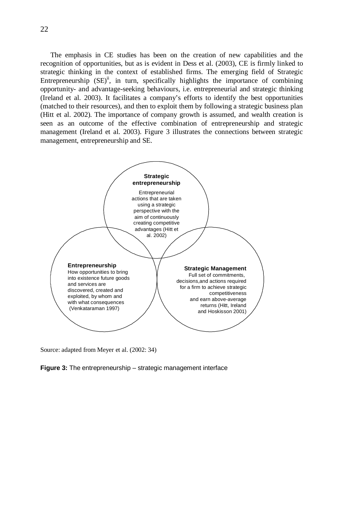The emphasis in CE studies has been on the creation of new capabilities and the recognition of opportunities, but as is evident in Dess et al. (2003), CE is firmly linked to strategic thinking in the context of established firms. The emerging field of Strategic Entrepreneurship  $(SE)^{ii}$ , in turn, specifically highlights the importance of combining opportunity- and advantage-seeking behaviours, i.e. entrepreneurial and strategic thinking (Ireland et al. 2003). It facilitates a company's efforts to identify the best opportunities (matched to their resources), and then to exploit them by following a strategic business plan (Hitt et al. 2002). The importance of company growth is assumed, and wealth creation is seen as an outcome of the effective combination of entrepreneurship and strategic management (Ireland et al. 2003). Figure 3 illustrates the connections between strategic management, entrepreneurship and SE.



Source: adapted from Meyer et al. (2002: 34)

**Figure 3:** The entrepreneurship – strategic management interface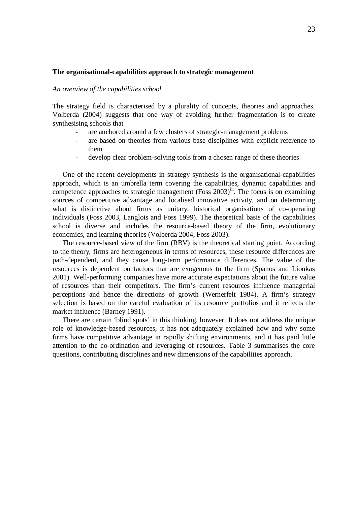### **The organisational-capabilities approach to strategic management**

### *An overview of the capabilities school*

The strategy field is characterised by a plurality of concepts, theories and approaches. Volberda (2004) suggests that one way of avoiding further fragmentation is to create synthesising schools that

- are anchored around a few clusters of strategic-management problems
- are based on theories from various base disciplines with explicit reference to them
- develop clear problem-solving tools from a chosen range of these theories

One of the recent developments in strategy synthesis is the organisational-capabilities approach, which is an umbrella term covering the capabilities, dynamic capabilities and competence approaches to strategic management (Foss  $2003$ )<sup>iii</sup>. The focus is on examining sources of competitive advantage and localised innovative activity, and on determining what is distinctive about firms as unitary, historical organisations of co-operating individuals (Foss 2003, Langlois and Foss 1999). The theoretical basis of the capabilities school is diverse and includes the resource-based theory of the firm, evolutionary economics, and learning theories (Volberda 2004, Foss 2003).

The resource-based view of the firm (RBV) is the theoretical starting point. According to the theory, firms are heterogeneous in terms of resources, these resource differences are path-dependent, and they cause long-term performance differences. The value of the resources is dependent on factors that are exogenous to the firm (Spanos and Lioukas 2001). Well-performing companies have more accurate expectations about the future value of resources than their competitors. The firm's current resources influence managerial perceptions and hence the directions of growth (Wernerfelt 1984). A firm's strategy selection is based on the careful evaluation of its resource portfolios and it reflects the market influence (Barney 1991).

There are certain 'blind spots' in this thinking, however. It does not address the unique role of knowledge-based resources, it has not adequately explained how and why some firms have competitive advantage in rapidly shifting environments, and it has paid little attention to the co-ordination and leveraging of resources. Table 3 summarises the core questions, contributing disciplines and new dimensions of the capabilities approach.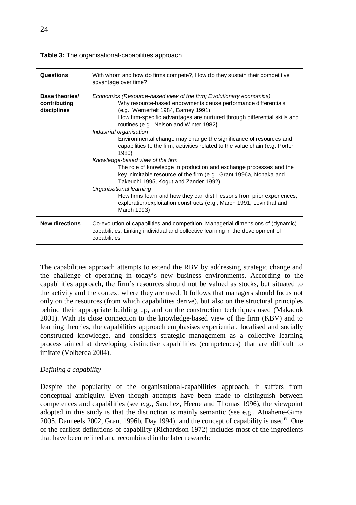| Questions                                     | With whom and how do firms compete?, How do they sustain their competitive<br>advantage over time?                                                                                                                                                                                                                                                                                                                                                                                                                                                                                                                                                                                                                                                                                                                                                                                                                  |
|-----------------------------------------------|---------------------------------------------------------------------------------------------------------------------------------------------------------------------------------------------------------------------------------------------------------------------------------------------------------------------------------------------------------------------------------------------------------------------------------------------------------------------------------------------------------------------------------------------------------------------------------------------------------------------------------------------------------------------------------------------------------------------------------------------------------------------------------------------------------------------------------------------------------------------------------------------------------------------|
| Base theories/<br>contributing<br>disciplines | Economics (Resource-based view of the firm; Evolutionary economics)<br>Why resource-based endowments cause performance differentials<br>(e.g., Wernerfelt 1984, Barney 1991)<br>How firm-specific advantages are nurtured through differential skills and<br>routines (e.g., Nelson and Winter 1982)<br>Industrial organisation<br>Environmental change may change the significance of resources and<br>capabilities to the firm; activities related to the value chain (e.g. Porter<br>1980)<br>Knowledge-based view of the firm<br>The role of knowledge in production and exchange processes and the<br>key inimitable resource of the firm (e.g., Grant 1996a, Nonaka and<br>Takeuchi 1995, Kogut and Zander 1992)<br>Organisational learning<br>How firms learn and how they can distil lessons from prior experiences;<br>exploration/exploitation constructs (e.g., March 1991, Levinthal and<br>March 1993) |
| <b>New directions</b>                         | Co-evolution of capabilities and competition, Managerial dimensions of (dynamic)<br>capabilities, Linking individual and collective learning in the development of<br>capabilities                                                                                                                                                                                                                                                                                                                                                                                                                                                                                                                                                                                                                                                                                                                                  |

**Table 3:** The organisational-capabilities approach

The capabilities approach attempts to extend the RBV by addressing strategic change and the challenge of operating in today's new business environments. According to the capabilities approach, the firm's resources should not be valued as stocks, but situated to the activity and the context where they are used. It follows that managers should focus not only on the resources (from which capabilities derive), but also on the structural principles behind their appropriate building up, and on the construction techniques used (Makadok 2001). With its close connection to the knowledge-based view of the firm (KBV) and to learning theories, the capabilities approach emphasises experiential, localised and socially constructed knowledge, and considers strategic management as a collective learning process aimed at developing distinctive capabilities (competences) that are difficult to imitate (Volberda 2004).

### *Defining a capability*

Despite the popularity of the organisational-capabilities approach, it suffers from conceptual ambiguity. Even though attempts have been made to distinguish between competences and capabilities (see e.g., Sanchez, Heene and Thomas 1996), the viewpoint adopted in this study is that the distinction is mainly semantic (see e.g., Atuahene-Gima 2005, Danneels 2002, Grant 1996b, Day 1994), and the concept of capability is usediv. One of the earliest definitions of capability (Richardson 1972) includes most of the ingredients that have been refined and recombined in the later research: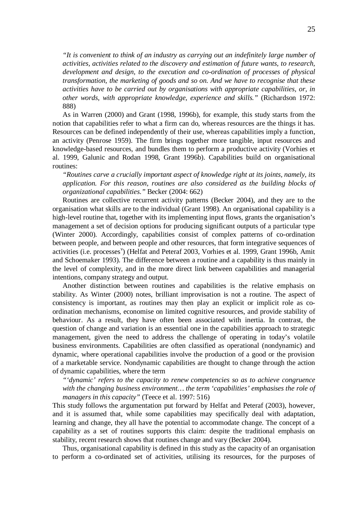*"It is convenient to think of an industry as carrying out an indefinitely large number of activities, activities related to the discovery and estimation of future wants, to research, development and design, to the execution and co-ordination of processes of physical transformation, the marketing of goods and so on. And we have to recognise that these activities have to be carried out by organisations with appropriate capabilities, or, in other words, with appropriate knowledge, experience and skills."* (Richardson 1972: 888)

As in Warren (2000) and Grant (1998, 1996b), for example, this study starts from the notion that capabilities refer to what a firm can do, whereas resources are the things it has. Resources can be defined independently of their use, whereas capabilities imply a function, an activity (Penrose 1959). The firm brings together more tangible, input resources and knowledge-based resources, and bundles them to perform a productive activity (Vorhies et al. 1999, Galunic and Rodan 1998, Grant 1996b). Capabilities build on organisational routines:

*"Routines carve a crucially important aspect of knowledge right at its joints, namely, its application. For this reason, routines are also considered as the building blocks of organizational capabilities."*Becker (2004: 662)

Routines are collective recurrent activity patterns (Becker 2004), and they are to the organisation what skills are to the individual (Grant 1998). An organisational capability is a high-level routine that, together with its implementing input flows, grants the organisation's management a set of decision options for producing significant outputs of a particular type (Winter 2000). Accordingly, capabilities consist of complex patterns of co-ordination between people, and between people and other resources, that form integrative sequences of activities (i.e. processes<sup>v</sup>) (Helfat and Peteraf 2003, Vorhies et al. 1999, Grant 1996b, Amit and Schoemaker 1993). The difference between a routine and a capability is thus mainly in the level of complexity, and in the more direct link between capabilities and managerial intentions, company strategy and output.

Another distinction between routines and capabilities is the relative emphasis on stability. As Winter (2000) notes, brilliant improvisation is not a routine. The aspect of consistency is important, as routines may then play an explicit or implicit role as coordination mechanisms, economise on limited cognitive resources, and provide stability of behaviour. As a result, they have often been associated with inertia. In contrast, the question of change and variation is an essential one in the capabilities approach to strategic management, given the need to address the challenge of operating in today's volatile business environments. Capabilities are often classified as operational (nondynamic) and dynamic, where operational capabilities involve the production of a good or the provision of a marketable service. Nondynamic capabilities are thought to change through the action of dynamic capabilities, where the term

*"'dynamic' refers to the capacity to renew competencies so as to achieve congruence with the changing business environment… the term 'capabilities' emphasises the role of managers in this capacity"*(Teece et al. 1997: 516)

This study follows the argumentation put forward by Helfat and Peteraf (2003), however, and it is assumed that, while some capabilities may specifically deal with adaptation, learning and change, they all have the potential to accommodate change. The concept of a capability as a set of routines supports this claim: despite the traditional emphasis on stability, recent research shows that routines change and vary (Becker 2004).

Thus, organisational capability is defined in this study as the capacity of an organisation to perform a co-ordinated set of activities, utilising its resources, for the purposes of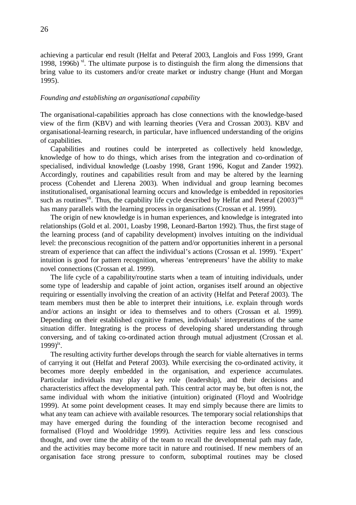achieving a particular end result (Helfat and Peteraf 2003, Langlois and Foss 1999, Grant 1998, 1996b)  $\mathrm{v}^i$ . The ultimate purpose is to distinguish the firm along the dimensions that bring value to its customers and/or create market or industry change (Hunt and Morgan 1995).

### *Founding and establishing an organisational capability*

The organisational-capabilities approach has close connections with the knowledge-based view of the firm (KBV) and with learning theories (Vera and Crossan 2003). KBV and organisational-learning research, in particular, have influenced understanding of the origins of capabilities.

Capabilities and routines could be interpreted as collectively held knowledge, knowledge of how to do things, which arises from the integration and co-ordination of specialised, individual knowledge (Loasby 1998, Grant 1996, Kogut and Zander 1992). Accordingly, routines and capabilities result from and may be altered by the learning process (Cohendet and Llerena 2003). When individual and group learning becomes institutionalised, organisational learning occurs and knowledge is embedded in repositories such as routines<sup>vii</sup>. Thus, the capability life cycle described by Helfat and Peteraf  $(2003)^{viii}$ has many parallels with the learning process in organisations (Crossan et al. 1999).

The origin of new knowledge is in human experiences, and knowledge is integrated into relationships (Gold et al. 2001, Loasby 1998, Leonard-Barton 1992). Thus, the first stage of the learning process (and of capability development) involves intuiting on the individual level: the preconscious recognition of the pattern and/or opportunities inherent in a personal stream of experience that can affect the individual's actions (Crossan et al. 1999). 'Expert' intuition is good for pattern recognition, whereas 'entrepreneurs' have the ability to make novel connections (Crossan et al. 1999).

The life cycle of a capability/routine starts when a team of intuiting individuals, under some type of leadership and capable of joint action, organises itself around an objective requiring or essentially involving the creation of an activity (Helfat and Peteraf 2003). The team members must then be able to interpret their intuitions, i.e. explain through words and/or actions an insight or idea to themselves and to others (Crossan et al. 1999). Depending on their established cognitive frames, individuals' interpretations of the same situation differ. Integrating is the process of developing shared understanding through conversing, and of taking co-ordinated action through mutual adjustment (Crossan et al.  $1999)$ <sup>ix</sup>.

The resulting activity further develops through the search for viable alternatives in terms of carrying it out (Helfat and Peteraf 2003). While exercising the co-ordinated activity, it becomes more deeply embedded in the organisation, and experience accumulates. Particular individuals may play a key role (leadership), and their decisions and characteristics affect the developmental path. This central actor may be, but often is not, the same individual with whom the initiative (intuition) originated (Floyd and Woolridge 1999). At some point development ceases. It may end simply because there are limits to what any team can achieve with available resources. The temporary social relationships that may have emerged during the founding of the interaction become recognised and formalised (Floyd and Wooldridge 1999). Activities require less and less conscious thought, and over time the ability of the team to recall the developmental path may fade, and the activities may become more tacit in nature and routinised. If new members of an organisation face strong pressure to conform, suboptimal routines may be closed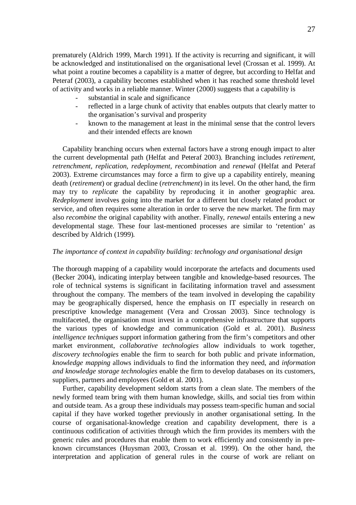prematurely (Aldrich 1999, March 1991). If the activity is recurring and significant, it will be acknowledged and institutionalised on the organisational level (Crossan et al. 1999). At what point a routine becomes a capability is a matter of degree, but according to Helfat and Peteraf (2003), a capability becomes established when it has reached some threshold level of activity and works in a reliable manner. Winter (2000) suggests that a capability is

- substantial in scale and significance
- reflected in a large chunk of activity that enables outputs that clearly matter to the organisation's survival and prosperity
- known to the management at least in the minimal sense that the control levers and their intended effects are known

Capability branching occurs when external factors have a strong enough impact to alter the current developmental path (Helfat and Peteraf 2003). Branching includes *retirement, retrenchment, replication, redeployment, recombination* and *renewal* (Helfat and Peteraf 2003). Extreme circumstances may force a firm to give up a capability entirely, meaning death (*retirement*) or gradual decline (*retrenchment*) in its level. On the other hand, the firm may try to *replicate* the capability by reproducing it in another geographic area. *Redeployment* involves going into the market for a different but closely related product or service, and often requires some alteration in order to serve the new market. The firm may also *recombine* the original capability with another. Finally, *renewal* entails entering a new developmental stage. These four last-mentioned processes are similar to 'retention' as described by Aldrich (1999).

#### *The importance of context in capability building: technology and organisational design*

The thorough mapping of a capability would incorporate the artefacts and documents used (Becker 2004), indicating interplay between tangible and knowledge-based resources. The role of technical systems is significant in facilitating information travel and assessment throughout the company. The members of the team involved in developing the capability may be geographically dispersed, hence the emphasis on IT especially in research on prescriptive knowledge management (Vera and Crossan 2003). Since technology is multifaceted, the organisation must invest in a comprehensive infrastructure that supports the various types of knowledge and communication (Gold et al. 2001). *Business intelligence techniques* support information gathering from the firm's competitors and other market environment, *collaborative technologies* allow individuals to work together, *discovery technologies* enable the firm to search for both public and private information, *knowledge mapping* allows individuals to find the information they need, and *information and knowledge storage technologies* enable the firm to develop databases on its customers, suppliers, partners and employees (Gold et al. 2001).

Further, capability development seldom starts from a clean slate. The members of the newly formed team bring with them human knowledge, skills, and social ties from within and outside team. As a group these individuals may possess team-specific human and social capital if they have worked together previously in another organisational setting. In the course of organisational-knowledge creation and capability development, there is a continuous codification of activities through which the firm provides its members with the generic rules and procedures that enable them to work efficiently and consistently in preknown circumstances (Huysman 2003, Crossan et al. 1999). On the other hand, the interpretation and application of general rules in the course of work are reliant on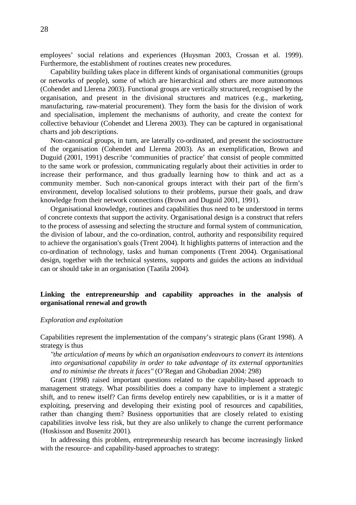employees' social relations and experiences (Huysman 2003, Crossan et al. 1999). Furthermore, the establishment of routines creates new procedures.

Capability building takes place in different kinds of organisational communities (groups or networks of people), some of which are hierarchical and others are more autonomous (Cohendet and Llerena 2003). Functional groups are vertically structured, recognised by the organisation, and present in the divisional structures and matrices (e.g., marketing, manufacturing, raw-material procurement). They form the basis for the division of work and specialisation, implement the mechanisms of authority, and create the context for collective behaviour (Cohendet and Llerena 2003). They can be captured in organisational charts and job descriptions.

Non-canonical groups, in turn, are laterally co-ordinated, and present the sociostructure of the organisation (Cohendet and Llerena 2003). As an exemplification, Brown and Duguid (2001, 1991) describe 'communities of practice' that consist of people committed to the same work or profession, communicating regularly about their activities in order to increase their performance, and thus gradually learning how to think and act as a community member. Such non-canonical groups interact with their part of the firm's environment, develop localised solutions to their problems, pursue their goals, and draw knowledge from their network connections (Brown and Duguid 2001, 1991).

Organisational knowledge, routines and capabilities thus need to be understood in terms of concrete contexts that support the activity. Organisational design is a construct that refers to the process of assessing and selecting the structure and formal system of communication, the division of labour, and the co-ordination, control, authority and responsibility required to achieve the organisation's goals (Trent 2004). It highlights patterns of interaction and the co-ordination of technology, tasks and human components (Trent 2004). Organisational design, together with the technical systems, supports and guides the actions an individual can or should take in an organisation (Taatila 2004).

### **Linking the entrepreneurship and capability approaches in the analysis of organisational renewal and growth**

### *Exploration and exploitation*

Capabilities represent the implementation of the company's strategic plans (Grant 1998). A strategy is thus

*"the articulation of means by which an organisation endeavours to convert its intentions into organisational capability in order to take advantage of its external opportunities and to minimise the threats it faces"* (O'Regan and Ghobadian 2004: 298)

Grant (1998) raised important questions related to the capability-based approach to management strategy. What possibilities does a company have to implement a strategic shift, and to renew itself? Can firms develop entirely new capabilities, or is it a matter of exploiting, preserving and developing their existing pool of resources and capabilities, rather than changing them? Business opportunities that are closely related to existing capabilities involve less risk, but they are also unlikely to change the current performance (Hoskisson and Busenitz 2001).

In addressing this problem, entrepreneurship research has become increasingly linked with the resource- and capability-based approaches to strategy: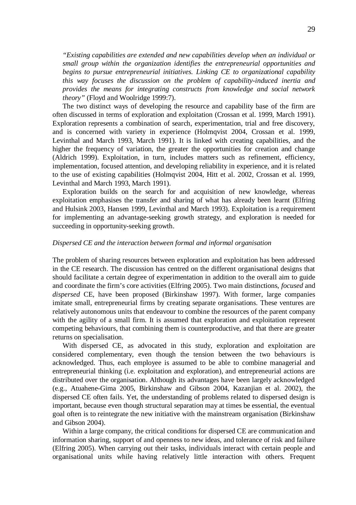*"Existing capabilities are extended and new capabilities develop when an individual or small group within the organization identifies the entrepreneurial opportunities and begins to pursue entrepreneurial initiatives. Linking CE to organizational capability this way focuses the discussion on the problem of capability-induced inertia and provides the means for integrating constructs from knowledge and social network theory"*(Floyd and Woolridge 1999:7).

The two distinct ways of developing the resource and capability base of the firm are often discussed in terms of exploration and exploitation (Crossan et al. 1999, March 1991). Exploration represents a combination of search, experimentation, trial and free discovery, and is concerned with variety in experience (Holmqvist 2004, Crossan et al. 1999, Levinthal and March 1993, March 1991). It is linked with creating capabilities, and the higher the frequency of variation, the greater the opportunities for creation and change (Aldrich 1999). Exploitation, in turn, includes matters such as refinement, efficiency, implementation, focused attention, and developing reliability in experience, and it is related to the use of existing capabilities (Holmqvist 2004, Hitt et al. 2002, Crossan et al. 1999, Levinthal and March 1993, March 1991).

Exploration builds on the search for and acquisition of new knowledge, whereas exploitation emphasises the transfer and sharing of what has already been learnt (Elfring and Hulsink 2003, Hansen 1999, Levinthal and March 1993). Exploitation is a requirement for implementing an advantage-seeking growth strategy, and exploration is needed for succeeding in opportunity-seeking growth.

### *Dispersed CE and the interaction between formal and informal organisation*

The problem of sharing resources between exploration and exploitation has been addressed in the CE research. The discussion has centred on the different organisational designs that should facilitate a certain degree of experimentation in addition to the overall aim to guide and coordinate the firm's core activities (Elfring 2005). Two main distinctions, *focused* and *dispersed* CE, have been proposed (Birkinshaw 1997). With former, large companies imitate small, entrepreneurial firms by creating separate organisations. These ventures are relatively autonomous units that endeavour to combine the resources of the parent company with the agility of a small firm. It is assumed that exploration and exploitation represent competing behaviours, that combining them is counterproductive, and that there are greater returns on specialisation.

With dispersed CE, as advocated in this study, exploration and exploitation are considered complementary, even though the tension between the two behaviours is acknowledged. Thus, each employee is assumed to be able to combine managerial and entrepreneurial thinking (i.e. exploitation and exploration), and entrepreneurial actions are distributed over the organisation. Although its advantages have been largely acknowledged (e.g., Atuahene-Gima 2005, Birkinshaw and Gibson 2004, Kazanjian et al. 2002), the dispersed CE often fails. Yet, the understanding of problems related to dispersed design is important, because even though structural separation may at times be essential, the eventual goal often is to reintegrate the new initiative with the mainstream organisation (Birkinshaw and Gibson 2004).

Within a large company, the critical conditions for dispersed CE are communication and information sharing, support of and openness to new ideas, and tolerance of risk and failure (Elfring 2005). When carrying out their tasks, individuals interact with certain people and organisational units while having relatively little interaction with others. Frequent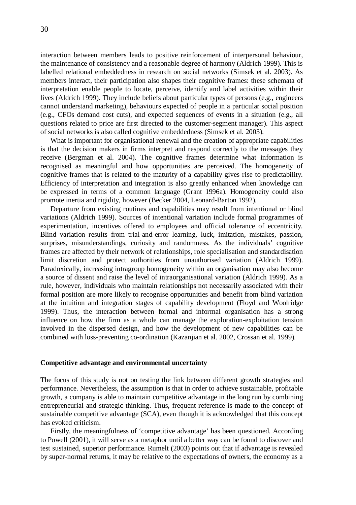interaction between members leads to positive reinforcement of interpersonal behaviour, the maintenance of consistency and a reasonable degree of harmony (Aldrich 1999). This is labelled relational embeddedness in research on social networks (Simsek et al. 2003). As members interact, their participation also shapes their cognitive frames: these schemata of interpretation enable people to locate, perceive, identify and label activities within their lives (Aldrich 1999). They include beliefs about particular types of persons (e.g., engineers cannot understand marketing), behaviours expected of people in a particular social position (e.g., CFOs demand cost cuts), and expected sequences of events in a situation (e.g., all questions related to price are first directed to the customer-segment manager). This aspect of social networks is also called cognitive embeddedness (Simsek et al. 2003).

What is important for organisational renewal and the creation of appropriate capabilities is that the decision makers in firms interpret and respond correctly to the messages they receive (Bergman et al. 2004). The cognitive frames determine what information is recognised as meaningful and how opportunities are perceived. The homogeneity of cognitive frames that is related to the maturity of a capability gives rise to predictability. Efficiency of interpretation and integration is also greatly enhanced when knowledge can be expressed in terms of a common language (Grant 1996a). Homogeneity could also promote inertia and rigidity, however (Becker 2004, Leonard-Barton 1992).

Departure from existing routines and capabilities may result from intentional or blind variations (Aldrich 1999). Sources of intentional variation include formal programmes of experimentation, incentives offered to employees and official tolerance of eccentricity. Blind variation results from trial-and-error learning, luck, imitation, mistakes, passion, surprises, misunderstandings, curiosity and randomness. As the individuals' cognitive frames are affected by their network of relationships, role specialisation and standardisation limit discretion and protect authorities from unauthorised variation (Aldrich 1999). Paradoxically, increasing intragroup homogeneity within an organisation may also become a source of dissent and raise the level of intraorganisational variation (Aldrich 1999). As a rule, however, individuals who maintain relationships not necessarily associated with their formal position are more likely to recognise opportunities and benefit from blind variation at the intuition and integration stages of capability development (Floyd and Woolridge 1999). Thus, the interaction between formal and informal organisation has a strong influence on how the firm as a whole can manage the exploration-exploitation tension involved in the dispersed design, and how the development of new capabilities can be combined with loss-preventing co-ordination (Kazanjian et al. 2002, Crossan et al. 1999).

#### **Competitive advantage and environmental uncertainty**

The focus of this study is not on testing the link between different growth strategies and performance. Nevertheless, the assumption is that in order to achieve sustainable, profitable growth, a company is able to maintain competitive advantage in the long run by combining entrepreneurial and strategic thinking. Thus, frequent reference is made to the concept of sustainable competitive advantage (SCA), even though it is acknowledged that this concept has evoked criticism.

Firstly, the meaningfulness of 'competitive advantage' has been questioned. According to Powell (2001), it will serve as a metaphor until a better way can be found to discover and test sustained, superior performance. Rumelt (2003) points out that if advantage is revealed by super-normal returns, it may be relative to the expectations of owners, the economy as a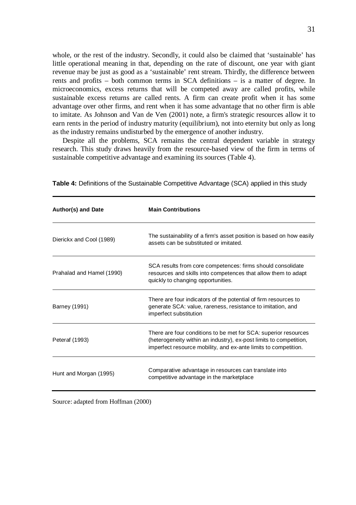whole, or the rest of the industry. Secondly, it could also be claimed that 'sustainable' has little operational meaning in that, depending on the rate of discount, one year with giant revenue may be just as good as a 'sustainable' rent stream. Thirdly, the difference between rents and profits – both common terms in SCA definitions – is a matter of degree. In microeconomics, excess returns that will be competed away are called profits, while sustainable excess returns are called rents. A firm can create profit when it has some advantage over other firms, and rent when it has some advantage that no other firm is able to imitate. As Johnson and Van de Ven (2001) note, a firm's strategic resources allow it to earn rents in the period of industry maturity (equilibrium), not into eternity but only as long as the industry remains undisturbed by the emergence of another industry.

Despite all the problems, SCA remains the central dependent variable in strategy research. This study draws heavily from the resource-based view of the firm in terms of sustainable competitive advantage and examining its sources (Table 4).

| Author(s) and Date        | <b>Main Contributions</b>                                                                                                                                                                                |
|---------------------------|----------------------------------------------------------------------------------------------------------------------------------------------------------------------------------------------------------|
| Dierickx and Cool (1989)  | The sustainability of a firm's asset position is based on how easily<br>assets can be substituted or imitated.                                                                                           |
| Prahalad and Hamel (1990) | SCA results from core competences: firms should consolidate<br>resources and skills into competences that allow them to adapt<br>quickly to changing opportunities.                                      |
| Barney (1991)             | There are four indicators of the potential of firm resources to<br>generate SCA: value, rareness, resistance to imitation, and<br>imperfect substitution                                                 |
| Peteraf (1993)            | There are four conditions to be met for SCA: superior resources<br>(heterogeneity within an industry), ex-post limits to competition,<br>imperfect resource mobility, and ex-ante limits to competition. |
| Hunt and Morgan (1995)    | Comparative advantage in resources can translate into<br>competitive advantage in the marketplace                                                                                                        |

**Table 4:** Definitions of the Sustainable Competitive Advantage (SCA) applied in this study

Source: adapted from Hoffman (2000)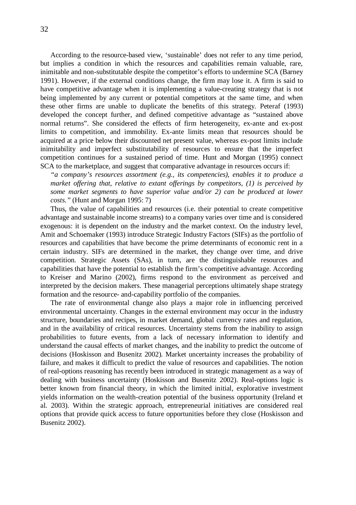According to the resource-based view, 'sustainable' does not refer to any time period, but implies a condition in which the resources and capabilities remain valuable, rare, inimitable and non-substitutable despite the competitor's efforts to undermine SCA (Barney 1991). However, if the external conditions change, the firm may lose it. A firm is said to have competitive advantage when it is implementing a value-creating strategy that is not being implemented by any current or potential competitors at the same time, and when these other firms are unable to duplicate the benefits of this strategy. Peteraf (1993) developed the concept further, and defined competitive advantage as "sustained above normal returns". She considered the effects of firm heterogeneity, ex-ante and ex-post limits to competition, and immobility. Ex-ante limits mean that resources should be acquired at a price below their discounted net present value, whereas ex-post limits include inimitability and imperfect substitutability of resources to ensure that the imperfect competition continues for a sustained period of time. Hunt and Morgan (1995) connect SCA to the marketplace, and suggest that comparative advantage in resources occurs if:

*"a company's resources assortment (e.g., its competencies), enables it to produce a market offering that, relative to extant offerings by competitors, (1) is perceived by some market segments to have superior value and/or 2) can be produced at lower costs."*(Hunt and Morgan 1995: 7)

Thus, the value of capabilities and resources (i.e. their potential to create competitive advantage and sustainable income streams) to a company varies over time and is considered exogenous: it is dependent on the industry and the market context. On the industry level, Amit and Schoemaker (1993) introduce Strategic Industry Factors (SIFs) as the portfolio of resources and capabilities that have become the prime determinants of economic rent in a certain industry. SIFs are determined in the market, they change over time, and drive competition. Strategic Assets (SAs), in turn, are the distinguishable resources and capabilities that have the potential to establish the firm's competitive advantage. According to Kreiser and Marino (2002), firms respond to the environment as perceived and interpreted by the decision makers. These managerial perceptions ultimately shape strategy formation and the resource- and-capability portfolio of the companies.

The rate of environmental change also plays a major role in influencing perceived environmental uncertainty. Changes in the external environment may occur in the industry structure, boundaries and recipes, in market demand, global currency rates and regulation, and in the availability of critical resources. Uncertainty stems from the inability to assign probabilities to future events, from a lack of necessary information to identify and understand the causal effects of market changes, and the inability to predict the outcome of decisions (Hoskisson and Busenitz 2002). Market uncertainty increases the probability of failure, and makes it difficult to predict the value of resources and capabilities. The notion of real-options reasoning has recently been introduced in strategic management as a way of dealing with business uncertainty (Hoskisson and Busenitz 2002). Real-options logic is better known from financial theory, in which the limited initial, explorative investment yields information on the wealth-creation potential of the business opportunity (Ireland et al. 2003). Within the strategic approach, entrepreneurial initiatives are considered real options that provide quick access to future opportunities before they close (Hoskisson and Busenitz 2002).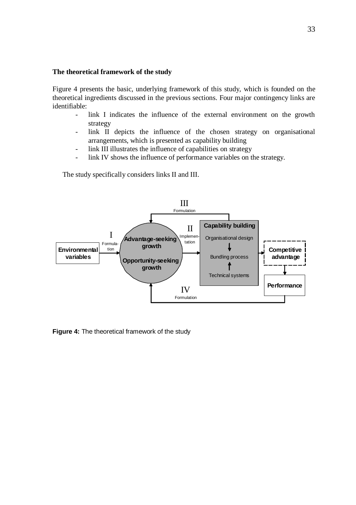### **The theoretical framework of the study**

Figure 4 presents the basic, underlying framework of this study, which is founded on the theoretical ingredients discussed in the previous sections. Four major contingency links are identifiable:

- link I indicates the influence of the external environment on the growth strategy
- link II depicts the influence of the chosen strategy on organisational arrangements, which is presented as capability building
- link III illustrates the influence of capabilities on strategy
- link IV shows the influence of performance variables on the strategy.

The study specifically considers links II and III.



**Figure 4:** The theoretical framework of the study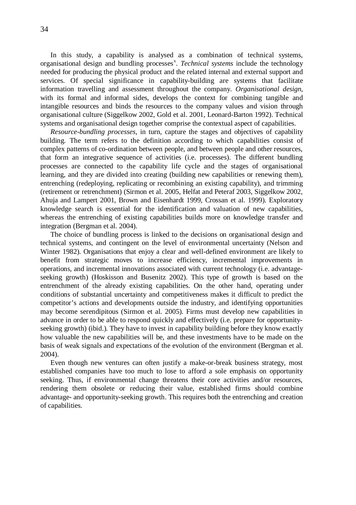In this study, a capability is analysed as a combination of technical systems, organisational design and bundling processes<sup>x</sup>. *Technical systems* include the technology needed for producing the physical product and the related internal and external support and services. Of special significance in capability-building are systems that facilitate information travelling and assessment throughout the company. *Organisational design,* with its formal and informal sides, develops the context for combining tangible and intangible resources and binds the resources to the company values and vision through organisational culture (Siggelkow 2002, Gold et al. 2001, Leonard-Barton 1992). Technical systems and organisational design together comprise the contextual aspect of capabilities.

*Resource-bundling processes*, in turn, capture the stages and objectives of capability building. The term refers to the definition according to which capabilities consist of complex patterns of co-ordination between people, and between people and other resources, that form an integrative sequence of activities (i.e. processes). The different bundling processes are connected to the capability life cycle and the stages of organisational learning, and they are divided into creating (building new capabilities or renewing them), entrenching (redeploying, replicating or recombining an existing capability), and trimming (retirement or retrenchment) (Sirmon et al. 2005, Helfat and Peteraf 2003, Siggelkow 2002, Ahuja and Lampert 2001, Brown and Eisenhardt 1999, Crossan et al. 1999). Exploratory knowledge search is essential for the identification and valuation of new capabilities, whereas the entrenching of existing capabilities builds more on knowledge transfer and integration (Bergman et al. 2004).

The choice of bundling process is linked to the decisions on organisational design and technical systems, and contingent on the level of environmental uncertainty (Nelson and Winter 1982). Organisations that enjoy a clear and well-defined environment are likely to benefit from strategic moves to increase efficiency, incremental improvements in operations, and incremental innovations associated with current technology (i.e. advantageseeking growth) (Hoskisson and Busenitz 2002). This type of growth is based on the entrenchment of the already existing capabilities. On the other hand, operating under conditions of substantial uncertainty and competitiveness makes it difficult to predict the competitor's actions and developments outside the industry, and identifying opportunities may become serendipitous (Sirmon et al. 2005). Firms must develop new capabilities in advance in order to be able to respond quickly and effectively (i.e. prepare for opportunityseeking growth) (ibid.). They have to invest in capability building before they know exactly how valuable the new capabilities will be, and these investments have to be made on the basis of weak signals and expectations of the evolution of the environment (Bergman et al. 2004).

Even though new ventures can often justify a make-or-break business strategy, most established companies have too much to lose to afford a sole emphasis on opportunity seeking. Thus, if environmental change threatens their core activities and/or resources, rendering them obsolete or reducing their value, established firms should combine advantage- and opportunity-seeking growth. This requires both the entrenching and creation of capabilities.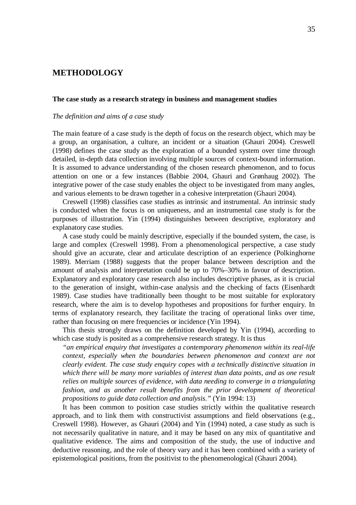# **METHODOLOGY**

#### **The case study as a research strategy in business and management studies**

### *The definition and aims of a case study*

The main feature of a case study is the depth of focus on the research object, which may be a group, an organisation, a culture, an incident or a situation (Ghauri 2004). Creswell (1998) defines the case study as the exploration of a bounded system over time through detailed, in-depth data collection involving multiple sources of context-bound information. It is assumed to advance understanding of the chosen research phenomenon, and to focus attention on one or a few instances (Babbie 2004, Ghauri and Grønhaug 2002). The integrative power of the case study enables the object to be investigated from many angles, and various elements to be drawn together in a cohesive interpretation (Ghauri 2004).

Creswell (1998) classifies case studies as intrinsic and instrumental. An intrinsic study is conducted when the focus is on uniqueness, and an instrumental case study is for the purposes of illustration. Yin (1994) distinguishes between descriptive, exploratory and explanatory case studies.

A case study could be mainly descriptive, especially if the bounded system, the case, is large and complex (Creswell 1998). From a phenomenological perspective, a case study should give an accurate, clear and articulate description of an experience (Polkinghorne 1989). Merriam (1988) suggests that the proper balance between description and the amount of analysis and interpretation could be up to 70%–30% in favour of description. Explanatory and exploratory case research also includes descriptive phases, as it is crucial to the generation of insight, within-case analysis and the checking of facts (Eisenhardt 1989). Case studies have traditionally been thought to be most suitable for exploratory research, where the aim is to develop hypotheses and propositions for further enquiry. In terms of explanatory research, they facilitate the tracing of operational links over time, rather than focusing on mere frequencies or incidence (Yin 1994).

This thesis strongly draws on the definition developed by Yin (1994), according to which case study is posited as a comprehensive research strategy. It is thus

*"an empirical enquiry that investigates a contemporary phenomenon within its real-life context, especially when the boundaries between phenomenon and context are not clearly evident. The case study enquiry copes with a technically distinctive situation in which there will be many more variables of interest than data points, and as one result relies on multiple sources of evidence, with data needing to converge in a triangulating fashion, and as another result benefits from the prior development of theoretical propositions to guide data collection and analysis."*(Yin 1994: 13)

It has been common to position case studies strictly within the qualitative research approach, and to link them with constructivist assumptions and field observations (e.g., Creswell 1998). However, as Ghauri (2004) and Yin (1994) noted, a case study as such is not necessarily qualitative in nature, and it may be based on any mix of quantitative and qualitative evidence. The aims and composition of the study, the use of inductive and deductive reasoning, and the role of theory vary and it has been combined with a variety of epistemological positions, from the positivist to the phenomenological (Ghauri 2004).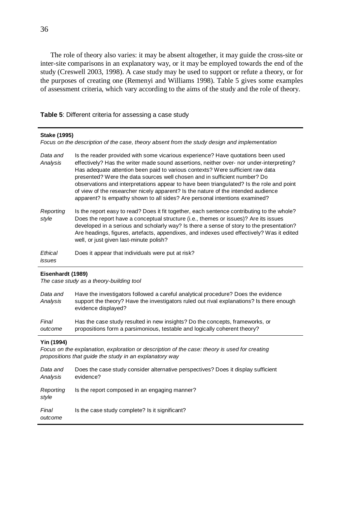The role of theory also varies: it may be absent altogether, it may guide the cross-site or inter-site comparisons in an explanatory way, or it may be employed towards the end of the study (Creswell 2003, 1998). A case study may be used to support or refute a theory, or for the purposes of creating one (Remenyi and Williams 1998). Table 5 gives some examples of assessment criteria, which vary according to the aims of the study and the role of theory.

**Table 5**: Different criteria for assessing a case study

| Stake (1995)<br>Focus on the description of the case, theory absent from the study design and implementation |                                                                                                                                                                                                                                                                                                                                                                                                                                                                                                                                                                                                            |  |
|--------------------------------------------------------------------------------------------------------------|------------------------------------------------------------------------------------------------------------------------------------------------------------------------------------------------------------------------------------------------------------------------------------------------------------------------------------------------------------------------------------------------------------------------------------------------------------------------------------------------------------------------------------------------------------------------------------------------------------|--|
| Data and<br>Analysis                                                                                         | Is the reader provided with some vicarious experience? Have quotations been used<br>effectively? Has the writer made sound assertions, neither over- nor under-interpreting?<br>Has adequate attention been paid to various contexts? Were sufficient raw data<br>presented? Were the data sources well chosen and in sufficient number? Do<br>observations and interpretations appear to have been triangulated? Is the role and point<br>of view of the researcher nicely apparent? Is the nature of the intended audience<br>apparent? Is empathy shown to all sides? Are personal intentions examined? |  |
| Reporting<br>style                                                                                           | Is the report easy to read? Does it fit together, each sentence contributing to the whole?<br>Does the report have a conceptual structure (i.e., themes or issues)? Are its issues<br>developed in a serious and scholarly way? Is there a sense of story to the presentation?<br>Are headings, figures, artefacts, appendixes, and indexes used effectively? Was it edited<br>well, or just given last-minute polish?                                                                                                                                                                                     |  |
| Ethical<br><i><b>issues</b></i>                                                                              | Does it appear that individuals were put at risk?                                                                                                                                                                                                                                                                                                                                                                                                                                                                                                                                                          |  |

### **Eisenhardt (1989)**

*The case study as a theory-building tool*

| Data and<br>Analysis | Have the investigators followed a careful analytical procedure? Does the evidence<br>support the theory? Have the investigators ruled out rival explanations? Is there enough<br>evidence displayed? |
|----------------------|------------------------------------------------------------------------------------------------------------------------------------------------------------------------------------------------------|
| Final                | Has the case study resulted in new insights? Do the concepts, frameworks, or                                                                                                                         |
| outcome              | propositions form a parsimonious, testable and logically coherent theory?                                                                                                                            |

### **Yin (1994)**

*Focus on the explanation, exploration or description of the case: theory is used for creating propositions that guide the study in an explanatory way*

| Data and<br>Analysis | Does the case study consider alternative perspectives? Does it display sufficient<br>evidence? |
|----------------------|------------------------------------------------------------------------------------------------|
| Reporting<br>style   | Is the report composed in an engaging manner?                                                  |
| Final<br>outcome     | Is the case study complete? Is it significant?                                                 |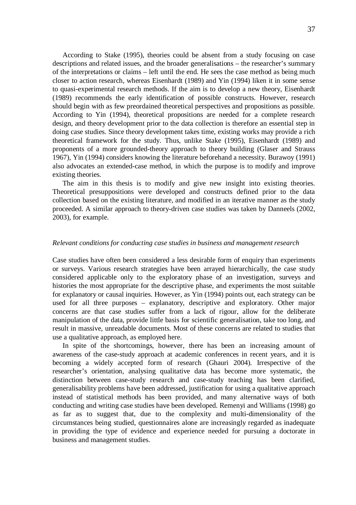According to Stake (1995), theories could be absent from a study focusing on case descriptions and related issues, and the broader generalisations – the researcher's summary of the interpretations or claims – left until the end. He sees the case method as being much closer to action research, whereas Eisenhardt (1989) and Yin (1994) liken it in some sense to quasi-experimental research methods. If the aim is to develop a new theory, Eisenhardt (1989) recommends the early identification of possible constructs. However, research should begin with as few preordained theoretical perspectives and propositions as possible. According to Yin (1994), theoretical propositions are needed for a complete research design, and theory development prior to the data collection is therefore an essential step in doing case studies. Since theory development takes time, existing works may provide a rich theoretical framework for the study. Thus, unlike Stake (1995), Eisenhardt (1989) and proponents of a more grounded-theory approach to theory building (Glaser and Strauss 1967), Yin (1994) considers knowing the literature beforehand a necessity. Burawoy (1991) also advocates an extended-case method, in which the purpose is to modify and improve existing theories.

The aim in this thesis is to modify and give new insight into existing theories. Theoretical presuppositions were developed and constructs defined prior to the data collection based on the existing literature, and modified in an iterative manner as the study proceeded. A similar approach to theory-driven case studies was taken by Danneels (2002, 2003), for example.

## *Relevant conditions for conducting case studies in business and management research*

Case studies have often been considered a less desirable form of enquiry than experiments or surveys. Various research strategies have been arrayed hierarchically, the case study considered applicable only to the exploratory phase of an investigation, surveys and histories the most appropriate for the descriptive phase, and experiments the most suitable for explanatory or causal inquiries. However, as Yin (1994) points out, each strategy can be used for all three purposes – explanatory, descriptive and exploratory. Other major concerns are that case studies suffer from a lack of rigour, allow for the deliberate manipulation of the data, provide little basis for scientific generalisation, take too long, and result in massive, unreadable documents. Most of these concerns are related to studies that use a qualitative approach, as employed here.

In spite of the shortcomings, however, there has been an increasing amount of awareness of the case-study approach at academic conferences in recent years, and it is becoming a widely accepted form of research (Ghauri 2004). Irrespective of the researcher's orientation, analysing qualitative data has become more systematic, the distinction between case-study research and case-study teaching has been clarified, generalisability problems have been addressed, justification for using a qualitative approach instead of statistical methods has been provided, and many alternative ways of both conducting and writing case studies have been developed. Remenyi and Williams (1998) go as far as to suggest that, due to the complexity and multi-dimensionality of the circumstances being studied, questionnaires alone are increasingly regarded as inadequate in providing the type of evidence and experience needed for pursuing a doctorate in business and management studies.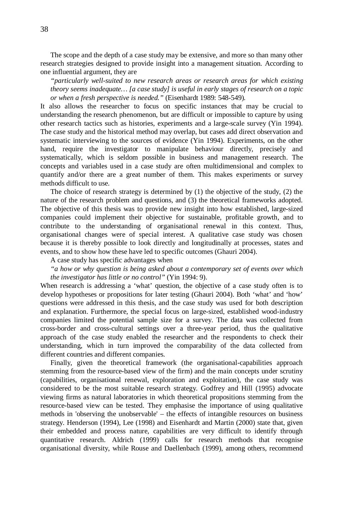The scope and the depth of a case study may be extensive, and more so than many other research strategies designed to provide insight into a management situation. According to one influential argument, they are

*"particularly well-suited to new research areas or research areas for which existing theory seems inadequate… [a case study] is useful in early stages of research on a topic or when a fresh perspective is needed."*(Eisenhardt 1989: 548-549)*.*

It also allows the researcher to focus on specific instances that may be crucial to understanding the research phenomenon, but are difficult or impossible to capture by using other research tactics such as histories, experiments and a large-scale survey (Yin 1994). The case study and the historical method may overlap, but cases add direct observation and systematic interviewing to the sources of evidence (Yin 1994). Experiments, on the other hand, require the investigator to manipulate behaviour directly, precisely and systematically, which is seldom possible in business and management research. The concepts and variables used in a case study are often multidimensional and complex to quantify and/or there are a great number of them. This makes experiments or survey methods difficult to use.

The choice of research strategy is determined by  $(1)$  the objective of the study,  $(2)$  the nature of the research problem and questions, and (3) the theoretical frameworks adopted. The objective of this thesis was to provide new insight into how established, large-sized companies could implement their objective for sustainable, profitable growth, and to contribute to the understanding of organisational renewal in this context. Thus, organisational changes were of special interest. A qualitative case study was chosen because it is thereby possible to look directly and longitudinally at processes, states and events, and to show how these have led to specific outcomes (Ghauri 2004).

A case study has specific advantages when

*"a how or why question is being asked about a contemporary set of events over which the investigator has little or no control"*(Yin 1994: 9).

When research is addressing a 'what' question, the objective of a case study often is to develop hypotheses or propositions for later testing (Ghauri 2004). Both 'what' and 'how' questions were addressed in this thesis, and the case study was used for both description and explanation. Furthermore, the special focus on large-sized, established wood-industry companies limited the potential sample size for a survey. The data was collected from cross-border and cross-cultural settings over a three-year period, thus the qualitative approach of the case study enabled the researcher and the respondents to check their understanding, which in turn improved the comparability of the data collected from different countries and different companies.

Finally, given the theoretical framework (the organisational-capabilities approach stemming from the resource-based view of the firm) and the main concepts under scrutiny (capabilities, organisational renewal, exploration and exploitation), the case study was considered to be the most suitable research strategy. Godfrey and Hill (1995) advocate viewing firms as natural laboratories in which theoretical propositions stemming from the resource-based view can be tested. They emphasise the importance of using qualitative methods in 'observing the unobservable' – the effects of intangible resources on business strategy. Henderson (1994), Lee (1998) and Eisenhardt and Martin (2000) state that, given their embedded and process nature, capabilities are very difficult to identify through quantitative research. Aldrich (1999) calls for research methods that recognise organisational diversity, while Rouse and Daellenbach (1999), among others, recommend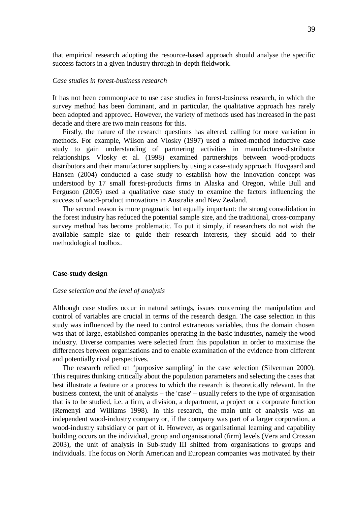that empirical research adopting the resource-based approach should analyse the specific success factors in a given industry through in-depth fieldwork.

#### *Case studies in forest-business research*

It has not been commonplace to use case studies in forest-business research, in which the survey method has been dominant, and in particular, the qualitative approach has rarely been adopted and approved. However, the variety of methods used has increased in the past decade and there are two main reasons for this.

Firstly, the nature of the research questions has altered, calling for more variation in methods. For example, Wilson and Vlosky (1997) used a mixed-method inductive case study to gain understanding of partnering activities in manufacturer-distributor relationships. Vlosky et al. (1998) examined partnerships between wood-products distributors and their manufacturer suppliers by using a case-study approach. Hovgaard and Hansen (2004) conducted a case study to establish how the innovation concept was understood by 17 small forest-products firms in Alaska and Oregon, while Bull and Ferguson (2005) used a qualitative case study to examine the factors influencing the success of wood-product innovations in Australia and New Zealand.

The second reason is more pragmatic but equally important: the strong consolidation in the forest industry has reduced the potential sample size, and the traditional, cross-company survey method has become problematic. To put it simply, if researchers do not wish the available sample size to guide their research interests, they should add to their methodological toolbox.

#### **Case-study design**

#### *Case selection and the level of analysis*

Although case studies occur in natural settings, issues concerning the manipulation and control of variables are crucial in terms of the research design. The case selection in this study was influenced by the need to control extraneous variables, thus the domain chosen was that of large, established companies operating in the basic industries, namely the wood industry. Diverse companies were selected from this population in order to maximise the differences between organisations and to enable examination of the evidence from different and potentially rival perspectives.

The research relied on 'purposive sampling' in the case selection (Silverman 2000). This requires thinking critically about the population parameters and selecting the cases that best illustrate a feature or a process to which the research is theoretically relevant. In the business context, the unit of analysis – the 'case' – usually refers to the type of organisation that is to be studied, i.e. a firm, a division, a department, a project or a corporate function (Remenyi and Williams 1998). In this research, the main unit of analysis was an independent wood-industry company or, if the company was part of a larger corporation, a wood-industry subsidiary or part of it. However, as organisational learning and capability building occurs on the individual, group and organisational (firm) levels (Vera and Crossan 2003), the unit of analysis in Sub-study III shifted from organisations to groups and individuals. The focus on North American and European companies was motivated by their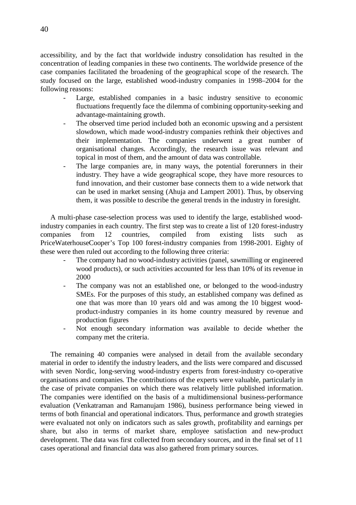accessibility, and by the fact that worldwide industry consolidation has resulted in the concentration of leading companies in these two continents. The worldwide presence of the case companies facilitated the broadening of the geographical scope of the research. The study focused on the large, established wood-industry companies in 1998–2004 for the following reasons:

- Large, established companies in a basic industry sensitive to economic fluctuations frequently face the dilemma of combining opportunity-seeking and advantage-maintaining growth.
- The observed time period included both an economic upswing and a persistent slowdown, which made wood-industry companies rethink their objectives and their implementation. The companies underwent a great number of organisational changes. Accordingly, the research issue was relevant and topical in most of them, and the amount of data was controllable.
- The large companies are, in many ways, the potential forerunners in their industry. They have a wide geographical scope, they have more resources to fund innovation, and their customer base connects them to a wide network that can be used in market sensing (Ahuja and Lampert 2001). Thus, by observing them, it was possible to describe the general trends in the industry in foresight.

A multi-phase case-selection process was used to identify the large, established woodindustry companies in each country. The first step was to create a list of 120 forest-industry companies from 12 countries, compiled from existing lists such as PriceWaterhouseCooper's Top 100 forest-industry companies from 1998-2001. Eighty of these were then ruled out according to the following three criteria:

- The company had no wood-industry activities (panel, sawmilling or engineered wood products), or such activities accounted for less than 10% of its revenue in 2000
- The company was not an established one, or belonged to the wood-industry SMEs. For the purposes of this study, an established company was defined as one that was more than 10 years old and was among the 10 biggest woodproduct-industry companies in its home country measured by revenue and production figures
- Not enough secondary information was available to decide whether the company met the criteria.

The remaining 40 companies were analysed in detail from the available secondary material in order to identify the industry leaders, and the lists were compared and discussed with seven Nordic, long-serving wood-industry experts from forest-industry co-operative organisations and companies. The contributions of the experts were valuable, particularly in the case of private companies on which there was relatively little published information. The companies were identified on the basis of a multidimensional business-performance evaluation (Venkatraman and Ramanujam 1986), business performance being viewed in terms of both financial and operational indicators. Thus, performance and growth strategies were evaluated not only on indicators such as sales growth, profitability and earnings per share, but also in terms of market share, employee satisfaction and new-product development. The data was first collected from secondary sources, and in the final set of 11 cases operational and financial data was also gathered from primary sources.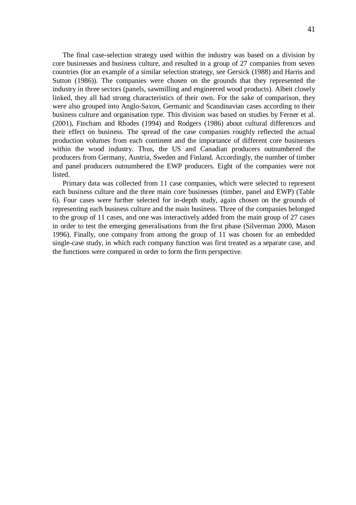The final case-selection strategy used within the industry was based on a division by core businesses and business culture, and resulted in a group of 27 companies from seven countries (for an example of a similar selection strategy, see Gersick (1988) and Harris and Sutton (1986)). The companies were chosen on the grounds that they represented the industry in three sectors (panels, sawmilling and engineered wood products). Albeit closely linked, they all had strong characteristics of their own. For the sake of comparison, they were also grouped into Anglo-Saxon, Germanic and Scandinavian cases according to their business culture and organisation type. This division was based on studies by Ferner et al. (2001), Fincham and Rhodes (1994) and Rodgers (1986) about cultural differences and their effect on business. The spread of the case companies roughly reflected the actual production volumes from each continent and the importance of different core businesses within the wood industry. Thus, the US and Canadian producers outnumbered the producers from Germany, Austria, Sweden and Finland. Accordingly, the number of timber

Primary data was collected from 11 case companies, which were selected to represent each business culture and the three main core businesses (timber, panel and EWP) (Table 6). Four cases were further selected for in-depth study, again chosen on the grounds of representing each business culture and the main business. Three of the companies belonged to the group of 11 cases, and one was interactively added from the main group of 27 cases in order to test the emerging generalisations from the first phase (Silverman 2000, Mason 1996). Finally, one company from among the group of 11 was chosen for an embedded single-case study, in which each company function was first treated as a separate case, and the functions were compared in order to form the firm perspective.

and panel producers outnumbered the EWP producers. Eight of the companies were not

listed.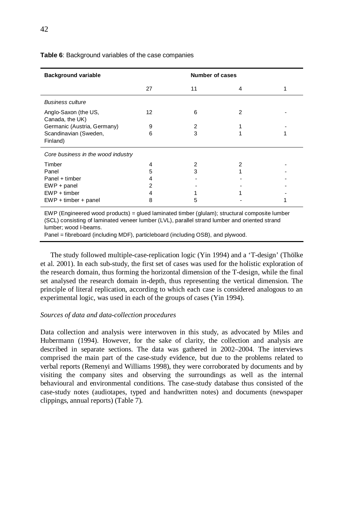| <b>Background variable</b>              |    |    | <b>Number of cases</b> |  |  |
|-----------------------------------------|----|----|------------------------|--|--|
|                                         | 27 | 11 | 4                      |  |  |
| <b>Business culture</b>                 |    |    |                        |  |  |
| Anglo-Saxon (the US,<br>Canada, the UK) | 12 | 6  | 2                      |  |  |
| Germanic (Austria, Germany)             | 9  | 2  |                        |  |  |
| Scandinavian (Sweden,<br>Finland)       | 6  | 3  |                        |  |  |
| Core business in the wood industry      |    |    |                        |  |  |
| Timber                                  | 4  |    |                        |  |  |
| Panel                                   | 5  | 3  |                        |  |  |
| Panel + timber                          |    |    |                        |  |  |
| $EWP + panel$                           |    |    |                        |  |  |
| $EWP + timber$                          |    |    |                        |  |  |
| $EWP + timber + panel$                  | 8  | 5  |                        |  |  |

## **Table 6**: Background variables of the case companies

EWP (Engineered wood products) = glued laminated timber (glulam); structural composite lumber (SCL) consisting of laminated veneer lumber (LVL), parallel strand lumber and oriented strand lumber; wood I-beams.

Panel = fibreboard (including MDF), particleboard (including OSB), and plywood.

The study followed multiple-case-replication logic (Yin 1994) and a 'T-design' (Thölke et al. 2001). In each sub-study, the first set of cases was used for the holistic exploration of the research domain, thus forming the horizontal dimension of the T-design, while the final set analysed the research domain in-depth, thus representing the vertical dimension. The principle of literal replication, according to which each case is considered analogous to an experimental logic, was used in each of the groups of cases (Yin 1994).

#### *Sources of data and data-collection procedures*

Data collection and analysis were interwoven in this study, as advocated by Miles and Hubermann (1994). However, for the sake of clarity, the collection and analysis are described in separate sections. The data was gathered in 2002–2004. The interviews comprised the main part of the case-study evidence, but due to the problems related to verbal reports (Remenyi and Williams 1998), they were corroborated by documents and by visiting the company sites and observing the surroundings as well as the internal behavioural and environmental conditions. The case-study database thus consisted of the case-study notes (audiotapes, typed and handwritten notes) and documents (newspaper clippings, annual reports) (Table 7).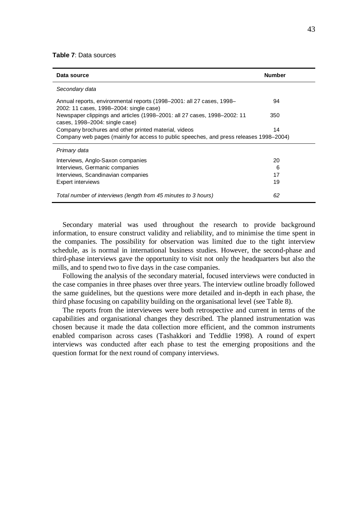### **Table 7**: Data sources

| Data source                                                                                                      | <b>Number</b> |
|------------------------------------------------------------------------------------------------------------------|---------------|
| Secondary data                                                                                                   |               |
| Annual reports, environmental reports (1998–2001: all 27 cases, 1998–<br>2002: 11 cases, 1998–2004: single case) | 94            |
| Newspaper clippings and articles (1998–2001: all 27 cases, 1998–2002: 11<br>cases, 1998–2004: single case)       | 350           |
| Company brochures and other printed material, videos                                                             | 14            |
| Company web pages (mainly for access to public speeches, and press releases 1998–2004)                           |               |
| Primary data                                                                                                     |               |
| Interviews, Anglo-Saxon companies                                                                                | 20            |
| Interviews, Germanic companies                                                                                   | 6             |
| Interviews, Scandinavian companies                                                                               | 17            |
| Expert interviews                                                                                                | 19            |
| Total number of interviews (length from 45 minutes to 3 hours)                                                   | 62            |

Secondary material was used throughout the research to provide background information, to ensure construct validity and reliability, and to minimise the time spent in the companies. The possibility for observation was limited due to the tight interview schedule, as is normal in international business studies. However, the second-phase and third-phase interviews gave the opportunity to visit not only the headquarters but also the mills, and to spend two to five days in the case companies.

Following the analysis of the secondary material, focused interviews were conducted in the case companies in three phases over three years. The interview outline broadly followed the same guidelines, but the questions were more detailed and in-depth in each phase, the third phase focusing on capability building on the organisational level (see Table 8).

The reports from the interviewees were both retrospective and current in terms of the capabilities and organisational changes they described. The planned instrumentation was chosen because it made the data collection more efficient, and the common instruments enabled comparison across cases (Tashakkori and Teddlie 1998). A round of expert interviews was conducted after each phase to test the emerging propositions and the question format for the next round of company interviews.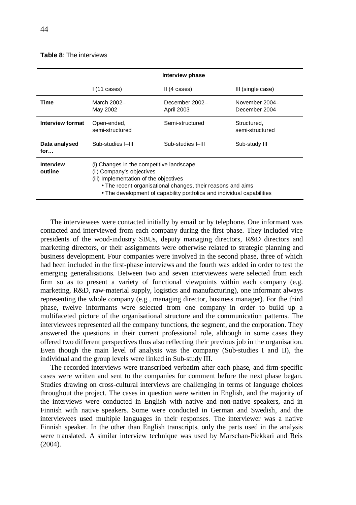## **Table 8**: The interviews

|                             | Interview phase                                                                                                                                                                                                                                          |                                     |                                 |  |  |
|-----------------------------|----------------------------------------------------------------------------------------------------------------------------------------------------------------------------------------------------------------------------------------------------------|-------------------------------------|---------------------------------|--|--|
|                             | 1(11 cases)                                                                                                                                                                                                                                              | II(4 cases)                         | III (single case)               |  |  |
| Time                        | March 2002-<br>May 2002                                                                                                                                                                                                                                  | December 2002-<br><b>April 2003</b> | November 2004-<br>December 2004 |  |  |
| Interview format            | Open-ended,<br>semi-structured                                                                                                                                                                                                                           | Semi-structured                     | Structured,<br>semi-structured  |  |  |
| Data analysed<br>for        | Sub-studies I-III                                                                                                                                                                                                                                        | Sub-studies I-III                   | Sub-study III                   |  |  |
| <b>Interview</b><br>outline | (i) Changes in the competitive landscape<br>(ii) Company's objectives<br>(iii) Implementation of the objectives<br>• The recent organisational changes, their reasons and aims<br>• The development of capability portfolios and individual capabilities |                                     |                                 |  |  |

The interviewees were contacted initially by email or by telephone. One informant was contacted and interviewed from each company during the first phase. They included vice presidents of the wood-industry SBUs, deputy managing directors, R&D directors and marketing directors, or their assignments were otherwise related to strategic planning and business development. Four companies were involved in the second phase, three of which had been included in the first-phase interviews and the fourth was added in order to test the emerging generalisations. Between two and seven interviewees were selected from each firm so as to present a variety of functional viewpoints within each company (e.g. marketing, R&D, raw-material supply, logistics and manufacturing), one informant always representing the whole company (e.g., managing director, business manager). For the third phase, twelve informants were selected from one company in order to build up a multifaceted picture of the organisational structure and the communication patterns. The interviewees represented all the company functions, the segment, and the corporation. They answered the questions in their current professional role, although in some cases they offered two different perspectives thus also reflecting their previous job in the organisation. Even though the main level of analysis was the company (Sub-studies I and II), the individual and the group levels were linked in Sub-study III.

The recorded interviews were transcribed verbatim after each phase, and firm-specific cases were written and sent to the companies for comment before the next phase began. Studies drawing on cross-cultural interviews are challenging in terms of language choices throughout the project. The cases in question were written in English, and the majority of the interviews were conducted in English with native and non-native speakers, and in Finnish with native speakers. Some were conducted in German and Swedish, and the interviewees used multiple languages in their responses. The interviewer was a native Finnish speaker. In the other than English transcripts, only the parts used in the analysis were translated. A similar interview technique was used by Marschan-Piekkari and Reis (2004).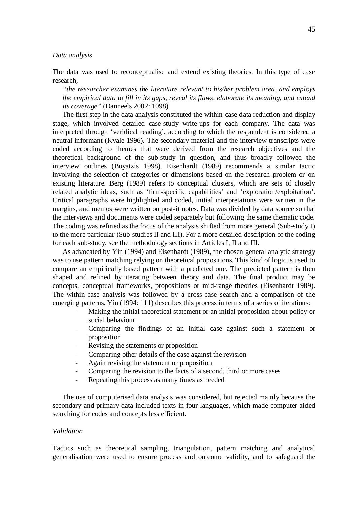#### *Data analysis*

The data was used to reconceptualise and extend existing theories. In this type of case research*,*

*"the researcher examines the literature relevant to his/her problem area, and employs the empirical data to fill in its gaps, reveal its flaws, elaborate its meaning, and extend its coverage"*(Danneels 2002: 1098)

The first step in the data analysis constituted the within-case data reduction and display stage, which involved detailed case-study write-ups for each company. The data was interpreted through 'veridical reading', according to which the respondent is considered a neutral informant (Kvale 1996). The secondary material and the interview transcripts were coded according to themes that were derived from the research objectives and the theoretical background of the sub-study in question, and thus broadly followed the interview outlines (Boyatzis 1998). Eisenhardt (1989) recommends a similar tactic involving the selection of categories or dimensions based on the research problem or on existing literature. Berg (1989) refers to conceptual clusters, which are sets of closely related analytic ideas, such as 'firm-specific capabilities' and 'exploration/exploitation'. Critical paragraphs were highlighted and coded, initial interpretations were written in the margins, and memos were written on post-it notes. Data was divided by data source so that the interviews and documents were coded separately but following the same thematic code. The coding was refined as the focus of the analysis shifted from more general (Sub-study I) to the more particular (Sub-studies II and III). For a more detailed description of the coding for each sub-study, see the methodology sections in Articles I, II and III.

As advocated by Yin (1994) and Eisenhardt (1989), the chosen general analytic strategy was to use pattern matching relying on theoretical propositions. This kind of logic is used to compare an empirically based pattern with a predicted one. The predicted pattern is then shaped and refined by iterating between theory and data. The final product may be concepts, conceptual frameworks, propositions or mid-range theories (Eisenhardt 1989). The within-case analysis was followed by a cross-case search and a comparison of the emerging patterns. Yin (1994: 111) describes this process in terms of a series of iterations:

- Making the initial theoretical statement or an initial proposition about policy or social behaviour
- Comparing the findings of an initial case against such a statement or proposition
- Revising the statements or proposition
- Comparing other details of the case against the revision
- Again revising the statement or proposition
- Comparing the revision to the facts of a second, third or more cases
- Repeating this process as many times as needed

The use of computerised data analysis was considered, but rejected mainly because the secondary and primary data included texts in four languages, which made computer-aided searching for codes and concepts less efficient.

## *Validation*

Tactics such as theoretical sampling, triangulation, pattern matching and analytical generalisation were used to ensure process and outcome validity, and to safeguard the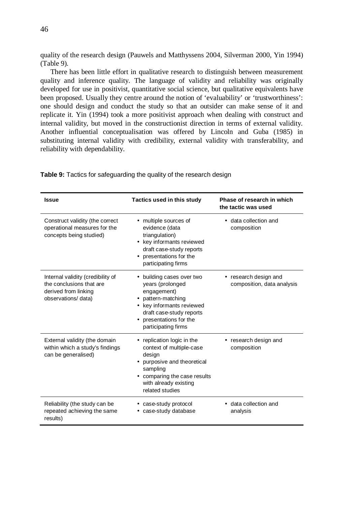quality of the research design (Pauwels and Matthyssens 2004, Silverman 2000, Yin 1994) (Table 9).

There has been little effort in qualitative research to distinguish between measurement quality and inference quality. The language of validity and reliability was originally developed for use in positivist, quantitative social science, but qualitative equivalents have been proposed. Usually they centre around the notion of 'evaluability' or 'trustworthiness': one should design and conduct the study so that an outsider can make sense of it and replicate it. Yin (1994) took a more positivist approach when dealing with construct and internal validity, but moved in the constructionist direction in terms of external validity. Another influential conceptualisation was offered by Lincoln and Guba (1985) in substituting internal validity with credibility, external validity with transferability, and reliability with dependability.

| <b>Issue</b>                                                                                                | Tactics used in this study                                                                                                                                                            | Phase of research in which<br>the tactic was used   |  |
|-------------------------------------------------------------------------------------------------------------|---------------------------------------------------------------------------------------------------------------------------------------------------------------------------------------|-----------------------------------------------------|--|
| Construct validity (the correct<br>operational measures for the<br>concepts being studied)                  | • multiple sources of<br>evidence (data<br>triangulation)<br>• key informants reviewed<br>draft case-study reports<br>presentations for the<br>participating firms                    | • data collection and<br>composition                |  |
| Internal validity (credibility of<br>the conclusions that are<br>derived from linking<br>observations/data) | building cases over two<br>years (prolonged<br>engagement)<br>pattern-matching<br>key informants reviewed<br>draft case-study reports<br>presentations for the<br>participating firms | • research design and<br>composition, data analysis |  |
| External validity (the domain<br>within which a study's findings<br>can be generalised)                     | replication logic in the<br>context of multiple-case<br>design<br>purposive and theoretical<br>sampling<br>comparing the case results<br>with already existing<br>related studies     | research design and<br>composition                  |  |
| Reliability (the study can be<br>repeated achieving the same<br>results)                                    | case-study protocol<br>case-study database                                                                                                                                            | data collection and<br>analysis                     |  |

**Table 9:** Tactics for safeguarding the quality of the research design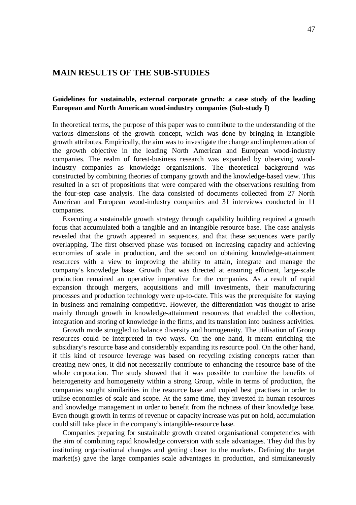# **MAIN RESULTS OF THE SUB-STUDIES**

# **Guidelines for sustainable, external corporate growth: a case study of the leading European and North American wood-industry companies (Sub-study I)**

In theoretical terms, the purpose of this paper was to contribute to the understanding of the various dimensions of the growth concept, which was done by bringing in intangible growth attributes. Empirically, the aim was to investigate the change and implementation of the growth objective in the leading North American and European wood-industry companies. The realm of forest-business research was expanded by observing woodindustry companies as knowledge organisations. The theoretical background was constructed by combining theories of company growth and the knowledge-based view. This resulted in a set of propositions that were compared with the observations resulting from the four-step case analysis. The data consisted of documents collected from 27 North American and European wood-industry companies and 31 interviews conducted in 11 companies.

Executing a sustainable growth strategy through capability building required a growth focus that accumulated both a tangible and an intangible resource base. The case analysis revealed that the growth appeared in sequences, and that these sequences were partly overlapping. The first observed phase was focused on increasing capacity and achieving economies of scale in production, and the second on obtaining knowledge-attainment resources with a view to improving the ability to attain, integrate and manage the company's knowledge base. Growth that was directed at ensuring efficient, large-scale production remained an operative imperative for the companies. As a result of rapid expansion through mergers, acquisitions and mill investments, their manufacturing processes and production technology were up-to-date. This was the prerequisite for staying in business and remaining competitive. However, the differentiation was thought to arise mainly through growth in knowledge-attainment resources that enabled the collection, integration and storing of knowledge in the firms, and its translation into business activities.

Growth mode struggled to balance diversity and homogeneity. The utilisation of Group resources could be interpreted in two ways. On the one hand, it meant enriching the subsidiary's resource base and considerably expanding its resource pool. On the other hand, if this kind of resource leverage was based on recycling existing concepts rather than creating new ones, it did not necessarily contribute to enhancing the resource base of the whole corporation. The study showed that it was possible to combine the benefits of heterogeneity and homogeneity within a strong Group, while in terms of production, the companies sought similarities in the resource base and copied best practises in order to utilise economies of scale and scope. At the same time, they invested in human resources and knowledge management in order to benefit from the richness of their knowledge base. Even though growth in terms of revenue or capacity increase was put on hold, accumulation could still take place in the company's intangible-resource base.

Companies preparing for sustainable growth created organisational competencies with the aim of combining rapid knowledge conversion with scale advantages. They did this by instituting organisational changes and getting closer to the markets. Defining the target market(s) gave the large companies scale advantages in production, and simultaneously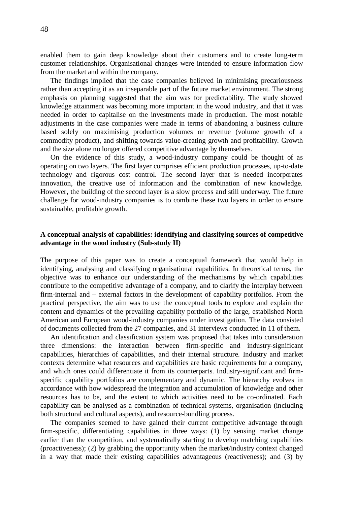enabled them to gain deep knowledge about their customers and to create long-term customer relationships. Organisational changes were intended to ensure information flow from the market and within the company.

The findings implied that the case companies believed in minimising precariousness rather than accepting it as an inseparable part of the future market environment. The strong emphasis on planning suggested that the aim was for predictability. The study showed knowledge attainment was becoming more important in the wood industry, and that it was needed in order to capitalise on the investments made in production. The most notable adjustments in the case companies were made in terms of abandoning a business culture based solely on maximising production volumes or revenue (volume growth of a commodity product), and shifting towards value-creating growth and profitability. Growth and the size alone no longer offered competitive advantage by themselves.

On the evidence of this study, a wood-industry company could be thought of as operating on two layers. The first layer comprises efficient production processes, up-to-date technology and rigorous cost control. The second layer that is needed incorporates innovation, the creative use of information and the combination of new knowledge. However, the building of the second layer is a slow process and still underway. The future challenge for wood-industry companies is to combine these two layers in order to ensure sustainable, profitable growth.

# **A conceptual analysis of capabilities: identifying and classifying sources of competitive advantage in the wood industry (Sub-study II)**

The purpose of this paper was to create a conceptual framework that would help in identifying, analysing and classifying organisational capabilities. In theoretical terms, the objective was to enhance our understanding of the mechanisms by which capabilities contribute to the competitive advantage of a company, and to clarify the interplay between firm-internal and – external factors in the development of capability portfolios. From the practical perspective, the aim was to use the conceptual tools to explore and explain the content and dynamics of the prevailing capability portfolio of the large, established North American and European wood-industry companies under investigation. The data consisted of documents collected from the 27 companies, and 31 interviews conducted in 11 of them.

An identification and classification system was proposed that takes into consideration three dimensions: the interaction between firm-specific and industry-significant capabilities, hierarchies of capabilities, and their internal structure. Industry and market contexts determine what resources and capabilities are basic requirements for a company, and which ones could differentiate it from its counterparts. Industry-significant and firmspecific capability portfolios are complementary and dynamic. The hierarchy evolves in accordance with how widespread the integration and accumulation of knowledge and other resources has to be, and the extent to which activities need to be co-ordinated. Each capability can be analysed as a combination of technical systems, organisation (including both structural and cultural aspects), and resource-bundling process.

The companies seemed to have gained their current competitive advantage through firm-specific, differentiating capabilities in three ways: (1) by sensing market change earlier than the competition, and systematically starting to develop matching capabilities (proactiveness); (2) by grabbing the opportunity when the market/industry context changed in a way that made their existing capabilities advantageous (reactiveness); and (3) by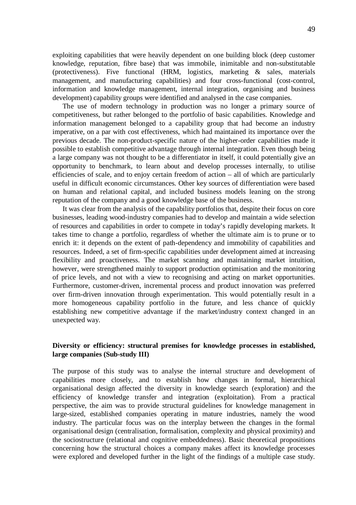exploiting capabilities that were heavily dependent on one building block (deep customer knowledge, reputation, fibre base) that was immobile, inimitable and non-substitutable (protectiveness). Five functional (HRM, logistics, marketing & sales, materials management, and manufacturing capabilities) and four cross-functional (cost-control, information and knowledge management, internal integration, organising and business development) capability groups were identified and analysed in the case companies.

The use of modern technology in production was no longer a primary source of competitiveness, but rather belonged to the portfolio of basic capabilities. Knowledge and information management belonged to a capability group that had become an industry imperative, on a par with cost effectiveness, which had maintained its importance over the previous decade. The non-product-specific nature of the higher-order capabilities made it possible to establish competitive advantage through internal integration. Even though being a large company was not thought to be a differentiator in itself, it could potentially give an opportunity to benchmark, to learn about and develop processes internally, to utilise efficiencies of scale, and to enjoy certain freedom of action – all of which are particularly useful in difficult economic circumstances. Other key sources of differentiation were based on human and relational capital, and included business models leaning on the strong reputation of the company and a good knowledge base of the business.

It was clear from the analysis of the capability portfolios that, despite their focus on core businesses, leading wood-industry companies had to develop and maintain a wide selection of resources and capabilities in order to compete in today's rapidly developing markets. It takes time to change a portfolio, regardless of whether the ultimate aim is to prune or to enrich it: it depends on the extent of path-dependency and immobility of capabilities and resources. Indeed, a set of firm-specific capabilities under development aimed at increasing flexibility and proactiveness. The market scanning and maintaining market intuition, however, were strengthened mainly to support production optimisation and the monitoring of price levels, and not with a view to recognising and acting on market opportunities. Furthermore, customer-driven, incremental process and product innovation was preferred over firm-driven innovation through experimentation. This would potentially result in a more homogeneous capability portfolio in the future, and less chance of quickly establishing new competitive advantage if the market/industry context changed in an unexpected way.

# **Diversity or efficiency: structural premises for knowledge processes in established, large companies (Sub-study III)**

The purpose of this study was to analyse the internal structure and development of capabilities more closely, and to establish how changes in formal, hierarchical organisational design affected the diversity in knowledge search (exploration) and the efficiency of knowledge transfer and integration (exploitation). From a practical perspective, the aim was to provide structural guidelines for knowledge management in large-sized, established companies operating in mature industries, namely the wood industry. The particular focus was on the interplay between the changes in the formal organisational design (centralisation, formalisation, complexity and physical proximity) and the sociostructure (relational and cognitive embeddedness). Basic theoretical propositions concerning how the structural choices a company makes affect its knowledge processes were explored and developed further in the light of the findings of a multiple case study.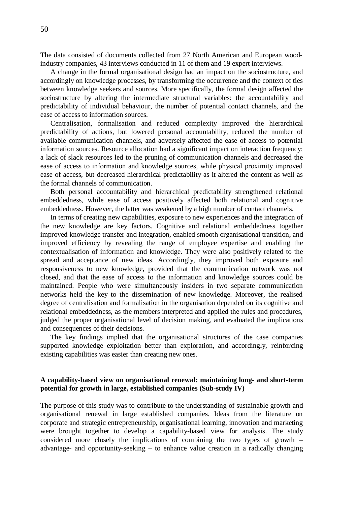The data consisted of documents collected from 27 North American and European woodindustry companies, 43 interviews conducted in 11 of them and 19 expert interviews.

A change in the formal organisational design had an impact on the sociostructure, and accordingly on knowledge processes, by transforming the occurrence and the context of ties between knowledge seekers and sources. More specifically, the formal design affected the sociostructure by altering the intermediate structural variables: the accountability and predictability of individual behaviour, the number of potential contact channels, and the ease of access to information sources.

Centralisation, formalisation and reduced complexity improved the hierarchical predictability of actions, but lowered personal accountability, reduced the number of available communication channels, and adversely affected the ease of access to potential information sources. Resource allocation had a significant impact on interaction frequency: a lack of slack resources led to the pruning of communication channels and decreased the ease of access to information and knowledge sources, while physical proximity improved ease of access, but decreased hierarchical predictability as it altered the content as well as the formal channels of communication.

Both personal accountability and hierarchical predictability strengthened relational embeddedness, while ease of access positively affected both relational and cognitive embeddedness. However, the latter was weakened by a high number of contact channels.

In terms of creating new capabilities, exposure to new experiences and the integration of the new knowledge are key factors. Cognitive and relational embeddedness together improved knowledge transfer and integration, enabled smooth organisational transition, and improved efficiency by revealing the range of employee expertise and enabling the contextualisation of information and knowledge. They were also positively related to the spread and acceptance of new ideas. Accordingly, they improved both exposure and responsiveness to new knowledge, provided that the communication network was not closed, and that the ease of access to the information and knowledge sources could be maintained. People who were simultaneously insiders in two separate communication networks held the key to the dissemination of new knowledge. Moreover, the realised degree of centralisation and formalisation in the organisation depended on its cognitive and relational embeddedness, as the members interpreted and applied the rules and procedures, judged the proper organisational level of decision making, and evaluated the implications and consequences of their decisions.

The key findings implied that the organisational structures of the case companies supported knowledge exploitation better than exploration, and accordingly, reinforcing existing capabilities was easier than creating new ones.

# **A capability-based view on organisational renewal: maintaining long- and short-term potential for growth in large, established companies (Sub-study IV)**

The purpose of this study was to contribute to the understanding of sustainable growth and organisational renewal in large established companies. Ideas from the literature on corporate and strategic entrepreneurship, organisational learning, innovation and marketing were brought together to develop a capability-based view for analysis. The study considered more closely the implications of combining the two types of growth – advantage- and opportunity-seeking – to enhance value creation in a radically changing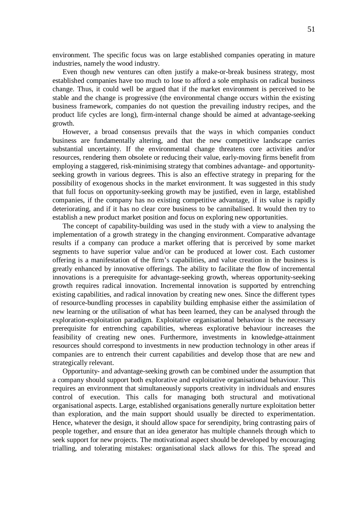environment. The specific focus was on large established companies operating in mature industries, namely the wood industry.

Even though new ventures can often justify a make-or-break business strategy, most established companies have too much to lose to afford a sole emphasis on radical business change. Thus, it could well be argued that if the market environment is perceived to be stable and the change is progressive (the environmental change occurs within the existing business framework, companies do not question the prevailing industry recipes, and the product life cycles are long), firm-internal change should be aimed at advantage-seeking growth.

However, a broad consensus prevails that the ways in which companies conduct business are fundamentally altering, and that the new competitive landscape carries substantial uncertainty. If the environmental change threatens core activities and/or resources, rendering them obsolete or reducing their value, early-moving firms benefit from employing a staggered, risk-minimising strategy that combines advantage- and opportunityseeking growth in various degrees. This is also an effective strategy in preparing for the possibility of exogenous shocks in the market environment. It was suggested in this study that full focus on opportunity-seeking growth may be justified, even in large, established companies, if the company has no existing competitive advantage, if its value is rapidly deteriorating, and if it has no clear core business to be cannibalised. It would then try to establish a new product market position and focus on exploring new opportunities.

The concept of capability-building was used in the study with a view to analysing the implementation of a growth strategy in the changing environment. Comparative advantage results if a company can produce a market offering that is perceived by some market segments to have superior value and/or can be produced at lower cost. Each customer offering is a manifestation of the firm's capabilities, and value creation in the business is greatly enhanced by innovative offerings. The ability to facilitate the flow of incremental innovations is a prerequisite for advantage-seeking growth, whereas opportunity-seeking growth requires radical innovation. Incremental innovation is supported by entrenching existing capabilities, and radical innovation by creating new ones. Since the different types of resource-bundling processes in capability building emphasise either the assimilation of new learning or the utilisation of what has been learned, they can be analysed through the exploration-exploitation paradigm. Exploitative organisational behaviour is the necessary prerequisite for entrenching capabilities, whereas explorative behaviour increases the feasibility of creating new ones. Furthermore, investments in knowledge-attainment resources should correspond to investments in new production technology in other areas if companies are to entrench their current capabilities and develop those that are new and strategically relevant.

Opportunity- and advantage-seeking growth can be combined under the assumption that a company should support both explorative and exploitative organisational behaviour. This requires an environment that simultaneously supports creativity in individuals and ensures control of execution. This calls for managing both structural and motivational organisational aspects. Large, established organisations generally nurture exploitation better than exploration, and the main support should usually be directed to experimentation. Hence, whatever the design, it should allow space for serendipity, bring contrasting pairs of people together, and ensure that an idea generator has multiple channels through which to seek support for new projects. The motivational aspect should be developed by encouraging trialling, and tolerating mistakes: organisational slack allows for this. The spread and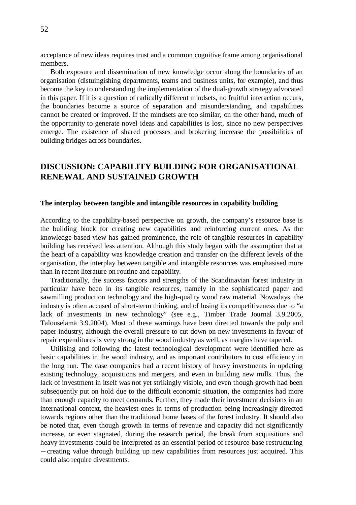acceptance of new ideas requires trust and a common cognitive frame among organisational members.

Both exposure and dissemination of new knowledge occur along the boundaries of an organisation (distuingishing departments, teams and business units, for example), and thus become the key to understanding the implementation of the dual-growth strategy advocated in this paper. If it is a question of radically different mindsets, no fruitful interaction occurs, the boundaries become a source of separation and misunderstanding, and capabilities cannot be created or improved. If the mindsets are too similar, on the other hand, much of the opportunity to generate novel ideas and capabilities is lost, since no new perspectives emerge. The existence of shared processes and brokering increase the possibilities of building bridges across boundaries.

# **DISCUSSION: CAPABILITY BUILDING FOR ORGANISATIONAL RENEWAL AND SUSTAINED GROWTH**

## **The interplay between tangible and intangible resources in capability building**

According to the capability-based perspective on growth, the company's resource base is the building block for creating new capabilities and reinforcing current ones. As the knowledge-based view has gained prominence, the role of tangible resources in capability building has received less attention. Although this study began with the assumption that at the heart of a capability was knowledge creation and transfer on the different levels of the organisation, the interplay between tangible and intangible resources was emphasised more than in recent literature on routine and capability.

Traditionally, the success factors and strengths of the Scandinavian forest industry in particular have been in its tangible resources, namely in the sophisticated paper and sawmilling production technology and the high-quality wood raw material. Nowadays, the industry is often accused of short-term thinking, and of losing its competitiveness due to "a lack of investments in new technology" (see e.g., Timber Trade Journal 3.9.2005, Talouselämä 3.9.2004). Most of these warnings have been directed towards the pulp and paper industry, although the overall pressure to cut down on new investments in favour of repair expenditures is very strong in the wood industry as well, as margins have tapered.

Utilising and following the latest technological development were identified here as basic capabilities in the wood industry, and as important contributors to cost efficiency in the long run. The case companies had a recent history of heavy investments in updating existing technology, acquisitions and mergers, and even in building new mills. Thus, the lack of investment in itself was not yet strikingly visible, and even though growth had been subsequently put on hold due to the difficult economic situation, the companies had more than enough capacity to meet demands. Further, they made their investment decisions in an international context, the heaviest ones in terms of production being increasingly directed towards regions other than the traditional home bases of the forest industry. It should also be noted that, even though growth in terms of revenue and capacity did not significantly increase, or even stagnated, during the research period, the break from acquisitions and heavy investments could be interpreted as an essential period of resource-base restructuring − creating value through building up new capabilities from resources just acquired. This could also require divestments.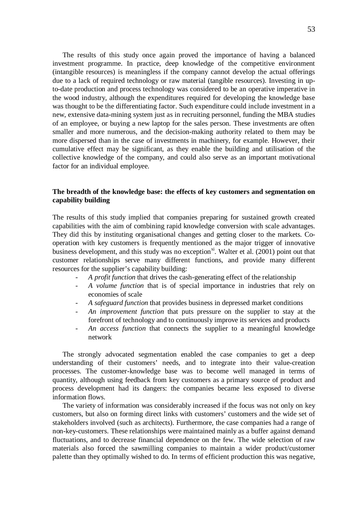The results of this study once again proved the importance of having a balanced investment programme. In practice, deep knowledge of the competitive environment (intangible resources) is meaningless if the company cannot develop the actual offerings due to a lack of required technology or raw material (tangible resources). Investing in upto-date production and process technology was considered to be an operative imperative in the wood industry, although the expenditures required for developing the knowledge base was thought to be the differentiating factor. Such expenditure could include investment in a new, extensive data-mining system just as in recruiting personnel, funding the MBA studies of an employee, or buying a new laptop for the sales person. These investments are often smaller and more numerous, and the decision-making authority related to them may be more dispersed than in the case of investments in machinery, for example. However, their cumulative effect may be significant, as they enable the building and utilisation of the collective knowledge of the company, and could also serve as an important motivational factor for an individual employee.

# **The breadth of the knowledge base: the effects of key customers and segmentation on capability building**

The results of this study implied that companies preparing for sustained growth created capabilities with the aim of combining rapid knowledge conversion with scale advantages. They did this by instituting organisational changes and getting closer to the markets. Cooperation with key customers is frequently mentioned as the major trigger of innovative business development, and this study was no exception<sup>xi</sup>. Walter et al.  $(2001)$  point out that customer relationships serve many different functions, and provide many different resources for the supplier's capability building:

- *A profit function* that drives the cash-generating effect of the relationship
- *A volume function* that is of special importance in industries that rely on economies of scale
- *A safeguard function* that provides business in depressed market conditions
- An *improvement function* that puts pressure on the supplier to stay at the forefront of technology and to continuously improve its services and products
- An access function that connects the supplier to a meaningful knowledge network

The strongly advocated segmentation enabled the case companies to get a deep understanding of their customers' needs, and to integrate into their value-creation processes. The customer-knowledge base was to become well managed in terms of quantity, although using feedback from key customers as a primary source of product and process development had its dangers: the companies became less exposed to diverse information flows.

The variety of information was considerably increased if the focus was not only on key customers, but also on forming direct links with customers' customers and the wide set of stakeholders involved (such as architects). Furthermore, the case companies had a range of non-key-customers. These relationships were maintained mainly as a buffer against demand fluctuations, and to decrease financial dependence on the few. The wide selection of raw materials also forced the sawmilling companies to maintain a wider product/customer palette than they optimally wished to do. In terms of efficient production this was negative,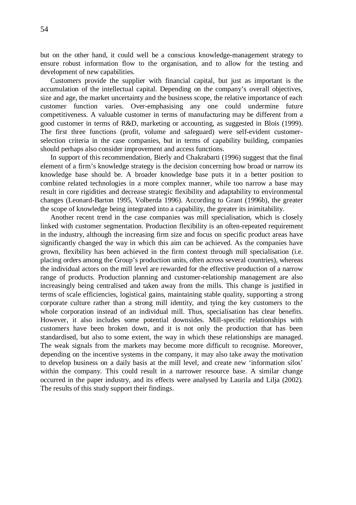but on the other hand, it could well be a conscious knowledge-management strategy to ensure robust information flow to the organisation, and to allow for the testing and development of new capabilities.

Customers provide the supplier with financial capital, but just as important is the accumulation of the intellectual capital. Depending on the company's overall objectives, size and age, the market uncertainty and the business scope, the relative importance of each customer function varies. Over-emphasising any one could undermine future competitiveness. A valuable customer in terms of manufacturing may be different from a good customer in terms of R&D, marketing or accounting, as suggested in Blois (1999). The first three functions (profit, volume and safeguard) were self-evident customerselection criteria in the case companies, but in terms of capability building, companies should perhaps also consider improvement and access functions.

In support of this recommendation, Bierly and Chakrabarti (1996) suggest that the final element of a firm's knowledge strategy is the decision concerning how broad or narrow its knowledge base should be. A broader knowledge base puts it in a better position to combine related technologies in a more complex manner, while too narrow a base may result in core rigidities and decrease strategic flexibility and adaptability to environmental changes (Leonard-Barton 1995, Volberda 1996). According to Grant (1996b), the greater the scope of knowledge being integrated into a capability, the greater its inimitability.

Another recent trend in the case companies was mill specialisation, which is closely linked with customer segmentation. Production flexibility is an often-repeated requirement in the industry, although the increasing firm size and focus on specific product areas have significantly changed the way in which this aim can be achieved. As the companies have grown, flexibility has been achieved in the firm context through mill specialisation (i.e. placing orders among the Group's production units, often across several countries), whereas the individual actors on the mill level are rewarded for the effective production of a narrow range of products. Production planning and customer-relationship management are also increasingly being centralised and taken away from the mills. This change is justified in terms of scale efficiencies, logistical gains, maintaining stable quality, supporting a strong corporate culture rather than a strong mill identity, and tying the key customers to the whole corporation instead of an individual mill. Thus, specialisation has clear benefits. However, it also includes some potential downsides. Mill-specific relationships with customers have been broken down, and it is not only the production that has been standardised, but also to some extent, the way in which these relationships are managed. The weak signals from the markets may become more difficult to recognise. Moreover, depending on the incentive systems in the company, it may also take away the motivation to develop business on a daily basis at the mill level, and create new 'information silos' within the company. This could result in a narrower resource base. A similar change occurred in the paper industry, and its effects were analysed by Laurila and Lilja (2002). The results of this study support their findings.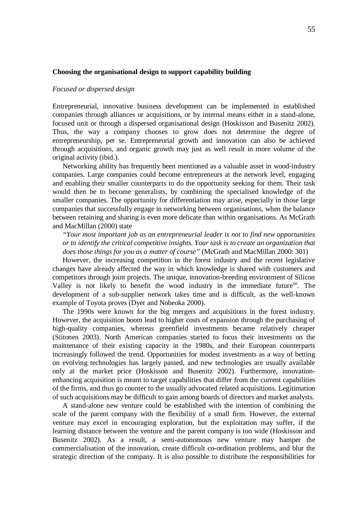## **Choosing the organisational design to support capability building**

### *Focused or dispersed design*

Entrepreneurial, innovative business development can be implemented in established companies through alliances or acquisitions, or by internal means either in a stand-alone, focused unit or through a dispersed organisational design (Hoskisson and Busenitz 2002). Thus, the way a company chooses to grow does not determine the degree of entrepreneurship, per se. Entrepreneurial growth and innovation can also be achieved through acquisitions, and organic growth may just as well result in more volume of the original activity (ibid.).

Networking ability has frequently been mentioned as a valuable asset in wood-industry companies. Large companies could become entrepreneurs at the network level, engaging and enabling their smaller counterparts to do the opportunity seeking for them. Their task would then be to become generalists, by combining the specialised knowledge of the smaller companies. The opportunity for differentiation may arise, especially in those large companies that successfully engage in networking between organisations, when the balance between retaining and sharing is even more delicate than within organisations. As McGrath and MacMillan (2000) state

*"Your most important job as an entrepreneurial leader is not to find new opportunities or to identify the critical competitive insights. Your task is to create an organization that does those things for you as a matter of course"*(McGrath and MacMillan 2000: 301)

However, the increasing competition in the forest industry and the recent legislative changes have already affected the way in which knowledge is shared with customers and competitors through joint projects. The unique, innovation-breeding environment of Silicon Valley is not likely to benefit the wood industry in the immediate future<sup>xii</sup>. The development of a sub-supplier network takes time and is difficult, as the well-known example of Toyota proves (Dyer and Nobeoka 2000).

The 1990s were known for the big mergers and acquisitions in the forest industry. However, the acquisition boom lead to higher costs of expansion through the purchasing of high-quality companies, whereas greenfield investments became relatively cheaper (Siitonen 2003). North American companies started to focus their investments on the maintenance of their existing capacity in the 1980s, and their European counterparts increasingly followed the trend. Opportunities for modest investments as a way of betting on evolving technologies has largely passed, and new technologies are usually available only at the market price (Hoskisson and Busenitz 2002). Furthermore, innovationenhancing acquisition is meant to target capabilities that differ from the current capabilities of the firms, and thus go counter to the usually advocated related acquisitions. Legitimation of such acquisitions may be difficult to gain among boards of directors and market analysts.

A stand-alone new venture could be established with the intention of combining the scale of the parent company with the flexibility of a small firm. However, the external venture may excel in encouraging exploration, but the exploitation may suffer, if the learning distance between the venture and the parent company is too wide (Hoskisson and Busenitz 2002). As a result, a semi-autonomous new venture may hamper the commercialisation of the innovation, create difficult co-ordination problems, and blur the strategic direction of the company. It is also possible to distribute the responsibilities for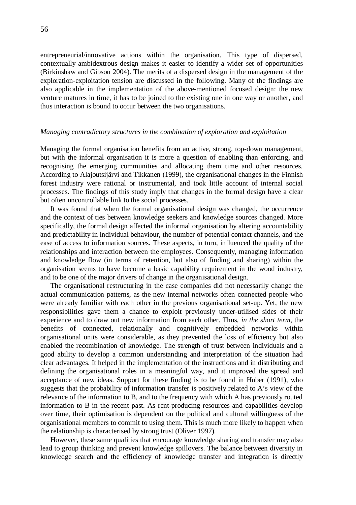entrepreneurial/innovative actions within the organisation. This type of dispersed, contextually ambidextrous design makes it easier to identify a wider set of opportunities (Birkinshaw and Gibson 2004). The merits of a dispersed design in the management of the exploration-exploitation tension are discussed in the following. Many of the findings are also applicable in the implementation of the above-mentioned focused design: the new venture matures in time, it has to be joined to the existing one in one way or another, and thus interaction is bound to occur between the two organisations.

#### *Managing contradictory structures in the combination of exploration and exploitation*

Managing the formal organisation benefits from an active, strong, top-down management, but with the informal organisation it is more a question of enabling than enforcing, and recognising the emerging communities and allocating them time and other resources. According to Alajoutsijärvi and Tikkanen (1999), the organisational changes in the Finnish forest industry were rational or instrumental, and took little account of internal social processes. The findings of this study imply that changes in the formal design have a clear but often uncontrollable link to the social processes.

It was found that when the formal organisational design was changed, the occurrence and the context of ties between knowledge seekers and knowledge sources changed. More specifically, the formal design affected the informal organisation by altering accountability and predictability in individual behaviour, the number of potential contact channels, and the ease of access to information sources. These aspects, in turn, influenced the quality of the relationships and interaction between the employees. Consequently, managing information and knowledge flow (in terms of retention, but also of finding and sharing) within the organisation seems to have become a basic capability requirement in the wood industry, and to be one of the major drivers of change in the organisational design.

The organisational restructuring in the case companies did not necessarily change the actual communication patterns, as the new internal networks often connected people who were already familiar with each other in the previous organisational set-up. Yet, the new responsibilities gave them a chance to exploit previously under-utilised sides of their experience and to draw out new information from each other. Thus, *in the short term*, the benefits of connected, relationally and cognitively embedded networks within organisational units were considerable, as they prevented the loss of efficiency but also enabled the recombination of knowledge. The strength of trust between individuals and a good ability to develop a common understanding and interpretation of the situation had clear advantages. It helped in the implementation of the instructions and in distributing and defining the organisational roles in a meaningful way, and it improved the spread and acceptance of new ideas. Support for these finding is to be found in Huber (1991), who suggests that the probability of information transfer is positively related to A's view of the relevance of the information to B, and to the frequency with which A has previously routed information to B in the recent past. As rent-producing resources and capabilities develop over time, their optimisation is dependent on the political and cultural willingness of the organisational members to commit to using them. This is much more likely to happen when the relationship is characterised by strong trust (Oliver 1997).

However, these same qualities that encourage knowledge sharing and transfer may also lead to group thinking and prevent knowledge spillovers. The balance between diversity in knowledge search and the efficiency of knowledge transfer and integration is directly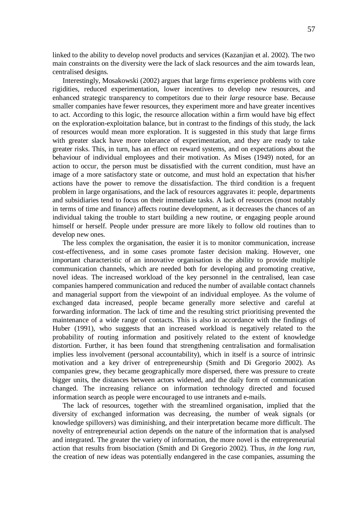linked to the ability to develop novel products and services (Kazanjian et al. 2002). The two main constraints on the diversity were the lack of slack resources and the aim towards lean, centralised designs.

Interestingly, Mosakowski (2002) argues that large firms experience problems with core rigidities, reduced experimentation, lower incentives to develop new resources, and enhanced strategic transparency to competitors due to their *large* resource base. Because smaller companies have fewer resources, they experiment more and have greater incentives to act. According to this logic, the resource allocation within a firm would have big effect on the exploration-exploitation balance, but in contrast to the findings of this study, the lack of resources would mean more exploration. It is suggested in this study that large firms with greater slack have more tolerance of experimentation, and they are ready to take greater risks. This, in turn, has an effect on reward systems, and on expectations about the behaviour of individual employees and their motivation. As Mises (1949) noted, for an action to occur, the person must be dissatisfied with the current condition, must have an image of a more satisfactory state or outcome, and must hold an expectation that his/her actions have the power to remove the dissatisfaction. The third condition is a frequent problem in large organisations, and the lack of resources aggravates it: people, departments and subsidiaries tend to focus on their immediate tasks. A lack of resources (most notably in terms of time and finance) affects routine development, as it decreases the chances of an individual taking the trouble to start building a new routine, or engaging people around himself or herself. People under pressure are more likely to follow old routines than to develop new ones.

The less complex the organisation, the easier it is to monitor communication, increase cost-effectiveness, and in some cases promote faster decision making. However, one important characteristic of an innovative organisation is the ability to provide multiple communication channels, which are needed both for developing and promoting creative, novel ideas. The increased workload of the key personnel in the centralised, lean case companies hampered communication and reduced the number of available contact channels and managerial support from the viewpoint of an individual employee. As the volume of exchanged data increased, people became generally more selective and careful at forwarding information. The lack of time and the resulting strict prioritising prevented the maintenance of a wide range of contacts. This is also in accordance with the findings of Huber (1991), who suggests that an increased workload is negatively related to the probability of routing information and positively related to the extent of knowledge distortion. Further, it has been found that strengthening centralisation and formalisation implies less involvement (personal accountability), which in itself is a source of intrinsic motivation and a key driver of entrepreneurship (Smith and Di Gregorio 2002). As companies grew, they became geographically more dispersed, there was pressure to create bigger units, the distances between actors widened, and the daily form of communication changed. The increasing reliance on information technology directed and focused information search as people were encouraged to use intranets and e-mails.

The lack of resources, together with the streamlined organisation, implied that the diversity of exchanged information was decreasing, the number of weak signals (or knowledge spillovers) was diminishing, and their interpretation became more difficult. The novelty of entrepreneurial action depends on the nature of the information that is analysed and integrated. The greater the variety of information, the more novel is the entrepreneurial action that results from bisociation (Smith and Di Gregorio 2002). Thus, *in the long run*, the creation of new ideas was potentially endangered in the case companies, assuming the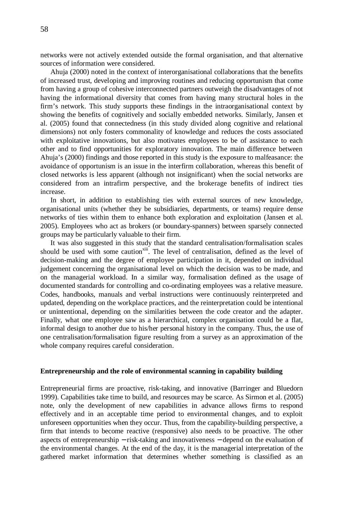networks were not actively extended outside the formal organisation, and that alternative sources of information were considered.

Ahuja (2000) noted in the context of interorganisational collaborations that the benefits of increased trust, developing and improving routines and reducing opportunism that come from having a group of cohesive interconnected partners outweigh the disadvantages of not having the informational diversity that comes from having many structural holes in the firm's network. This study supports these findings in the intraorganisational context by showing the benefits of cognitively and socially embedded networks. Similarly, Jansen et al. (2005) found that connectedness (in this study divided along cognitive and relational dimensions) not only fosters commonality of knowledge and reduces the costs associated with exploitative innovations, but also motivates employees to be of assistance to each other and to find opportunities for exploratory innovation. The main difference between Ahuja's (2000) findings and those reported in this study is the exposure to malfeasance: the avoidance of opportunism is an issue in the interfirm collaboration, whereas this benefit of closed networks is less apparent (although not insignificant) when the social networks are considered from an intrafirm perspective, and the brokerage benefits of indirect ties increase.

In short, in addition to establishing ties with external sources of new knowledge, organisational units (whether they be subsidiaries, departments, or teams) require dense networks of ties within them to enhance both exploration and exploitation (Jansen et al. 2005). Employees who act as brokers (or boundary-spanners) between sparsely connected groups may be particularly valuable to their firm.

It was also suggested in this study that the standard centralisation/formalisation scales should be used with some caution<sup>xiii</sup>. The level of centralisation, defined as the level of decision-making and the degree of employee participation in it, depended on individual judgement concerning the organisational level on which the decision was to be made, and on the managerial workload. In a similar way, formalisation defined as the usage of documented standards for controlling and co-ordinating employees was a relative measure. Codes, handbooks, manuals and verbal instructions were continuously reinterpreted and updated, depending on the workplace practices, and the reinterpretation could be intentional or unintentional, depending on the similarities between the code creator and the adapter. Finally, what one employee saw as a hierarchical, complex organisation could be a flat, informal design to another due to his/her personal history in the company. Thus, the use of one centralisation/formalisation figure resulting from a survey as an approximation of the whole company requires careful consideration.

### **Entrepreneurship and the role of environmental scanning in capability building**

Entrepreneurial firms are proactive, risk-taking, and innovative (Barringer and Bluedorn 1999). Capabilities take time to build, and resources may be scarce. As Sirmon et al. (2005) note, only the development of new capabilities in advance allows firms to respond effectively and in an acceptable time period to environmental changes, and to exploit unforeseen opportunities when they occur. Thus, from the capability-building perspective, a firm that intends to become reactive (responsive) also needs to be proactive. The other aspects of entrepreneurship − risk-taking and innovativeness − depend on the evaluation of the environmental changes. At the end of the day, it is the managerial interpretation of the gathered market information that determines whether something is classified as an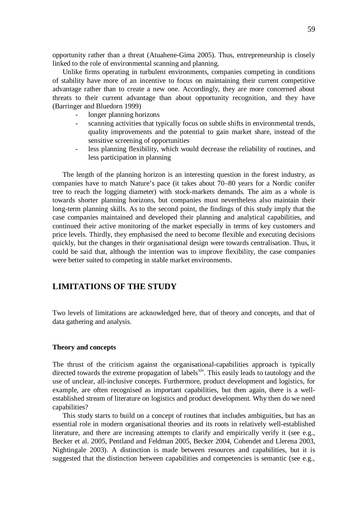opportunity rather than a threat (Atuahene-Gima 2005). Thus, entrepreneurship is closely linked to the role of environmental scanning and planning.

Unlike firms operating in turbulent environments, companies competing in conditions of stability have more of an incentive to focus on maintaining their current competitive advantage rather than to create a new one. Accordingly, they are more concerned about threats to their current advantage than about opportunity recognition, and they have (Barringer and Bluedorn 1999)

- longer planning horizons
- scanning activities that typically focus on subtle shifts in environmental trends, quality improvements and the potential to gain market share, instead of the sensitive screening of opportunities
- less planning flexibility, which would decrease the reliability of routines, and less participation in planning

The length of the planning horizon is an interesting question in the forest industry, as companies have to match Nature's pace (it takes about 70–80 years for a Nordic conifer tree to reach the logging diameter) with stock-markets demands. The aim as a whole is towards shorter planning horizons, but companies must nevertheless also maintain their long-term planning skills. As to the second point, the findings of this study imply that the case companies maintained and developed their planning and analytical capabilities, and continued their active monitoring of the market especially in terms of key customers and price levels. Thirdly, they emphasised the need to become flexible and executing decisions quickly, but the changes in their organisational design were towards centralisation. Thus, it could be said that, although the intention was to improve flexibility, the case companies were better suited to competing in stable market environments.

# **LIMITATIONS OF THE STUDY**

Two levels of limitations are acknowledged here, that of theory and concepts, and that of data gathering and analysis.

## **Theory and concepts**

The thrust of the criticism against the organisational-capabilities approach is typically directed towards the extreme propagation of labels<sup>xiv</sup>. This easily leads to tautology and the use of unclear, all-inclusive concepts. Furthermore, product development and logistics, for example, are often recognised as important capabilities, but then again, there is a wellestablished stream of literature on logistics and product development. Why then do we need capabilities?

This study starts to build on a concept of routines that includes ambiguities, but has an essential role in modern organisational theories and its roots in relatively well-established literature, and there are increasing attempts to clarify and empirically verify it (see e.g., Becker et al. 2005, Pentland and Feldman 2005, Becker 2004, Cohendet and Llerena 2003, Nightingale 2003). A distinction is made between resources and capabilities, but it is suggested that the distinction between capabilities and competencies is semantic (see e.g.,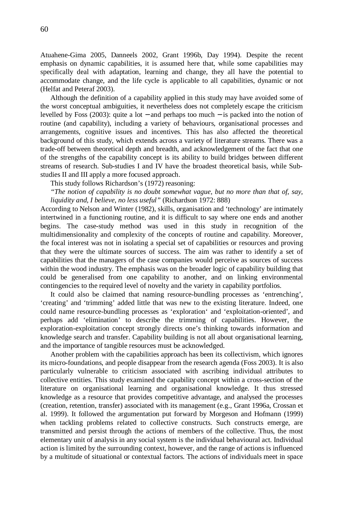Atuahene-Gima 2005, Danneels 2002, Grant 1996b, Day 1994). Despite the recent emphasis on dynamic capabilities, it is assumed here that, while some capabilities may specifically deal with adaptation, learning and change, they all have the potential to accommodate change, and the life cycle is applicable to all capabilities, dynamic or not (Helfat and Peteraf 2003).

Although the definition of a capability applied in this study may have avoided some of the worst conceptual ambiguities, it nevertheless does not completely escape the criticism levelled by Foss (2003): quite a lot − and perhaps too much − is packed into the notion of routine (and capability), including a variety of behaviours, organisational processes and arrangements, cognitive issues and incentives. This has also affected the theoretical background of this study, which extends across a variety of literature streams. There was a trade-off between theoretical depth and breadth, and acknowledgement of the fact that one of the strengths of the capability concept is its ability to build bridges between different streams of research. Sub-studies I and IV have the broadest theoretical basis, while Substudies II and III apply a more focused approach.

This study follows Richardson's (1972) reasoning:

*"The notion of capability is no doubt somewhat vague, but no more than that of, say, liquidity and, I believe, no less useful"*(Richardson 1972: 888)

According to Nelson and Winter (1982), skills, organisation and 'technology' are intimately intertwined in a functioning routine, and it is difficult to say where one ends and another begins. The case-study method was used in this study in recognition of the multidimensionality and complexity of the concepts of routine and capability. Moreover, the focal interest was not in isolating a special set of capabilities or resources and proving that they were the ultimate sources of success. The aim was rather to identify a set of capabilities that the managers of the case companies would perceive as sources of success within the wood industry. The emphasis was on the broader logic of capability building that could be generalised from one capability to another, and on linking environmental contingencies to the required level of novelty and the variety in capability portfolios.

It could also be claimed that naming resource-bundling processes as 'entrenching', 'creating' and 'trimming' added little that was new to the existing literature. Indeed, one could name resource-bundling processes as 'exploration' and 'exploitation-oriented', and perhaps add 'elimination' to describe the trimming of capabilities. However, the exploration-exploitation concept strongly directs one's thinking towards information and knowledge search and transfer. Capability building is not all about organisational learning, and the importance of tangible resources must be acknowledged.

Another problem with the capabilities approach has been its collectivism, which ignores its micro-foundations, and people disappear from the research agenda (Foss 2003). It is also particularly vulnerable to criticism associated with ascribing individual attributes to collective entities. This study examined the capability concept within a cross-section of the literature on organisational learning and organisational knowledge. It thus stressed knowledge as a resource that provides competitive advantage, and analysed the processes (creation, retention, transfer) associated with its management (e.g., Grant 1996a, Crossan et al. 1999). It followed the argumentation put forward by Morgeson and Hofmann (1999) when tackling problems related to collective constructs. Such constructs emerge, are transmitted and persist through the actions of members of the collective. Thus, the most elementary unit of analysis in any social system is the individual behavioural act. Individual action is limited by the surrounding context, however, and the range of actions is influenced by a multitude of situational or contextual factors. The actions of individuals meet in space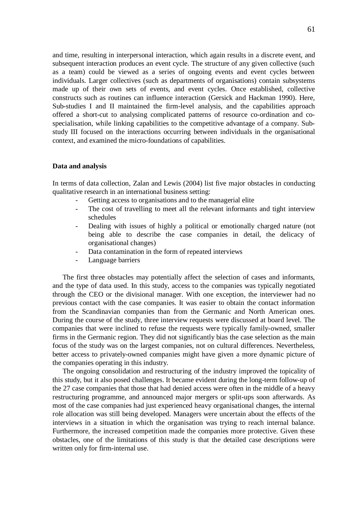and time, resulting in interpersonal interaction, which again results in a discrete event, and subsequent interaction produces an event cycle. The structure of any given collective (such as a team) could be viewed as a series of ongoing events and event cycles between individuals. Larger collectives (such as departments of organisations) contain subsystems made up of their own sets of events, and event cycles. Once established, collective constructs such as routines can influence interaction (Gersick and Hackman 1990). Here, Sub-studies I and II maintained the firm-level analysis, and the capabilities approach offered a short-cut to analysing complicated patterns of resource co-ordination and cospecialisation, while linking capabilities to the competitive advantage of a company. Substudy III focused on the interactions occurring between individuals in the organisational context, and examined the micro-foundations of capabilities.

### **Data and analysis**

In terms of data collection, Zalan and Lewis (2004) list five major obstacles in conducting qualitative research in an international business setting:

- Getting access to organisations and to the managerial elite
- The cost of travelling to meet all the relevant informants and tight interview schedules
- Dealing with issues of highly a political or emotionally charged nature (not being able to describe the case companies in detail, the delicacy of organisational changes)
- Data contamination in the form of repeated interviews
- Language barriers

The first three obstacles may potentially affect the selection of cases and informants, and the type of data used. In this study, access to the companies was typically negotiated through the CEO or the divisional manager. With one exception, the interviewer had no previous contact with the case companies. It was easier to obtain the contact information from the Scandinavian companies than from the Germanic and North American ones. During the course of the study, three interview requests were discussed at board level. The companies that were inclined to refuse the requests were typically family-owned, smaller firms in the Germanic region. They did not significantly bias the case selection as the main focus of the study was on the largest companies, not on cultural differences. Nevertheless, better access to privately-owned companies might have given a more dynamic picture of the companies operating in this industry.

The ongoing consolidation and restructuring of the industry improved the topicality of this study, but it also posed challenges. It became evident during the long-term follow-up of the 27 case companies that those that had denied access were often in the middle of a heavy restructuring programme, and announced major mergers or split-ups soon afterwards. As most of the case companies had just experienced heavy organisational changes, the internal role allocation was still being developed. Managers were uncertain about the effects of the interviews in a situation in which the organisation was trying to reach internal balance. Furthermore, the increased competition made the companies more protective. Given these obstacles, one of the limitations of this study is that the detailed case descriptions were written only for firm-internal use.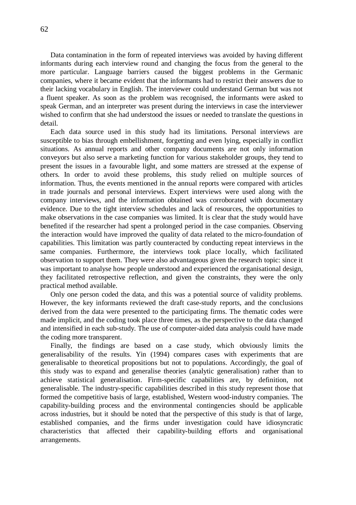Data contamination in the form of repeated interviews was avoided by having different informants during each interview round and changing the focus from the general to the more particular. Language barriers caused the biggest problems in the Germanic companies, where it became evident that the informants had to restrict their answers due to their lacking vocabulary in English. The interviewer could understand German but was not a fluent speaker. As soon as the problem was recognised, the informants were asked to speak German, and an interpreter was present during the interviews in case the interviewer wished to confirm that she had understood the issues or needed to translate the questions in detail.

Each data source used in this study had its limitations. Personal interviews are susceptible to bias through embellishment, forgetting and even lying, especially in conflict situations. As annual reports and other company documents are not only information conveyors but also serve a marketing function for various stakeholder groups, they tend to present the issues in a favourable light, and some matters are stressed at the expense of others. In order to avoid these problems, this study relied on multiple sources of information. Thus, the events mentioned in the annual reports were compared with articles in trade journals and personal interviews. Expert interviews were used along with the company interviews, and the information obtained was corroborated with documentary evidence. Due to the tight interview schedules and lack of resources, the opportunities to make observations in the case companies was limited. It is clear that the study would have benefited if the researcher had spent a prolonged period in the case companies. Observing the interaction would have improved the quality of data related to the micro-foundation of capabilities. This limitation was partly counteracted by conducting repeat interviews in the same companies. Furthermore, the interviews took place locally, which facilitated observation to support them. They were also advantageous given the research topic: since it was important to analyse how people understood and experienced the organisational design, they facilitated retrospective reflection, and given the constraints, they were the only practical method available.

Only one person coded the data, and this was a potential source of validity problems. However, the key informants reviewed the draft case-study reports, and the conclusions derived from the data were presented to the participating firms. The thematic codes were made implicit, and the coding took place three times, as the perspective to the data changed and intensified in each sub-study. The use of computer-aided data analysis could have made the coding more transparent.

Finally, the findings are based on a case study, which obviously limits the generalisability of the results. Yin (1994) compares cases with experiments that are generalisable to theoretical propositions but not to populations. Accordingly, the goal of this study was to expand and generalise theories (analytic generalisation) rather than to achieve statistical generalisation. Firm-specific capabilities are, by definition, not generalisable. The industry-specific capabilities described in this study represent those that formed the competitive basis of large, established, Western wood-industry companies. The capability-building process and the environmental contingencies should be applicable across industries, but it should be noted that the perspective of this study is that of large, established companies, and the firms under investigation could have idiosyncratic characteristics that affected their capability-building efforts and organisational arrangements.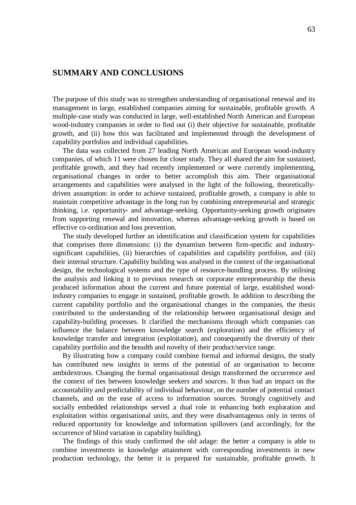# **SUMMARY AND CONCLUSIONS**

The purpose of this study was to strengthen understanding of organisational renewal and its management in large, established companies aiming for sustainable, profitable growth. A multiple-case study was conducted in large, well-established North American and European wood-industry companies in order to find out (i) their objective for sustainable, profitable growth, and (ii) how this was facilitated and implemented through the development of capability portfolios and individual capabilities.

The data was collected from 27 leading North American and European wood-industry companies, of which 11 were chosen for closer study. They all shared the aim for sustained, profitable growth, and they had recently implemented or were currently implementing, organisational changes in order to better accomplish this aim. Their organisational arrangements and capabilities were analysed in the light of the following, theoreticallydriven assumption: in order to achieve sustained, profitable growth, a company is able to maintain competitive advantage in the long run by combining entrepreneurial and strategic thinking, i.e. opportunity- and advantage-seeking. Opportunity-seeking growth originates from supporting renewal and innovation, whereas advantage-seeking growth is based on effective co-ordination and loss prevention.

The study developed further an identification and classification system for capabilities that comprises three dimensions: (i) the dynamism between firm-specific and industrysignificant capabilities, (ii) hierarchies of capabilities and capability portfolios, and (iii) their internal structure. Capability building was analysed in the context of the organisational design, the technological systems and the type of resource-bundling process. By utilising the analysis and linking it to previous research on corporate entrepreneurship the thesis produced information about the current and future potential of large, established woodindustry companies to engage in sustained, profitable growth. In addition to describing the current capability portfolio and the organisational changes in the companies, the thesis contributed to the understanding of the relationship between organisational design and capability-building processes. It clarified the mechanisms through which companies can influence the balance between knowledge search (exploration) and the efficiency of knowledge transfer and integration (exploitation), and consequently the diversity of their capability portfolio and the breadth and novelty of their product/service range.

By illustrating how a company could combine formal and informal designs, the study has contributed new insights in terms of the potential of an organisation to become ambidextrous. Changing the formal organisational design transformed the occurrence and the context of ties between knowledge seekers and sources. It thus had an impact on the accountability and predictability of individual behaviour, on the number of potential contact channels, and on the ease of access to information sources. Strongly cognitively and socially embedded relationships served a dual role in enhancing both exploration and exploitation within organisational units, and they were disadvantageous only in terms of reduced opportunity for knowledge and information spillovers (and accordingly, for the occurrence of blind variation in capability building).

The findings of this study confirmed the old adage: the better a company is able to combine investments in knowledge attainment with corresponding investments in new production technology, the better it is prepared for sustainable, profitable growth. It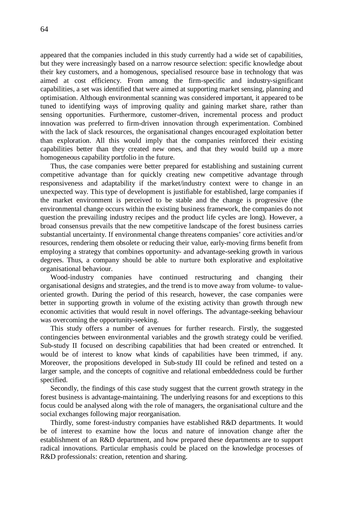appeared that the companies included in this study currently had a wide set of capabilities, but they were increasingly based on a narrow resource selection: specific knowledge about their key customers, and a homogenous, specialised resource base in technology that was aimed at cost efficiency. From among the firm-specific and industry-significant capabilities, a set was identified that were aimed at supporting market sensing, planning and optimisation. Although environmental scanning was considered important, it appeared to be tuned to identifying ways of improving quality and gaining market share, rather than sensing opportunities. Furthermore, customer-driven, incremental process and product innovation was preferred to firm-driven innovation through experimentation. Combined with the lack of slack resources, the organisational changes encouraged exploitation better than exploration. All this would imply that the companies reinforced their existing capabilities better than they created new ones, and that they would build up a more homogeneous capability portfolio in the future.

Thus, the case companies were better prepared for establishing and sustaining current competitive advantage than for quickly creating new competitive advantage through responsiveness and adaptability if the market/industry context were to change in an unexpected way. This type of development is justifiable for established, large companies if the market environment is perceived to be stable and the change is progressive (the environmental change occurs within the existing business framework, the companies do not question the prevailing industry recipes and the product life cycles are long). However, a broad consensus prevails that the new competitive landscape of the forest business carries substantial uncertainty. If environmental change threatens companies' core activities and/or resources, rendering them obsolete or reducing their value, early-moving firms benefit from employing a strategy that combines opportunity- and advantage-seeking growth in various degrees. Thus, a company should be able to nurture both explorative and exploitative organisational behaviour.

Wood-industry companies have continued restructuring and changing their organisational designs and strategies, and the trend is to move away from volume- to valueoriented growth. During the period of this research, however, the case companies were better in supporting growth in volume of the existing activity than growth through new economic activities that would result in novel offerings. The advantage-seeking behaviour was overcoming the opportunity-seeking.

This study offers a number of avenues for further research. Firstly, the suggested contingencies between environmental variables and the growth strategy could be verified. Sub-study II focused on describing capabilities that had been created or entrenched. It would be of interest to know what kinds of capabilities have been trimmed, if any. Moreover, the propositions developed in Sub-study III could be refined and tested on a larger sample, and the concepts of cognitive and relational embeddedness could be further specified.

Secondly, the findings of this case study suggest that the current growth strategy in the forest business is advantage-maintaining. The underlying reasons for and exceptions to this focus could be analysed along with the role of managers, the organisational culture and the social exchanges following major reorganisation.

Thirdly, some forest-industry companies have established R&D departments. It would be of interest to examine how the locus and nature of innovation change after the establishment of an R&D department, and how prepared these departments are to support radical innovations. Particular emphasis could be placed on the knowledge processes of R&D professionals: creation, retention and sharing.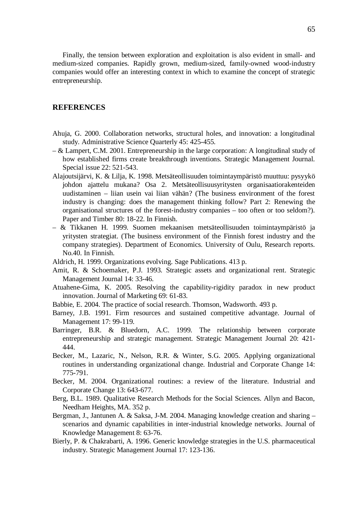Finally, the tension between exploration and exploitation is also evident in small- and medium-sized companies. Rapidly grown, medium-sized, family-owned wood-industry companies would offer an interesting context in which to examine the concept of strategic entrepreneurship.

# **REFERENCES**

- Ahuja, G. 2000. Collaboration networks, structural holes, and innovation: a longitudinal study. Administrative Science Quarterly 45: 425-455.
- & Lampert, C.M. 2001. Entrepreneurship in the large corporation: A longitudinal study of how established firms create breakthrough inventions. Strategic Management Journal. Special issue 22: 521-543.
- Alajoutsijärvi, K. & Lilja, K. 1998. Metsäteollisuuden toimintaympäristö muuttuu: pysyykö johdon ajattelu mukana? Osa 2. Metsäteollisuusyritysten organisaatiorakenteiden uudistaminen – liian usein vai liian vähän? (The business environment of the forest industry is changing: does the management thinking follow? Part 2: Renewing the organisational structures of the forest-industry companies – too often or too seldom?). Paper and Timber 80: 18-22. In Finnish.
- & Tikkanen H. 1999. Suomen mekaanisen metsäteollisuuden toimintaympäristö ja yritysten strategiat. (The business environment of the Finnish forest industry and the company strategies). Department of Economics. University of Oulu, Research reports. No.40. In Finnish.
- Aldrich, H. 1999. Organizations evolving. Sage Publications. 413 p.
- Amit, R. & Schoemaker, P.J. 1993. Strategic assets and organizational rent. Strategic Management Journal 14: 33-46.
- Atuahene-Gima, K. 2005. Resolving the capability-rigidity paradox in new product innovation. Journal of Marketing 69: 61-83.
- Babbie, E. 2004. The practice of social research. Thomson, Wadsworth. 493 p.
- Barney, J.B. 1991. Firm resources and sustained competitive advantage. Journal of Management 17: 99-119.
- Barringer, B.R. & Bluedorn, A.C. 1999. The relationship between corporate entrepreneurship and strategic management. Strategic Management Journal 20: 421- 444.
- Becker, M., Lazaric, N., Nelson, R.R. & Winter, S.G. 2005. Applying organizational routines in understanding organizational change. Industrial and Corporate Change 14: 775-791.
- Becker, M. 2004. Organizational routines: a review of the literature. Industrial and Corporate Change 13: 643-677.
- Berg, B.L. 1989. Qualitative Research Methods for the Social Sciences. Allyn and Bacon, Needham Heights, MA. 352 p.
- Bergman, J., Jantunen A. & Saksa, J-M. 2004. Managing knowledge creation and sharing scenarios and dynamic capabilities in inter-industrial knowledge networks. Journal of Knowledge Management 8: 63-76.
- Bierly, P. & Chakrabarti, A. 1996. Generic knowledge strategies in the U.S. pharmaceutical industry. Strategic Management Journal 17: 123-136.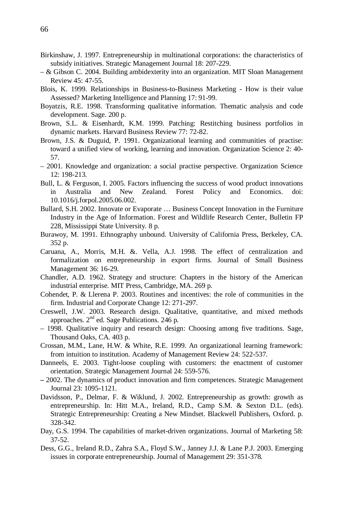- Birkinshaw, J. 1997. Entrepreneurship in multinational corporations: the characteristics of subsidy initiatives. Strategic Management Journal 18: 207-229.
- & Gibson C. 2004. Building ambidexterity into an organization. MIT Sloan Management Review 45: 47-55.
- Blois, K. 1999. Relationships in Business-to-Business Marketing How is their value Assessed? Marketing Intelligence and Planning 17: 91-99.
- Boyatzis, R.E. 1998. Transforming qualitative information. Thematic analysis and code development. Sage. 200 p.
- Brown, S.L. & Eisenhardt, K.M. 1999. Patching: Restitching business portfolios in dynamic markets. Harvard Business Review 77: 72-82.
- Brown, J.S. & Duguid, P. 1991. Organizational learning and communities of practise: toward a unified view of working, learning and innovation. Organization Science 2: 40- 57.
- 2001. Knowledge and organization: a social practise perspective. Organization Science 12: 198-213.
- Bull, L. & Ferguson, I. 2005. Factors influencing the success of wood product innovations in Australia and New Zealand. Forest Policy and Economics. doi: 10.1016/j.forpol.2005.06.002.
- Bullard, S.H. 2002. Innovate or Evaporate … Business Concept Innovation in the Furniture Industry in the Age of Information. Forest and Wildlife Research Center, Bulletin FP 228, Mississippi State University. 8 p.
- Burawoy, M. 1991. Ethnography unbound. University of California Press, Berkeley, CA. 352 p.
- Caruana, A., Morris, M.H. &. Vella, A.J. 1998. The effect of centralization and formalization on entrepreneurship in export firms. Journal of Small Business Management 36: 16-29.
- Chandler, A.D. 1962. Strategy and structure: Chapters in the history of the American industrial enterprise. MIT Press, Cambridge, MA. 269 p.
- Cohendet, P. & Llerena P. 2003. Routines and incentives: the role of communities in the firm. Industrial and Corporate Change 12: 271-297.
- Creswell, J.W. 2003. Research design. Qualitative, quantitative, and mixed methods approaches. 2nd ed. Sage Publications. 246 p.
- 1998. Qualitative inquiry and research design: Choosing among five traditions. Sage, Thousand Oaks, CA. 403 p.
- Crossan, M.M., Lane, H.W. & White, R.E. 1999. An organizational learning framework: from intuition to institution. Academy of Management Review 24: 522-537.
- Danneels, E. 2003. Tight-loose coupling with customers: the enactment of customer orientation. Strategic Management Journal 24: 559-576.
- **–**2002. The dynamics of product innovation and firm competences. Strategic Management Journal 23: 1095-1121.
- Davidsson, P., Delmar, F. & Wiklund, J. 2002. Entrepreneurship as growth: growth as entrepreneurship. In: Hitt M.A., Ireland, R.D., Camp S.M. & Sexton D.L. (eds). Strategic Entrepreneurship: Creating a New Mindset. Blackwell Publishers, Oxford. p. 328-342.
- Day, G.S. 1994. The capabilities of market-driven organizations. Journal of Marketing 58: 37-52.
- Dess, G.G., Ireland R.D., Zahra S.A., Floyd S.W., Janney J.J. & Lane P.J. 2003. Emerging issues in corporate entrepreneurship. Journal of Management 29: 351-378.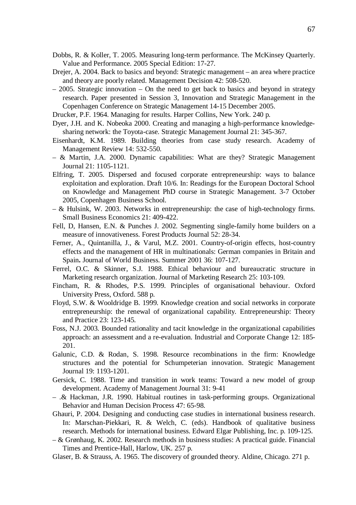- Dobbs, R. & Koller, T. 2005. Measuring long-term performance. The McKinsey Quarterly. Value and Performance. 2005 Special Edition: 17-27.
- Drejer, A. 2004. Back to basics and beyond: Strategic management an area where practice and theory are poorly related. Management Decision 42: 508-520.
- 2005. Strategic innovation On the need to get back to basics and beyond in strategy research. Paper presented in Session 3, Innovation and Strategic Management in the Copenhagen Conference on Strategic Management 14-15 December 2005.

Drucker, P.F. 1964. Managing for results. Harper Collins, New York. 240 p.

- Dyer, J.H. and K. Nobeoka 2000. Creating and managing a high-performance knowledgesharing network: the Toyota-case. Strategic Management Journal 21: 345-367.
- Eisenhardt, K.M. 1989. Building theories from case study research. Academy of Management Review 14: 532-550.
- & Martin, J.A. 2000. Dynamic capabilities: What are they? Strategic Management Journal 21: 1105-1121.
- Elfring, T. 2005. Dispersed and focused corporate entrepreneurship: ways to balance exploitation and exploration. Draft 10/6. In: Readings for the European Doctoral School on Knowledge and Management PhD course in Strategic Management. 3-7 October 2005, Copenhagen Business School.
- $-$  & Hulsink, W. 2003. Networks in entrepreneurship: the case of high-technology firms. Small Business Economics 21: 409-422.
- Fell, D, Hansen, E.N. & Punches J. 2002. Segmenting single-family home builders on a measure of innovativeness. Forest Products Journal 52: 28-34.
- Ferner, A., Quintanilla, J., & Varul, M.Z. 2001. Country-of-origin effects, host-country effects and the management of HR in multinationals: German companies in Britain and Spain**.** Journal of World Business. Summer 2001 36: 107-127.
- Ferrel, O.C. & Skinner, S.J. 1988. Ethical behaviour and bureaucratic structure in Marketing research organization. Journal of Marketing Research 25: 103-109.
- Fincham, R. & Rhodes, P.S. 1999. Principles of organisational behaviour. Oxford University Press, Oxford. 588 p.
- Floyd, S.W. & Wooldridge B. 1999. Knowledge creation and social networks in corporate entrepreneurship: the renewal of organizational capability. Entrepreneurship: Theory and Practice 23: 123-145.
- Foss, N.J. 2003. Bounded rationality and tacit knowledge in the organizational capabilities approach: an assessment and a re-evaluation. Industrial and Corporate Change 12: 185- 201.
- Galunic, C.D. & Rodan, S. 1998. Resource recombinations in the firm: Knowledge structures and the potential for Schumpeterian innovation. Strategic Management Journal 19: 1193-1201.
- Gersick, C. 1988. Time and transition in work teams: Toward a new model of group development. Academy of Management Journal 31: 9-41
- .& Hackman, J.R. 1990. Habitual routines in task-performing groups. Organizational Behavior and Human Decision Process 47: 65-98.
- Ghauri, P. 2004. Designing and conducting case studies in international business research. In: Marschan-Piekkari, R. & Welch, C. (eds). Handbook of qualitative business research. Methods for international business. Edward Elgar Publishing, Inc. p. 109-125.
- & Grønhaug, K. 2002. Research methods in business studies: A practical guide. Financial Times and Prentice-Hall, Harlow, UK. 257 p.
- Glaser, B. & Strauss, A. 1965. The discovery of grounded theory. Aldine, Chicago. 271 p.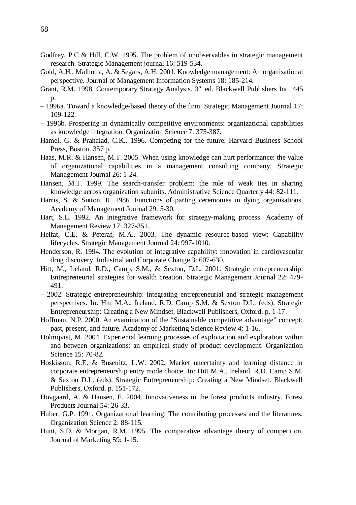- Godfrey, P.C & Hill, C.W. 1995. The problem of unobservables in strategic management research. Strategic Management journal 16: 519-534.
- Gold, A.H., Malhotra, A. & Segars, A.H. 2001. Knowledge management: An organisational perspective. Journal of Management Information Systems 18: 185-214.
- Grant, R.M. 1998. Contemporary Strategy Analysis.  $3<sup>rd</sup>$  ed. Blackwell Publishers Inc. 445 p.
- 1996a. Toward a knowledge-based theory of the firm. Strategic Management Journal 17: 109-122.
- 1996b. Prospering in dynamically competitive environments: organizational capabilities as knowledge integration. Organization Science 7: 375-387.
- Hamel, G. & Prahalad, C.K.. 1996. Competing for the future. Harvard Business School Press, Boston. 357 p.
- Haas, M.R. & Hansen, M.T. 2005. When using knowledge can hurt performance: the value of organizational capabilities in a management consulting company. Strategic Management Journal 26: 1-24.
- Hansen, M.T. 1999. The search-transfer problem: the role of weak ties in sharing knowledge across organization subunits. Administrative Science Quarterly 44: 82-111.
- Harris, S. & Sutton, R. 1986. Functions of parting ceremonies in dying organisations. Academy of Management Journal 29: 5-30.
- Hart, S.L. 1992. An integrative framework for strategy-making process. Academy of Management Review 17: 327-351.
- Helfat, C.E. & Peteraf, M.A.. 2003. The dynamic resource-based view: Capability lifecycles. Strategic Management Journal 24: 997-1010.
- Henderson, R. 1994. The evolution of integrative capability: innovation in cardiovascular drug discovery. Industrial and Corporate Change 3: 607-630.
- Hitt, M., Ireland, R.D., Camp, S.M., & Sexton, D.L. 2001. Strategic entrepreneurship: Entrepreneurial strategies for wealth creation. Strategic Management Journal 22: 479- 491.
- 2002. Strategic entrepreneurship: integrating entrepreneurial and strategic management perspectives. In: Hitt M.A., Ireland, R.D. Camp S.M. & Sexton D.L. (eds). Strategic Entrepreneurship: Creating a New Mindset. Blackwell Publishers, Oxford. p. 1-17.
- Hoffman, N.P. 2000. An examination of the "Sustainable competitive advantage" concept: past, present, and future. Academy of Marketing Science Review 4: 1-16.
- Holmqvist, M. 2004. Experiental learning processes of exploitation and exploration within and between organizations: an empirical study of product development. Organization Science 15: 70-82.
- Hoskisson, R.E. & Busenitz, L.W. 2002. Market uncertainty and learning distance in corporate entrepreneurship entry mode choice. In: Hitt M.A., Ireland, R.D. Camp S.M. & Sexton D.L. (eds). Strategic Entrepreneurship: Creating a New Mindset. Blackwell Publishers, Oxford. p. 151-172.
- Hovgaard, A. & Hansen, E. 2004. Innovativeness in the forest products industry. Forest Products Journal 54: 26-33.
- Huber, G.P. 1991. Organizational learning: The contributing processes and the literatures. Organization Science 2: 88-115.
- Hunt, S.D. & Morgan, R.M. 1995. The comparative advantage theory of competition. Journal of Marketing 59: 1-15.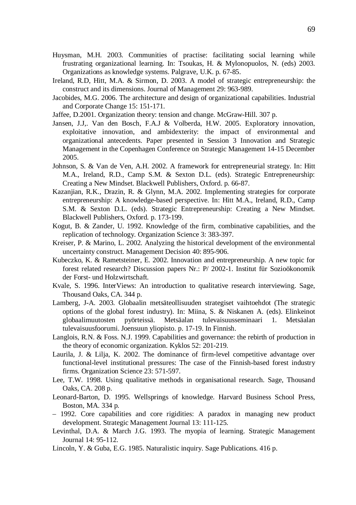- Huysman, M.H. 2003. Communities of practise: facilitating social learning while frustrating organizational learning. In: Tsoukas, H. & Mylonopuolos, N. (eds) 2003. Organizations as knowledge systems. Palgrave, U.K. p. 67-85.
- Ireland, R.D, Hitt, M.A. & Sirmon, D. 2003. A model of strategic entrepreneurship: the construct and its dimensions. Journal of Management 29: 963-989.
- Jacobides, M.G. 2006. The architecture and design of organizational capabilities. Industrial and Corporate Change 15: 151-171.
- Jaffee, D.2001. Organization theory: tension and change. McGraw-Hill. 307 p.
- Jansen, J.J,. Van den Bosch, F.A.J & Volberda, H.W. 2005. Exploratory innovation, exploitative innovation, and ambidexterity: the impact of environmental and organizational antecedents. Paper presented in Session 3 Innovation and Strategic Management in the Copenhagen Conference on Strategic Management 14-15 December 2005.
- Johnson, S. & Van de Ven, A.H. 2002. A framework for entrepreneurial strategy. In: Hitt M.A., Ireland, R.D., Camp S.M. & Sexton D.L. (eds). Strategic Entrepreneurship: Creating a New Mindset. Blackwell Publishers, Oxford. p. 66-87.
- Kazanjian, R.K., Drazin, R. & Glynn, M.A. 2002. Implementing strategies for corporate entrepreneurship: A knowledge-based perspective. In: Hitt M.A., Ireland, R.D., Camp S.M. & Sexton D.L. (eds). Strategic Entrepreneurship: Creating a New Mindset. Blackwell Publishers, Oxford. p. 173-199.
- Kogut, B. & Zander, U. 1992. Knowledge of the firm, combinative capabilities, and the replication of technology. Organization Science 3: 383-397.
- Kreiser, P. & Marino, L. 2002. Analyzing the historical development of the environmental uncertainty construct. Management Decision 40: 895-906.
- Kubeczko, K. & Rametsteiner, E. 2002. Innovation and entrepreneurship. A new topic for forest related research? Discussion papers Nr.: P/ 2002-1. Institut für Sozioökonomik der Forst- und Holzwirtschaft.
- Kvale, S. 1996. InterViews: An introduction to qualitative research interviewing. Sage, Thousand Oaks, CA. 344 p.
- Lamberg, J-A. 2003. Globaalin metsäteollisuuden strategiset vaihtoehdot (The strategic options of the global forest industry). In: Miina, S. & Niskanen A. (eds). Elinkeinot globaalimuutosten pyörteissä. Metsäalan tulevaisuusseminaari 1. Metsäalan tulevaisuusfoorumi. Joensuun yliopisto. p. 17-19. In Finnish.
- Langlois, R.N. & Foss. N.J. 1999. Capabilities and governance: the rebirth of production in the theory of economic organization. Kyklos 52: 201-219.
- Laurila, J. & Lilja, K. 2002. The dominance of firm-level competitive advantage over functional-level institutional pressures: The case of the Finnish-based forest industry firms. Organization Science 23: 571-597.
- Lee, T.W. 1998. Using qualitative methods in organisational research. Sage, Thousand Oaks, CA. 208 p.
- Leonard-Barton, D. 1995. Wellsprings of knowledge. Harvard Business School Press, Boston, MA. 334 p.
- 1992. Core capabilities and core rigidities: A paradox in managing new product development. Strategic Management Journal 13: 111-125.
- Levinthal, D.A. & March J.G. 1993. The myopia of learning. Strategic Management Journal 14: 95-112.
- Lincoln, Y. & Guba, E.G. 1985. Naturalistic inquiry. Sage Publications. 416 p.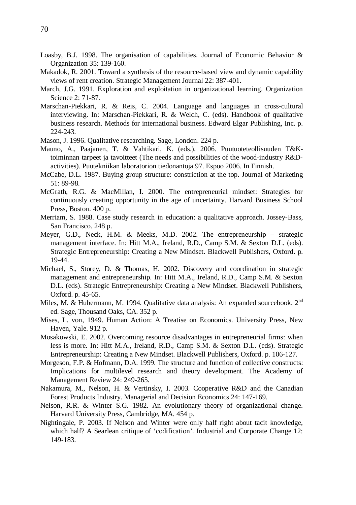- Loasby, B.J. 1998. The organisation of capabilities. Journal of Economic Behavior & Organization 35: 139-160.
- Makadok, R. 2001. Toward a synthesis of the resource-based view and dynamic capability views of rent creation. Strategic Management Journal 22: 387-401.
- March, J.G. 1991. Exploration and exploitation in organizational learning. Organization Science 2: 71-87.
- Marschan-Piekkari, R. & Reis, C. 2004. Language and languages in cross-cultural interviewing. In: Marschan-Piekkari, R. & Welch, C. (eds). Handbook of qualitative business research. Methods for international business. Edward Elgar Publishing, Inc. p. 224-243.
- Mason, J. 1996. Qualitative researching. Sage, London. 224 p.
- Mauno, A., Paajanen, T. & Vahtikari, K. (eds.). 2006. Puutuoteteollisuuden T&Ktoiminnan tarpeet ja tavoitteet (The needs and possibilities of the wood-industry R&Dactivities). Puutekniikan laboratorion tiedonantoja 97. Espoo 2006. In Finnish.
- McCabe, D.L. 1987. Buying group structure: constriction at the top. Journal of Marketing 51: 89-98.
- McGrath, R.G. & MacMillan, I. 2000. The entrepreneurial mindset: Strategies for continuously creating opportunity in the age of uncertainty. Harvard Business School Press, Boston. 400 p.
- Merriam, S. 1988. Case study research in education: a qualitative approach. Jossey-Bass, San Francisco. 248 p.
- Meyer, G.D., Neck, H.M. & Meeks, M.D. 2002. The entrepreneurship strategic management interface. In: Hitt M.A., Ireland, R.D., Camp S.M. & Sexton D.L. (eds). Strategic Entrepreneurship: Creating a New Mindset. Blackwell Publishers, Oxford. p. 19-44.
- Michael, S., Storey, D. & Thomas, H. 2002. Discovery and coordination in strategic management and entrepreneurship. In: Hitt M.A., Ireland, R.D., Camp S.M. & Sexton D.L. (eds). Strategic Entrepreneurship: Creating a New Mindset. Blackwell Publishers, Oxford. p. 45-65.
- Miles, M. & Hubermann, M. 1994. Qualitative data analysis: An expanded sourcebook. 2<sup>nd</sup> ed. Sage, Thousand Oaks, CA. 352 p.
- Mises, L. von, 1949. Human Action: A Treatise on Economics. University Press, New Haven, Yale. 912 p.
- Mosakowski, E. 2002. Overcoming resource disadvantages in entrepreneurial firms: when less is more. In: Hitt M.A., Ireland, R.D., Camp S.M. & Sexton D.L. (eds). Strategic Entrepreneurship: Creating a New Mindset. Blackwell Publishers, Oxford. p. 106-127.
- Morgeson, F.P. & Hofmann, D.A. 1999. The structure and function of collective constructs: Implications for multilevel research and theory development. The Academy of Management Review 24: 249-265.
- Nakamura, M., Nelson, H. & Vertinsky, I. 2003. Cooperative R&D and the Canadian Forest Products Industry. Managerial and Decision Economics 24: 147-169.
- Nelson, R.R. & Winter S.G. 1982. An evolutionary theory of organizational change. Harvard University Press, Cambridge, MA. 454 p.
- Nightingale, P. 2003. If Nelson and Winter were only half right about tacit knowledge, which half? A Searlean critique of 'codification'. Industrial and Corporate Change 12: 149-183.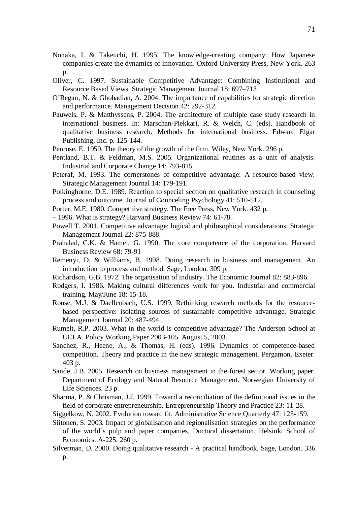- Nonaka, I. & Takeuchi, H. 1995. The knowledge-creating company: How Japanese companies create the dynamics of innovation. Oxford University Press, New York. 263 p.
- Oliver, C. 1997. Sustainable Competitive Advantage: Combining Institutional and Resource Based Views. Strategic Management Journal 18: 697–713
- O'Regan, N. & Ghobadian, A. 2004. The importance of capabilities for strategic direction and performance. Management Decision 42: 292-312.
- Pauwels, P. & Matthyssens, P. 2004. The architecture of multiple case study research in international business. In: Marschan-Piekkari, R. & Welch, C. (eds). Handbook of qualitative business research. Methods for international business. Edward Elgar Publishing, Inc. p. 125-144.
- Penrose, E. 1959. The theory of the growth of the firm. Wiley, New York. 296 p.
- Pentland, B.T. & Feldman, M.S. 2005. Organizational routines as a unit of analysis. Industrial and Corporate Change 14: 793-815.
- Peteraf, M. 1993. The cornerstones of competitive advantage: A resource-based view. Strategic Management Journal 14: 179-191.
- Polkinghorne, D.E. 1989. Reaction to special section on qualitative research in counseling process and outcome. Journal of Counceling Psychology 41: 510-512.
- Porter, M.E. 1980. Competitive strategy. The Free Press, New York. 432 p.
- 1996. What is strategy? Harvard Business Review 74: 61-78.
- Powell T. 2001. Competitive advantage: logical and philosophical considerations. Strategic Management Journal 22: 875-888.
- Prahalad, C.K. & Hamel, G. 1990. The core competence of the corporation. Harvard Business Review 68: 79-91
- Remenyi, D. & Williams, B. 1998. Doing research in business and management. An introduction to process and method. Sage, London. 309 p.
- Richardson, G.B. 1972. The organisation of industry. The Economic Journal 82: 883-896.
- Rodgers, I. 1986. Making cultural differences work for you. Industrial and commercial training. May/June 18: 15-18.
- Rouse, M.J. & Daellenbach, U.S. 1999. Rethinking research methods for the resourcebased perspective: isolating sources of sustainable competitive advantage. Strategic Management Journal 20: 487-494.
- Rumelt, R.P. 2003. What in the world is competitive advantage? The Anderson School at UCLA. Policy Working Paper 2003-105. August 5, 2003.
- Sanchez, R., Heene, A., & Thomas, H. (eds). 1996. Dynamics of competence-based competition. Theory and practice in the new strategic management. Pergamon, Exeter. 403 p.
- Sande, J.B. 2005. Research on business management in the forest sector. Working paper. Department of Ecology and Natural Resource Management. Norwegian University of Life Sciences. 23 p.
- Sharma, P. & Chrisman, J.J. 1999. Toward a reconciliation of the definitional issues in the field of corporate entrepreneurship. Entrepreneurship Theory and Practice 23: 11-28.
- Siggelkow, N. 2002. Evolution toward fit. Administrative Science Quarterly 47: 125-159.
- Siitonen, S. 2003. Impact of globalisation and regionalisation strategies on the performance of the world's pulp and paper companies. Doctoral dissertation. Helsinki School of Economics. A-225. 260 p.
- Silverman, D. 2000. Doing qualitative research A practical handbook. Sage, London. 336 p.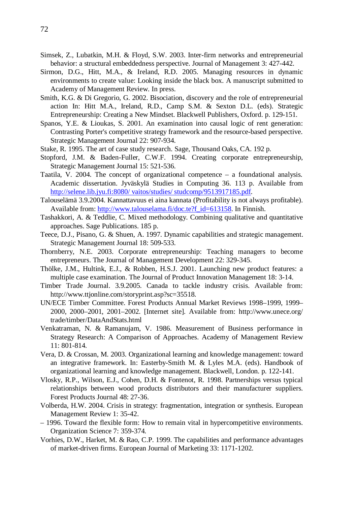- Simsek, Z., Lubatkin, M.H. & Floyd, S.W. 2003. Inter-firm networks and entrepreneurial behavior: a structural embeddedness perspective. Journal of Management 3: 427-442.
- Sirmon, D.G., Hitt, M.A., & Ireland, R.D. 2005. Managing resources in dynamic environments to create value: Looking inside the black box. A manuscript submitted to Academy of Management Review. In press.
- Smith, K.G. & Di Gregorio, G. 2002. Bisociation, discovery and the role of entrepreneurial action In: Hitt M.A., Ireland, R.D., Camp S.M. & Sexton D.L. (eds). Strategic Entrepreneurship: Creating a New Mindset. Blackwell Publishers, Oxford. p. 129-151.
- Spanos, Y.E. & Lioukas, S. 2001. An examination into causal logic of rent generation: Contrasting Porter's competitive strategy framework and the resource-based perspective. Strategic Management Journal 22: 907-934.
- Stake, R. 1995. The art of case study research. Sage, Thousand Oaks, CA. 192 p.
- Stopford, J.M. & Baden-Fuller, C.W.F. 1994. Creating corporate entrepreneurship, Strategic Management Journal 15: 521-536.
- Taatila, V. 2004. The concept of organizational competence a foundational analysis. Academic dissertation. Jyväskylä Studies in Computing 36. 113 p. Available from <http://selene.lib.jyu.fi:8080/> vaitos/studies/ studcomp/9513917185.pdf.
- Talouselämä 3.9.2004. Kannattavuus ei aina kannata (Profitability is not always profitable). Available from: [http://www.talouselama.fi/doc.te?f\\_id=613158.](http://www.talouselama.fi/doc.te?f_id=613158.) In Finnish.
- Tashakkori, A. & Teddlie, C. Mixed methodology. Combining qualitative and quantitative approaches. Sage Publications. 185 p.
- Teece, D.J., Pisano, G. & Shuen, A. 1997. Dynamic capabilities and strategic management. Strategic Management Journal 18: 509-533.
- Thornberry, N.E. 2003. Corporate entrepreneurship: Teaching managers to become entrepreneurs. The Journal of Management Development 22: 329-345.
- Thölke, J.M., Hultink, E.J., & Robben, H.S.J. 2001. Launching new product features: a multiple case examination. The Journal of Product Innovation Management 18: 3-14.
- Timber Trade Journal. 3.9.2005. Canada to tackle industry crisis. Available from: <http://www.ttjonline.com/storyprint.asp?sc=35518.>
- UN/ECE Timber Committee. Forest Products Annual Market Reviews 1998–1999, 1999– 2000, 2000–2001, 2001–2002. [Internet site]. Available from: <http://www.unece.org/> trade/timber/DataAndStats.html
- Venkatraman, N. & Ramanujam, V. 1986. Measurement of Business performance in Strategy Research: A Comparison of Approaches. Academy of Management Review 11: 801-814.
- Vera, D. & Crossan, M. 2003. Organizational learning and knowledge management: toward an integrative framework. In: Easterby-Smith M. & Lyles M.A. (eds). Handbook of organizational learning and knowledge management. Blackwell, London. p. 122-141.
- Vlosky, R.P., Wilson, E.J., Cohen, D.H. & Fontenot, R. 1998. Partnerships versus typical relationships between wood products distributors and their manufacturer suppliers. Forest Products Journal 48: 27-36.
- Volberda, H.W. 2004. Crisis in strategy: fragmentation, integration or synthesis. European Management Review 1: 35-42.
- 1996. Toward the flexible form: How to remain vital in hypercompetitive environments. Organization Science 7: 359-374.
- Vorhies, D.W., Harket, M. & Rao, C.P. 1999. The capabilities and performance advantages of market-driven firms. European Journal of Marketing 33: 1171-1202.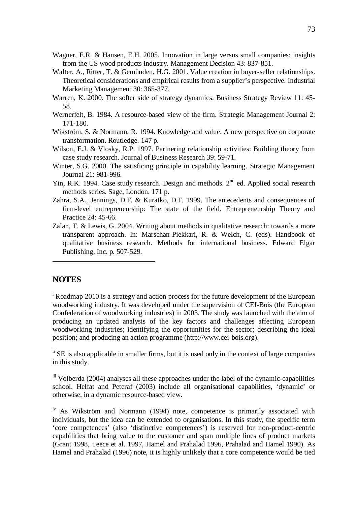- Wagner, E.R. & Hansen, E.H. 2005. Innovation in large versus small companies: insights from the US wood products industry. Management Decision 43: 837-851.
- Walter, A., Ritter, T. & Gemünden, H.G. 2001. Value creation in buyer-seller relationships. Theoretical considerations and empirical results from a supplier's perspective. Industrial Marketing Management 30: 365-377.
- Warren, K. 2000. The softer side of strategy dynamics. Business Strategy Review 11: 45- 58.
- Wernerfelt, B. 1984. A resource-based view of the firm. Strategic Management Journal 2: 171-180.
- Wikström, S. & Normann, R. 1994. Knowledge and value. A new perspective on corporate transformation. Routledge. 147 p.
- Wilson, E.J. & Vlosky, R.P. 1997. Partnering relationship activities: Building theory from case study research. Journal of Business Research 39: 59-71.
- Winter, S.G. 2000. The satisficing principle in capability learning. Strategic Management Journal 21: 981-996.
- Yin, R.K. 1994. Case study research. Design and methods. 2<sup>nd</sup> ed. Applied social research methods series. Sage, London. 171 p.
- Zahra, S.A., Jennings, D.F. & Kuratko, D.F. 1999. The antecedents and consequences of firm-level entrepreneurship: The state of the field. Entrepreneurship Theory and Practice 24: 45-66.
- Zalan, T. & Lewis, G. 2004. Writing about methods in qualitative research: towards a more transparent approach. In: Marschan-Piekkari, R. & Welch, C. (eds). Handbook of qualitative business research. Methods for international business. Edward Elgar Publishing, Inc. p. 507-529.

## **NOTES**

<sup>i</sup> Roadmap 2010 is a strategy and action process for the future development of the European woodworking industry. It was developed under the supervision of CEI-Bois (the European Confederation of woodworking industries) in 2003. The study was launched with the aim of producing an updated analysis of the key factors and challenges affecting European woodworking industries; identifying the opportunities for the sector; describing the ideal position; and producing an action programme ([http://www.cei-bois.org\)](http://www.cei-bois.org).

ii SE is also applicable in smaller firms, but it is used only in the context of large companies in this study.

iii Volberda (2004) analyses all these approaches under the label of the dynamic-capabilities school. Helfat and Peteraf (2003) include all organisational capabilities, 'dynamic' or otherwise, in a dynamic resource-based view.

<sup>iv</sup> As Wikström and Normann (1994) note, competence is primarily associated with individuals, but the idea can be extended to organisations. In this study, the specific term 'core competences' (also 'distinctive competences') is reserved for non-product-centric capabilities that bring value to the customer and span multiple lines of product markets (Grant 1998, Teece et al. 1997, Hamel and Prahalad 1996, Prahalad and Hamel 1990). As Hamel and Prahalad (1996) note, it is highly unlikely that a core competence would be tied